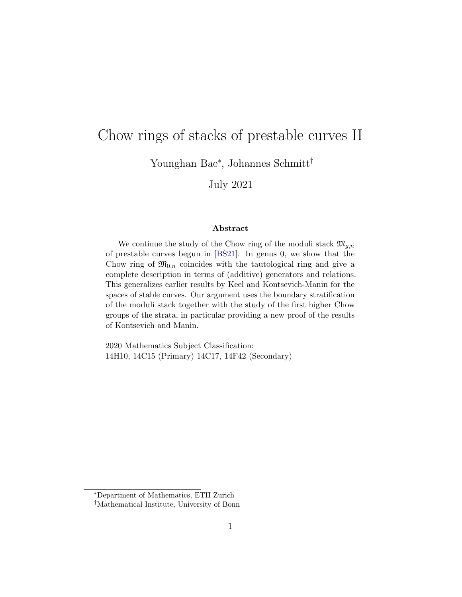# Chow rings of stacks of prestable curves II

Younghan Bae<sup>∗</sup> , Johannes Schmitt†

July 2021

#### Abstract

We continue the study of the Chow ring of the moduli stack  $\mathfrak{M}_{g,n}$ of prestable curves begun in [\[BS21\]](#page-64-0). In genus 0, we show that the Chow ring of  $\mathfrak{M}_{0,n}$  coincides with the tautological ring and give a complete description in terms of (additive) generators and relations. This generalizes earlier results by Keel and Kontsevich-Manin for the spaces of stable curves. Our argument uses the boundary stratification of the moduli stack together with the study of the first higher Chow groups of the strata, in particular providing a new proof of the results of Kontsevich and Manin.

2020 Mathematics Subject Classification: 14H10, 14C15 (Primary) 14C17, 14F42 (Secondary)

<sup>∗</sup>Department of Mathematics, ETH Zurich

<sup>†</sup>Mathematical Institute, University of Bonn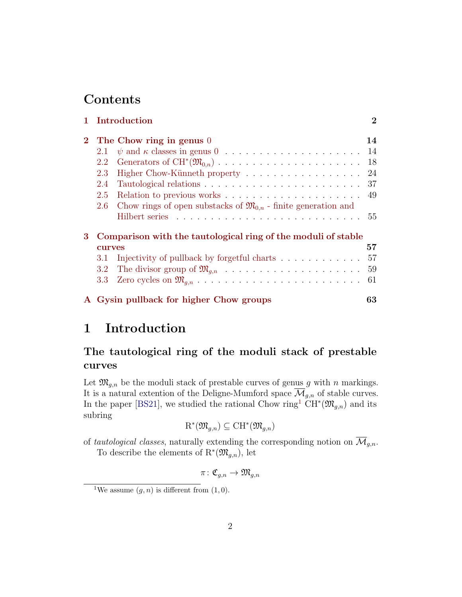## **Contents**

|                | 1 Introduction                                                                                      | $\overline{2}$ |  |  |  |  |  |  |
|----------------|-----------------------------------------------------------------------------------------------------|----------------|--|--|--|--|--|--|
| $\overline{2}$ | The Chow ring in genus 0                                                                            | 14             |  |  |  |  |  |  |
|                | $\psi$ and $\kappa$ classes in genus $0 \ldots \ldots \ldots \ldots \ldots \ldots \ldots 14$<br>2.1 |                |  |  |  |  |  |  |
|                | 2.2                                                                                                 | 18             |  |  |  |  |  |  |
|                | 2.3<br>Higher Chow-Künneth property                                                                 | 24             |  |  |  |  |  |  |
|                | 2.4                                                                                                 | -37            |  |  |  |  |  |  |
|                | 2.5                                                                                                 | 49             |  |  |  |  |  |  |
|                | Chow rings of open substacks of $\mathfrak{M}_{0,n}$ - finite generation and<br>$2.6\,$             |                |  |  |  |  |  |  |
|                |                                                                                                     |                |  |  |  |  |  |  |
| 3              | Comparison with the tautological ring of the moduli of stable                                       |                |  |  |  |  |  |  |
|                | <b>CUITVES</b>                                                                                      | 57             |  |  |  |  |  |  |
|                | Injectivity of pullback by forgetful charts 57<br>3.1                                               |                |  |  |  |  |  |  |
|                | $3.2\,$                                                                                             |                |  |  |  |  |  |  |
|                |                                                                                                     | -61            |  |  |  |  |  |  |
|                | A Gysin pullback for higher Chow groups                                                             | 63             |  |  |  |  |  |  |

### <span id="page-1-0"></span>1 Introduction

### The tautological ring of the moduli stack of prestable curves

Let  $\mathfrak{M}_{g,n}$  be the moduli stack of prestable curves of genus g with n markings. It is a natural extention of the Deligne-Mumford space  $\overline{\mathcal{M}}_{g,n}$  of stable curves. In the paper [\[BS21\]](#page-64-0), we studied the rational Chow ring<sup>[1](#page-1-1)</sup>  $CH^*(\mathfrak{M}_{g,n})$  and its subring

$$
\mathrm{R}^*(\mathfrak{M}_{g,n}) \subseteq \mathrm{CH}^*(\mathfrak{M}_{g,n})
$$

of tautological classes, naturally extending the corresponding notion on  $\overline{\mathcal{M}}_{g,n}$ .

To describe the elements of  $\mathrm{R}^*(\mathfrak{M}_{g,n})$ , let

$$
\pi\colon \mathfrak{C}_{g,n}\to \mathfrak{M}_{g,n}
$$

<span id="page-1-1"></span><sup>&</sup>lt;sup>1</sup>We assume  $(g, n)$  is different from  $(1, 0)$ .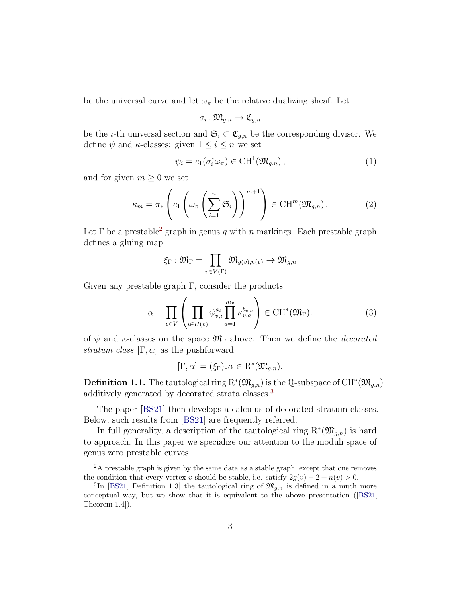be the universal curve and let  $\omega_{\pi}$  be the relative dualizing sheaf. Let

$$
\sigma_i\colon \mathfrak{M}_{g,n}\to \mathfrak{C}_{g,n}
$$

be the *i*-th universal section and  $\mathfrak{S}_i \subset \mathfrak{C}_{g,n}$  be the corresponding divisor. We define  $\psi$  and  $\kappa$ -classes: given  $1 \leq i \leq n$  we set

$$
\psi_i = c_1(\sigma_i^* \omega_\pi) \in \text{CH}^1(\mathfrak{M}_{g,n}), \tag{1}
$$

and for given  $m \geq 0$  we set

$$
\kappa_m = \pi_* \left( c_1 \left( \omega_\pi \left( \sum_{i=1}^n \mathfrak{S}_i \right) \right)^{m+1} \right) \in \mathrm{CH}^m(\mathfrak{M}_{g,n}). \tag{2}
$$

Let  $\Gamma$  be a prestable<sup>[2](#page-2-0)</sup> graph in genus g with n markings. Each prestable graph defines a gluing map

$$
\xi_\Gamma: \mathfrak{M}_\Gamma = \prod_{v \in V(\Gamma)} \mathfrak{M}_{g(v), n(v)} \to \mathfrak{M}_{g,n}
$$

Given any prestable graph  $\Gamma$ , consider the products

$$
\alpha = \prod_{v \in V} \left( \prod_{i \in H(v)} \psi_{v,i}^{a_i} \prod_{a=1}^{m_v} \kappa_{v,a}^{b_{v,a}} \right) \in \text{CH}^*(\mathfrak{M}_{\Gamma}). \tag{3}
$$

of  $\psi$  and κ-classes on the space  $\mathfrak{M}_{\Gamma}$  above. Then we define the *decorated* stratum class  $[\Gamma, \alpha]$  as the pushforward

$$
[\Gamma, \alpha] = (\xi_{\Gamma})_* \alpha \in \mathcal{R}^*(\mathfrak{M}_{g,n}).
$$

**Definition 1.1.** The tautological ring  $\mathrm{R}^*(\mathfrak{M}_{g,n})$  is the Q-subspace of  $\mathrm{CH}^*(\mathfrak{M}_{g,n})$ additively generated by decorated strata classes.[3](#page-2-1)

The paper [\[BS21\]](#page-64-0) then develops a calculus of decorated stratum classes. Below, such results from [\[BS21\]](#page-64-0) are frequently referred.

In full generality, a description of the tautological ring  $\mathrm{R}^*(\mathfrak{M}_{g,n})$  is hard to approach. In this paper we specialize our attention to the moduli space of genus zero prestable curves.

<span id="page-2-0"></span><sup>&</sup>lt;sup>2</sup>A prestable graph is given by the same data as a stable graph, except that one removes the condition that every vertex v should be stable, i.e. satisfy  $2g(v) - 2 + n(v) > 0$ .

<span id="page-2-1"></span><sup>&</sup>lt;sup>3</sup>In [\[BS21,](#page-64-0) Definition 1.3] the tautological ring of  $\mathfrak{M}_{g,n}$  is defined in a much more conceptual way, but we show that it is equivalent to the above presentation([\[BS21,](#page-64-0) Theorem 1.4]).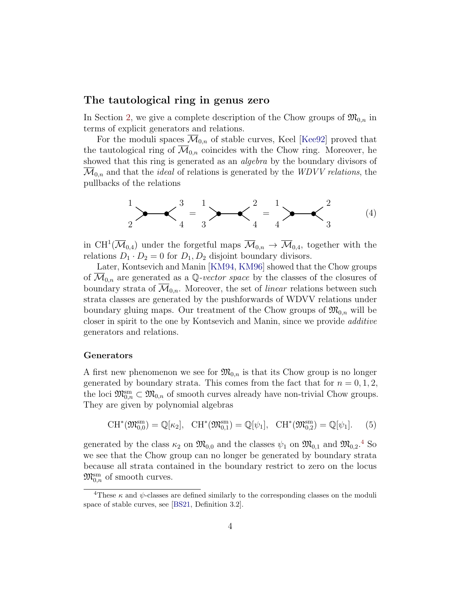### The tautological ring in genus zero

In Section [2,](#page-13-0) we give a complete description of the Chow groups of  $\mathfrak{M}_{0,n}$  in terms of explicit generators and relations.

For the moduli spaces  $\mathcal{M}_{0,n}$  of stable curves, Keel [\[Kee92\]](#page-66-0) proved that the tautological ring of  $\overline{\mathcal{M}}_{0,n}$  coincides with the Chow ring. Moreover, he showed that this ring is generated as an *algebra* by the boundary divisors of  $\mathcal{M}_{0,n}$  and that the *ideal* of relations is generated by the *WDVV relations*, the pullbacks of the relations

<span id="page-3-2"></span>
$$
\frac{1}{2} \longrightarrow \frac{3}{4} = \frac{1}{3} \longrightarrow \frac{2}{4} = \frac{1}{4} \longrightarrow \frac{2}{3}
$$
 (4)

in CH<sup>1</sup>( $\overline{\mathcal{M}}_{0,4}$ ) under the forgetful maps  $\overline{\mathcal{M}}_{0,n} \to \overline{\mathcal{M}}_{0,4}$ , together with the relations  $D_1 \cdot D_2 = 0$  for  $D_1, D_2$  disjoint boundary divisors.

Later, Kontsevich and Manin [\[KM94,](#page-66-1) [KM96\]](#page-66-2) showed that the Chow groups of  $\overline{\mathcal{M}}_{0,n}$  are generated as a Q-vector space by the classes of the closures of boundary strata of  $\mathcal{M}_{0,n}$ . Moreover, the set of *linear* relations between such strata classes are generated by the pushforwards of WDVV relations under boundary gluing maps. Our treatment of the Chow groups of  $\mathfrak{M}_{0,n}$  will be closer in spirit to the one by Kontsevich and Manin, since we provide additive generators and relations.

#### Generators

A first new phenomenon we see for  $\mathfrak{M}_{0,n}$  is that its Chow group is no longer generated by boundary strata. This comes from the fact that for  $n = 0, 1, 2$ , the loci  $\mathfrak{M}_{0,n}^{\text{sm}} \subset \mathfrak{M}_{0,n}$  of smooth curves already have non-trivial Chow groups. They are given by polynomial algebras

<span id="page-3-1"></span>
$$
\mathrm{CH}^*(\mathfrak{M}_{0,0}^{\mathrm{sm}}) = \mathbb{Q}[\kappa_2], \quad \mathrm{CH}^*(\mathfrak{M}_{0,1}^{\mathrm{sm}}) = \mathbb{Q}[\psi_1], \quad \mathrm{CH}^*(\mathfrak{M}_{0,2}^{\mathrm{sm}}) = \mathbb{Q}[\psi_1]. \tag{5}
$$

generated by the class  $\kappa_2$  on  $\mathfrak{M}_{0,0}$  and the classes  $\psi_1$  on  $\mathfrak{M}_{0,1}$  and  $\mathfrak{M}_{0,2}$ .<sup>[4](#page-3-0)</sup> So we see that the Chow group can no longer be generated by boundary strata because all strata contained in the boundary restrict to zero on the locus  $\mathfrak{M}_{0,n}^{\mathrm{sm}}$  of smooth curves.

<span id="page-3-0"></span><sup>&</sup>lt;sup>4</sup>These  $\kappa$  and  $\psi$ -classes are defined similarly to the corresponding classes on the moduli space of stable curves, see [\[BS21,](#page-64-0) Definition 3.2].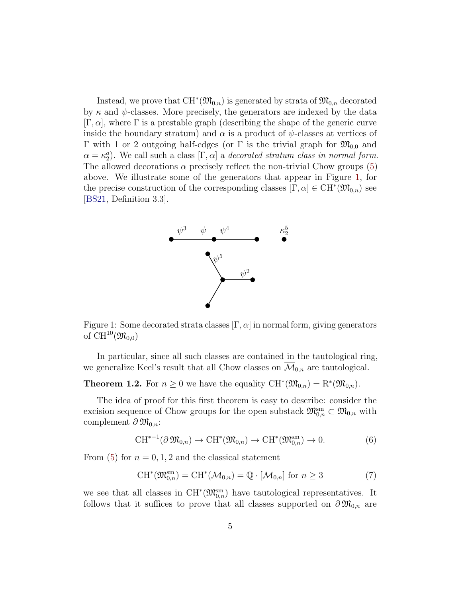Instead, we prove that  $\mathrm{CH}^*(\mathfrak{M}_{0,n})$  is generated by strata of  $\mathfrak{M}_{0,n}$  decorated by  $\kappa$  and  $\psi$ -classes. More precisely, the generators are indexed by the data  $[\Gamma, \alpha]$ , where  $\Gamma$  is a prestable graph (describing the shape of the generic curve inside the boundary stratum) and  $\alpha$  is a product of  $\psi$ -classes at vertices of Γ with 1 or 2 outgoing half-edges (or Γ is the trivial graph for  $\mathfrak{M}_{0,0}$  and  $\alpha = \kappa_2^a$ ). We call such a class  $[\Gamma, \alpha]$  a decorated stratum class in normal form. The allowed decorations  $\alpha$  precisely reflect the non-trivial Chow groups [\(5\)](#page-3-1) above. We illustrate some of the generators that appear in Figure [1,](#page-4-0) for the precise construction of the corresponding classes  $[\Gamma, \alpha] \in \mathrm{CH}^*(\mathfrak{M}_{0,n})$  see [\[BS21,](#page-64-0) Definition 3.3].



<span id="page-4-0"></span>Figure 1: Some decorated strata classes  $[\Gamma, \alpha]$  in normal form, giving generators of  $CH^{10}(\mathfrak{M}_{0,0})$ 

In particular, since all such classes are contained in the tautological ring, we generalize Keel's result that all Chow classes on  $\overline{\mathcal{M}}_{0,n}$  are tautological.

<span id="page-4-2"></span>**Theorem 1.2.** For  $n \geq 0$  we have the equality  $\mathrm{CH}^*(\mathfrak{M}_{0,n}) = \mathrm{R}^*(\mathfrak{M}_{0,n}).$ 

The idea of proof for this first theorem is easy to describe: consider the excision sequence of Chow groups for the open substack  $\mathfrak{M}_{0,n}^{\text{sm}}\subset \mathfrak{M}_{0,n}$  with complement  $\partial \mathfrak{M}_{0,n}$ :

<span id="page-4-1"></span>
$$
\mathrm{CH}^{*-1}(\partial \mathfrak{M}_{0,n}) \to \mathrm{CH}^*(\mathfrak{M}_{0,n}) \to \mathrm{CH}^*(\mathfrak{M}_{0,n}^{\mathrm{sm}}) \to 0. \tag{6}
$$

From [\(5\)](#page-3-1) for  $n = 0, 1, 2$  and the classical statement

<span id="page-4-3"></span>
$$
\mathrm{CH}^*(\mathfrak{M}_{0,n}^{\mathrm{sm}}) = \mathrm{CH}^*(\mathcal{M}_{0,n}) = \mathbb{Q} \cdot [\mathcal{M}_{0,n}] \text{ for } n \ge 3
$$
 (7)

we see that all classes in  $CH^*(\mathfrak{M}_{0,n}^{sm})$  have tautological representatives. It follows that it suffices to prove that all classes supported on  $\partial \mathfrak{M}_{0,n}$  are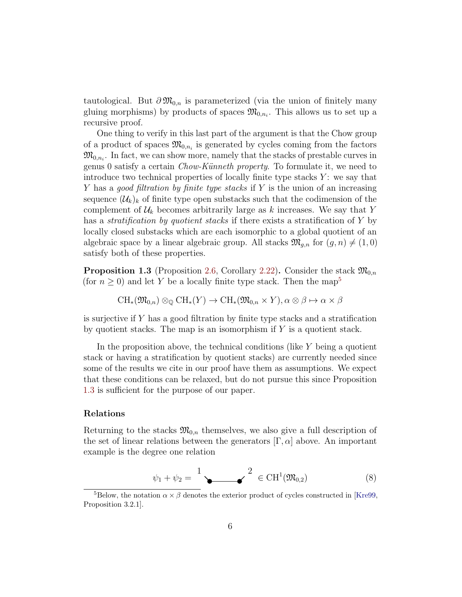tautological. But  $\partial \mathfrak{M}_{0,n}$  is parameterized (via the union of finitely many gluing morphisms) by products of spaces  $\mathfrak{M}_{0,n_i}$ . This allows us to set up a recursive proof.

One thing to verify in this last part of the argument is that the Chow group of a product of spaces  $\mathfrak{M}_{0,n_i}$  is generated by cycles coming from the factors  $\mathfrak{M}_{0,n_i}$ . In fact, we can show more, namely that the stacks of prestable curves in genus 0 satisfy a certain *Chow-Künneth property*. To formulate it, we need to introduce two technical properties of locally finite type stacks  $Y$ : we say that Y has a good filtration by finite type stacks if Y is the union of an increasing sequence  $(\mathcal{U}_k)_k$  of finite type open substacks such that the codimension of the complement of  $\mathcal{U}_k$  becomes arbitrarily large as k increases. We say that Y has a *stratification by quotient stacks* if there exists a stratification of Y by locally closed substacks which are each isomorphic to a global quotient of an algebraic space by a linear algebraic group. All stacks  $\mathfrak{M}_{g,n}$  for  $(g,n) \neq (1,0)$ satisfy both of these properties.

<span id="page-5-1"></span>**Proposition 1.3** (Proposition [2.6,](#page-18-0) Corollary [2.22\)](#page-35-0). Consider the stack  $\mathfrak{M}_{0,n}$ (for  $n \geq 0$ ) and let Y be a locally finite type stack. Then the map<sup>[5](#page-5-0)</sup>

$$
CH_*(\mathfrak{M}_{0,n}) \otimes_{\mathbb{Q}} CH_*(Y) \to CH_*(\mathfrak{M}_{0,n} \times Y), \alpha \otimes \beta \mapsto \alpha \times \beta
$$

is surjective if Y has a good filtration by finite type stacks and a stratification by quotient stacks. The map is an isomorphism if  $Y$  is a quotient stack.

In the proposition above, the technical conditions (like  $Y$  being a quotient stack or having a stratification by quotient stacks) are currently needed since some of the results we cite in our proof have them as assumptions. We expect that these conditions can be relaxed, but do not pursue this since Proposition [1.3](#page-5-1) is sufficient for the purpose of our paper.

#### Relations

Returning to the stacks  $\mathfrak{M}_{0,n}$  themselves, we also give a full description of the set of linear relations between the generators  $[\Gamma, \alpha]$  above. An important example is the degree one relation

<span id="page-5-2"></span>
$$
\psi_1 + \psi_2 = \frac{1}{\epsilon} \left( \mathfrak{M}_{0,2} \right) \tag{8}
$$

<span id="page-5-0"></span><sup>&</sup>lt;sup>5</sup>Below, the notation  $\alpha \times \beta$  denotes the exterior product of cycles constructed in [\[Kre99,](#page-66-3)] Proposition 3.2.1].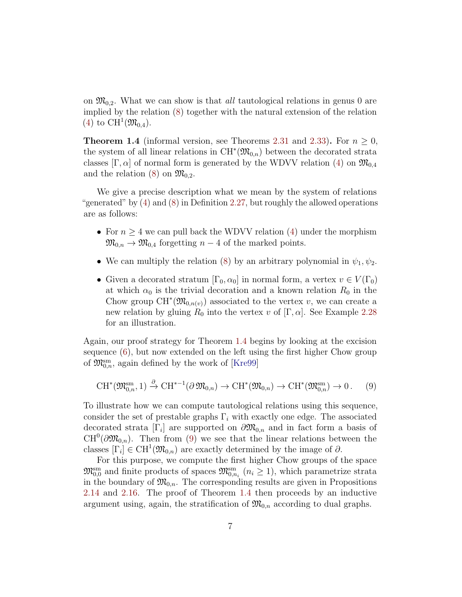on  $\mathfrak{M}_{0,2}$ . What we can show is that *all* tautological relations in genus 0 are implied by the relation [\(8\)](#page-5-2) together with the natural extension of the relation [\(4\)](#page-3-2) to  $CH^1(\mathfrak{M}_{0,4})$ .

<span id="page-6-0"></span>**Theorem 1.4** (informal version, see Theorems [2.31](#page-39-0) and [2.33\)](#page-39-1). For  $n > 0$ , the system of all linear relations in  $\mathrm{CH}^*(\mathfrak{M}_{0,n})$  between the decorated strata classes  $[\Gamma, \alpha]$  of normal form is generated by the WDVV relation [\(4\)](#page-3-2) on  $\mathfrak{M}_{0,4}$ and the relation [\(8\)](#page-5-2) on  $\mathfrak{M}_{0,2}$ .

We give a precise description what we mean by the system of relations "generated" by [\(4\)](#page-3-2) and [\(8\)](#page-5-2) in Definition [2.27,](#page-37-0) but roughly the allowed operations are as follows:

- For  $n \geq 4$  we can pull back the WDVV relation [\(4\)](#page-3-2) under the morphism  $\mathfrak{M}_{0,n} \to \mathfrak{M}_{0,4}$  forgetting  $n-4$  of the marked points.
- We can multiply the relation [\(8\)](#page-5-2) by an arbitrary polynomial in  $\psi_1, \psi_2$ .
- Given a decorated stratum  $[\Gamma_0, \alpha_0]$  in normal form, a vertex  $v \in V(\Gamma_0)$ at which  $\alpha_0$  is the trivial decoration and a known relation  $R_0$  in the Chow group  $CH^*(\mathfrak{M}_{0,n(v)})$  associated to the vertex v, we can create a new relation by gluing  $R_0$  into the vertex v of  $[\Gamma, \alpha]$ . See Example [2.28](#page-38-0) for an illustration.

Again, our proof strategy for Theorem [1.4](#page-6-0) begins by looking at the excision sequence [\(6\)](#page-4-1), but now extended on the left using the first higher Chow group of  $\mathfrak{M}_{0,n}^{\text{sm}}$ , again defined by the work of [\[Kre99\]](#page-66-3)

<span id="page-6-1"></span>
$$
\mathrm{CH}^*(\mathfrak{M}_{0,n}^{\mathrm{sm}},1) \xrightarrow{\partial} \mathrm{CH}^{*-1}(\partial \mathfrak{M}_{0,n}) \to \mathrm{CH}^*(\mathfrak{M}_{0,n}) \to \mathrm{CH}^*(\mathfrak{M}_{0,n}^{\mathrm{sm}}) \to 0. \tag{9}
$$

To illustrate how we can compute tautological relations using this sequence, consider the set of prestable graphs  $\Gamma_i$  with exactly one edge. The associated decorated strata  $[\Gamma_i]$  are supported on  $\partial \mathfrak{M}_{0,n}$  and in fact form a basis of  $CH^0(\partial \mathfrak{M}_{0,n})$ . Then from [\(9\)](#page-6-1) we see that the linear relations between the classes  $[\Gamma_i] \in \text{CH}^1(\mathfrak{M}_{0,n})$  are exactly determined by the image of  $\partial$ .

For this purpose, we compute the first higher Chow groups of the space  $\mathfrak{M}_{0,0}^{\text{sm}}$  and finite products of spaces  $\mathfrak{M}_{0,n_i}^{\text{sm}}$   $(n_i \geq 1)$ , which parametrize strata in the boundary of  $\mathfrak{M}_{0,n}$ . The corresponding results are given in Propositions [2.14](#page-26-0) and [2.16.](#page-29-0) The proof of Theorem [1.4](#page-6-0) then proceeds by an inductive argument using, again, the stratification of  $\mathfrak{M}_{0,n}$  according to dual graphs.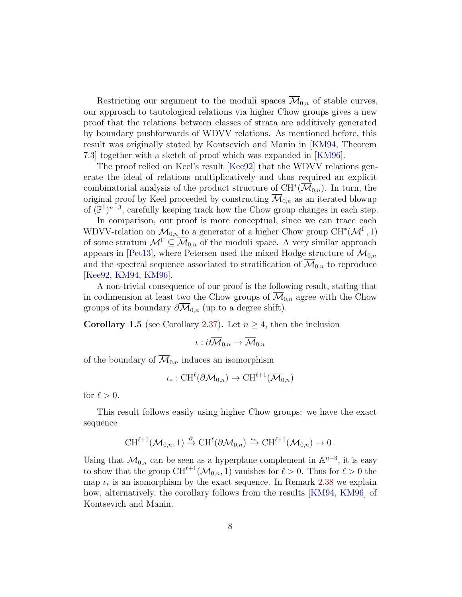Restricting our argument to the moduli spaces  $\mathcal{M}_{0,n}$  of stable curves, our approach to tautological relations via higher Chow groups gives a new proof that the relations between classes of strata are additively generated by boundary pushforwards of WDVV relations. As mentioned before, this result was originally stated by Kontsevich and Manin in [\[KM94,](#page-66-1) Theorem 7.3] together with a sketch of proof which was expanded in [\[KM96\]](#page-66-2).

The proof relied on Keel's result [\[Kee92\]](#page-66-0) that the WDVV relations generate the ideal of relations multiplicatively and thus required an explicit combinatorial analysis of the product structure of  $\mathrm{CH}^*(\overline{\mathcal{M}}_{0,n})$ . In turn, the original proof by Keel proceeded by constructing  $\overline{\mathcal{M}}_{0,n}$  as an iterated blowup of  $(\mathbb{P}^1)^{n-3}$ , carefully keeping track how the Chow group changes in each step.

In comparison, our proof is more conceptual, since we can trace each WDVV-relation on  $\overline{\mathcal{M}}_{0,n}$  to a generator of a higher Chow group CH<sup>\*</sup>( $\mathcal{M}^{\Gamma}$ , 1) of some stratum  $\mathcal{M}^{\Gamma} \subseteq \overline{\mathcal{M}}_{0,n}$  of the moduli space. A very similar approach appears in [\[Pet13\]](#page-67-0), where Petersen used the mixed Hodge structure of  $\mathcal{M}_{0,n}$ and the spectral sequence associated to stratification of  $\mathcal{M}_{0,n}$  to reproduce [\[Kee92,](#page-66-0) [KM94,](#page-66-1) [KM96\]](#page-66-2).

A non-trivial consequence of our proof is the following result, stating that in codimension at least two the Chow groups of  $\mathcal{M}_{0,n}$  agree with the Chow groups of its boundary  $\partial \mathcal{M}_{0,n}$  (up to a degree shift).

**Corollary 1.5** (see Corollary [2.37\)](#page-44-0). Let  $n \geq 4$ , then the inclusion

$$
\iota:\partial\overline{\mathcal{M}}_{0,n}\to\overline{\mathcal{M}}_{0,n}
$$

of the boundary of  $\overline{\mathcal{M}}_{0,n}$  induces an isomorphism

$$
\iota_*: \mathrm{CH}^{\ell}(\partial \overline{\mathcal{M}}_{0,n}) \to \mathrm{CH}^{\ell+1}(\overline{\mathcal{M}}_{0,n})
$$

for  $\ell > 0$ .

This result follows easily using higher Chow groups: we have the exact sequence

$$
\mathrm{CH}^{\ell+1}(\mathcal{M}_{0,n},1)\xrightarrow{\partial} \mathrm{CH}^{\ell}(\partial\overline{\mathcal{M}}_{0,n})\xrightarrow{\iota_*} \mathrm{CH}^{\ell+1}(\overline{\mathcal{M}}_{0,n})\to 0.
$$

Using that  $\mathcal{M}_{0,n}$  can be seen as a hyperplane complement in  $\mathbb{A}^{n-3}$ , it is easy to show that the group  $\text{CH}^{\ell+1}(\mathcal{M}_{0,n}, 1)$  vanishes for  $\ell > 0$ . Thus for  $\ell > 0$  the map  $\iota_*$  is an isomorphism by the exact sequence. In Remark [2.38](#page-45-0) we explain how, alternatively, the corollary follows from the results [\[KM94,](#page-66-1) [KM96\]](#page-66-2) of Kontsevich and Manin.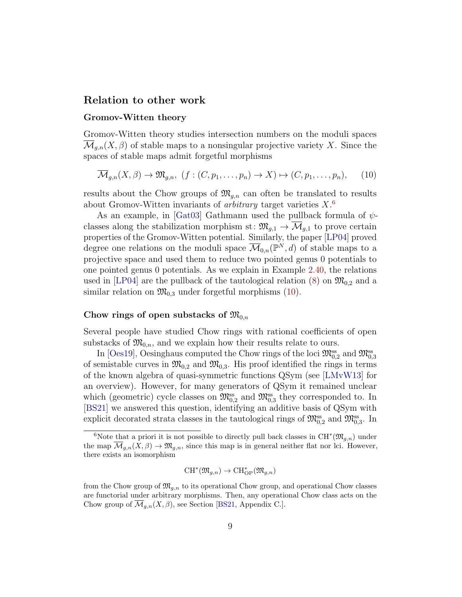#### Relation to other work

#### Gromov-Witten theory

Gromov-Witten theory studies intersection numbers on the moduli spaces  $\mathcal{M}_{q,n}(X,\beta)$  of stable maps to a nonsingular projective variety X. Since the spaces of stable maps admit forgetful morphisms

<span id="page-8-1"></span>
$$
\overline{\mathcal{M}}_{g,n}(X,\beta) \to \mathfrak{M}_{g,n}, \ (f:(C,p_1,\ldots,p_n) \to X) \mapsto (C,p_1,\ldots,p_n), \qquad (10)
$$

results about the Chow groups of  $\mathfrak{M}_{q,n}$  can often be translated to results about Gromov-Witten invariants of *arbitrary* target varieties  $X$ <sup>[6](#page-8-0)</sup>

As an example, in [\[Gat03\]](#page-65-0) Gathmann used the pullback formula of  $\psi$ classes along the stabilization morphism st:  $\mathfrak{M}_{g,1} \to \overline{\mathcal{M}}_{g,1}$  to prove certain properties of the Gromov-Witten potential. Similarly, the paper [\[LP04\]](#page-66-4) proved degree one relations on the moduli space  $\overline{\mathcal{M}}_{0,n}(\mathbb{P}^N,d)$  of stable maps to a projective space and used them to reduce two pointed genus 0 potentials to one pointed genus 0 potentials. As we explain in Example [2.40,](#page-48-1) the relations used in [\[LP04\]](#page-66-4) are the pullback of the tautological relation  $(8)$  on  $\mathfrak{M}_{0,2}$  and a similar relation on  $\mathfrak{M}_{0,3}$  under forgetful morphisms [\(10\)](#page-8-1).

#### Chow rings of open substacks of  $\mathfrak{M}_{0,n}$

Several people have studied Chow rings with rational coefficients of open substacks of  $\mathfrak{M}_{0,n}$ , and we explain how their results relate to ours.

In [\[Oes19\]](#page-67-1), Oesinghaus computed the Chow rings of the loci  $\mathfrak{M}_{0,2}^{ss}$  and  $\mathfrak{M}_{0,3}^{ss}$ of semistable curves in  $\mathfrak{M}_{0,2}$  and  $\mathfrak{M}_{0,3}$ . His proof identified the rings in terms of the known algebra of quasi-symmetric functions QSym (see [\[LMvW13\]](#page-66-5) for an overview). However, for many generators of QSym it remained unclear which (geometric) cycle classes on  $\mathfrak{M}_{0,2}^{\text{ss}}$  and  $\mathfrak{M}_{0,3}^{\text{ss}}$  they corresponded to. In [\[BS21\]](#page-64-0) we answered this question, identifying an additive basis of QSym with explicit decorated strata classes in the tautological rings of  $\mathfrak{M}_{0,2}^{ss}$  and  $\mathfrak{M}_{0,3}^{ss}$ . In

$$
{\rm CH}^*(\mathfrak{M}_{g,n}) \to {\rm CH}^*_{\rm OP}(\mathfrak{M}_{g,n})
$$

<span id="page-8-0"></span><sup>&</sup>lt;sup>6</sup>Note that a priori it is not possible to directly pull back classes in  $CH^*(\mathfrak{M}_{g,n})$  under the map  $\mathcal{M}_{g,n}(X,\beta) \to \mathfrak{M}_{g,n}$ , since this map is in general neither flat nor lci. However, there exists an isomorphism

from the Chow group of  $\mathfrak{M}_{a,n}$  to its operational Chow group, and operational Chow classes are functorial under arbitrary morphisms. Then, any operational Chow class acts on the Chow group of  $\overline{\mathcal{M}}_{q,n}(X,\beta)$ , see Section [\[BS21,](#page-64-0) Appendix C.].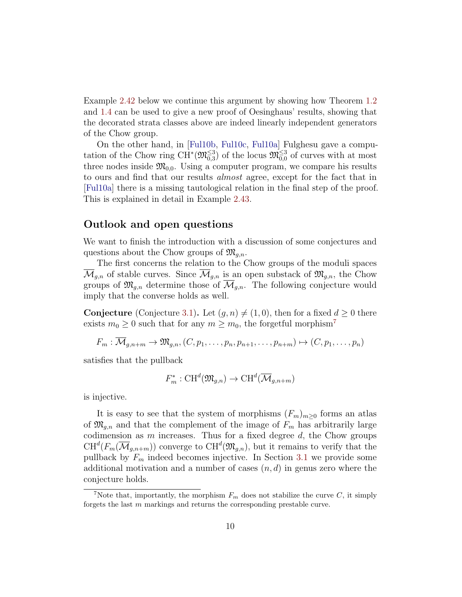Example [2.42](#page-49-0) below we continue this argument by showing how Theorem [1.2](#page-4-2) and [1.4](#page-6-0) can be used to give a new proof of Oesinghaus' results, showing that the decorated strata classes above are indeed linearly independent generators of the Chow group.

On the other hand, in [\[Ful10b,](#page-65-1) [Ful10c,](#page-65-2) [Ful10a\]](#page-65-3) Fulghesu gave a computation of the Chow ring  $\text{CH}^*(\mathfrak{M}_{0,3}^{\leq 3})$  of the locus  $\mathfrak{M}_{0,0}^{\leq 3}$  of curves with at most three nodes inside  $\mathfrak{M}_{0,0}$ . Using a computer program, we compare his results to ours and find that our results almost agree, except for the fact that in [\[Ful10a\]](#page-65-3) there is a missing tautological relation in the final step of the proof. This is explained in detail in Example [2.43.](#page-50-0)

#### <span id="page-9-1"></span>Outlook and open questions

We want to finish the introduction with a discussion of some conjectures and questions about the Chow groups of  $\mathfrak{M}_{q,n}$ .

The first concerns the relation to the Chow groups of the moduli spaces  $\overline{\mathcal{M}}_{g,n}$  of stable curves. Since  $\overline{\mathcal{M}}_{g,n}$  is an open substack of  $\mathfrak{M}_{g,n}$ , the Chow groups of  $\mathfrak{M}_{q,n}$  determine those of  $\overline{\mathcal{M}}_{q,n}$ . The following conjecture would imply that the converse holds as well.

**Conjecture** (Conjecture [3.1\)](#page-57-0). Let  $(g, n) \neq (1, 0)$ , then for a fixed  $d \geq 0$  there exists  $m_0 \geq 0$  such that for any  $m \geq m_0$ , the forgetful morphism<sup>[7](#page-9-0)</sup>

$$
F_m: \overline{\mathcal{M}}_{g,n+m} \to \mathfrak{M}_{g,n}, (C, p_1, \ldots, p_n, p_{n+1}, \ldots, p_{n+m}) \mapsto (C, p_1, \ldots, p_n)
$$

satisfies that the pullback

$$
F_m^* : \mathrm{CH}^d(\mathfrak{M}_{g,n}) \to \mathrm{CH}^d(\overline{\mathcal{M}}_{g,n+m})
$$

is injective.

It is easy to see that the system of morphisms  $(F_m)_{m\geq 0}$  forms an atlas of  $\mathfrak{M}_{g,n}$  and that the complement of the image of  $F_m$  has arbitrarily large codimension as  $m$  increases. Thus for a fixed degree  $d$ , the Chow groups  $CH^{d}(F_{m}(\overline{\mathcal{M}}_{g,n+m}))$  converge to  $CH^{d}(\mathfrak{M}_{g,n}),$  but it remains to verify that the pullback by  $F_m$  indeed becomes injective. In Section [3.1](#page-56-1) we provide some additional motivation and a number of cases  $(n, d)$  in genus zero where the conjecture holds.

<span id="page-9-0"></span><sup>&</sup>lt;sup>7</sup>Note that, importantly, the morphism  $F_m$  does not stabilize the curve C, it simply forgets the last m markings and returns the corresponding prestable curve.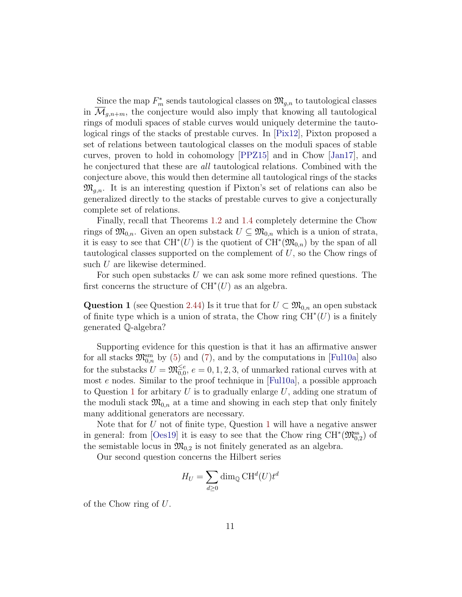Since the map  $F_m^*$  sends tautological classes on  $\mathfrak{M}_{g,n}$  to tautological classes in  $\mathcal{M}_{q,n+m}$ , the conjecture would also imply that knowing all tautological rings of moduli spaces of stable curves would uniquely determine the tautological rings of the stacks of prestable curves. In [\[Pix12\]](#page-67-2), Pixton proposed a set of relations between tautological classes on the moduli spaces of stable curves, proven to hold in cohomology [\[PPZ15\]](#page-67-3) and in Chow [\[Jan17\]](#page-65-4), and he conjectured that these are all tautological relations. Combined with the conjecture above, this would then determine all tautological rings of the stacks  $\mathfrak{M}_{q,n}$ . It is an interesting question if Pixton's set of relations can also be generalized directly to the stacks of prestable curves to give a conjecturally complete set of relations.

Finally, recall that Theorems [1.2](#page-4-2) and [1.4](#page-6-0) completely determine the Chow rings of  $\mathfrak{M}_{0,n}$ . Given an open substack  $U \subseteq \mathfrak{M}_{0,n}$  which is a union of strata, it is easy to see that  $\mathrm{CH}^*(U)$  is the quotient of  $\mathrm{CH}^*(\mathfrak{M}_{0,n})$  by the span of all tautological classes supported on the complement of  $U$ , so the Chow rings of such U are likewise determined.

For such open substacks  $U$  we can ask some more refined questions. The first concerns the structure of  $CH^*(U)$  as an algebra.

Question 1 (see Question [2.44\)](#page-55-0) Is it true that for  $U \subset \mathfrak{M}_{0,n}$  an open substack of finite type which is a union of strata, the Chow ring  $\overline{CH}^*(U)$  is a finitely generated Q-algebra?

Supporting evidence for this question is that it has an affirmative answer for all stacks  $\mathfrak{M}_{0,n}^{\text{sm}}$  by [\(5\)](#page-3-1) and [\(7\)](#page-4-3), and by the computations in [\[Ful10a\]](#page-65-3) also for the substacks  $U = \mathfrak{M}_{0,0}^{\leq e}, e = 0, 1, 2, 3$ , of unmarked rational curves with at most e nodes. Similar to the proof technique in [\[Ful10a\]](#page-65-3), a possible approach to Question [1](#page-9-1) for arbitary U is to gradually enlarge  $U$ , adding one stratum of the moduli stack  $\mathfrak{M}_{0,n}$  at a time and showing in each step that only finitely many additional generators are necessary.

Note that for U not of finite type, Question [1](#page-9-1) will have a negative answer in general: from [\[Oes19\]](#page-67-1) it is easy to see that the Chow ring  $CH^*(\mathfrak{M}_{0,2}^{ss})$  of the semistable locus in  $\mathfrak{M}_{0,2}$  is not finitely generated as an algebra.

Our second question concerns the Hilbert series

$$
H_U = \sum_{d \ge 0} \dim_{\mathbb{Q}} \mathrm{CH}^d(U) t^d
$$

of the Chow ring of U.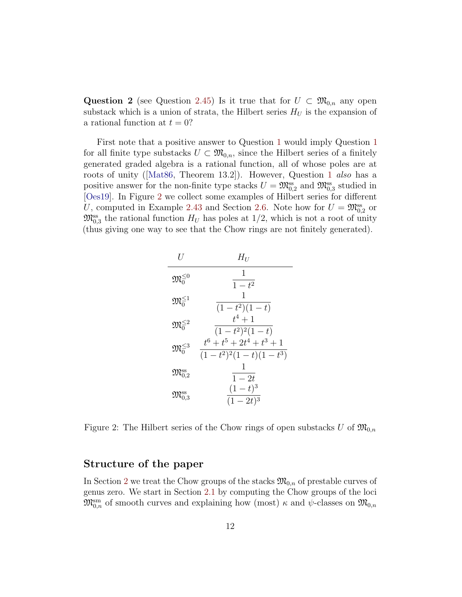Question 2 (see Question [2.45\)](#page-55-1) Is it true that for  $U \subset \mathfrak{M}_{0,n}$  any open substack which is a union of strata, the Hilbert series  $H_U$  is the expansion of a rational function at  $t = 0$ ?

First note that a positive answer to Question [1](#page-9-1) would imply Question [1](#page-9-1) for all finite type substacks  $U \subset \mathfrak{M}_{0,n}$ , since the Hilbert series of a finitely generated graded algebra is a rational function, all of whose poles are at roots of unity([\[Mat86,](#page-67-4) Theorem 13.2]). However, Question [1](#page-9-1) also has a positive answer for the non-finite type stacks  $U = \mathfrak{M}_{0,2}^{\text{ss}}$  and  $\mathfrak{M}_{0,3}^{\text{ss}}$  studied in [\[Oes19\]](#page-67-1). In Figure [2](#page-11-0) we collect some examples of Hilbert series for different U, computed in Example [2.43](#page-50-0) and Section [2.6.](#page-54-0) Note how for  $U = \mathfrak{M}_{0,2}^{\text{ss}}$  or  $\mathfrak{M}_{0,3}^{\text{ss}}$  the rational function  $H_U$  has poles at 1/2, which is not a root of unity (thus giving one way to see that the Chow rings are not finitely generated).

| H                                  | $H_{II}$                                                |
|------------------------------------|---------------------------------------------------------|
| $\mathfrak{M}_{0}^{\leq 0}$        | 1<br>$1-t^2$                                            |
| $\mathfrak{M}_{0}^{\leq 1}$        | 1<br>$(1-t^2)(1-t)$                                     |
| $\mathfrak{M}_{0}^{\leq 2}$        | $t^4+1$<br>$(1-t^2)^2(1-t)$                             |
| $\mathfrak{M}_{0}^{\leq 3}$        | $t^6 + t^5 + 2t^4 + t^3 + 1$<br>$(1-t^2)^2(1-t)(1-t^3)$ |
| $\mathfrak{M}_{0,2}^{\text{ss}}$   | 1<br>$1-2t$                                             |
| $\mathfrak{M}_{0.3}^{\mathsf{ss}}$ | $(1-t)^3$<br>$(1-2t)^3$                                 |

<span id="page-11-0"></span>Figure 2: The Hilbert series of the Chow rings of open substacks U of  $\mathfrak{M}_{0,n}$ 

### Structure of the paper

In Section [2](#page-13-0) we treat the Chow groups of the stacks  $\mathfrak{M}_{0,n}$  of prestable curves of genus zero. We start in Section [2.1](#page-13-1) by computing the Chow groups of the loci  $\mathfrak{M}^{\text{sm}}_{0,n}$  of smooth curves and explaining how (most)  $\kappa$  and  $\psi$ -classes on  $\mathfrak{M}_{0,n}$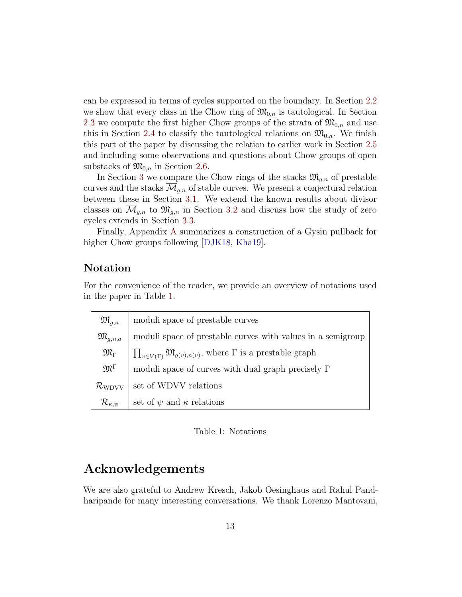can be expressed in terms of cycles supported on the boundary. In Section [2.2](#page-17-0) we show that every class in the Chow ring of  $\mathfrak{M}_{0,n}$  is tautological. In Section [2.3](#page-23-0) we compute the first higher Chow groups of the strata of  $\mathfrak{M}_{0,n}$  and use this in Section [2.4](#page-36-0) to classify the tautological relations on  $\mathfrak{M}_{0,n}$ . We finish this part of the paper by discussing the relation to earlier work in Section [2.5](#page-48-0) and including some observations and questions about Chow groups of open substacks of  $\mathfrak{M}_{0,n}$  in Section [2.6.](#page-54-0)

In Section [3](#page-56-0) we compare the Chow rings of the stacks  $\mathfrak{M}_{q,n}$  of prestable curves and the stacks  $\mathcal{M}_{q,n}$  of stable curves. We present a conjectural relation between these in Section [3.1.](#page-56-1) We extend the known results about divisor classes on  $\overline{\mathcal{M}}_{g,n}$  to  $\mathfrak{M}_{g,n}$  in Section [3.2](#page-58-0) and discuss how the study of zero cycles extends in Section [3.3.](#page-60-0)

Finally, Appendix [A](#page-62-0) summarizes a construction of a Gysin pullback for higher Chow groups following [\[DJK18,](#page-64-1) [Kha19\]](#page-66-6).

### Notation

For the convenience of the reader, we provide an overview of notations used in the paper in Table [1.](#page-12-0)

| $\mathfrak{M}_{q,n}$        | moduli space of prestable curves                                                        |
|-----------------------------|-----------------------------------------------------------------------------------------|
| $\mathfrak{M}_{q,n,a}$      | moduli space of prestable curves with values in a semigroup                             |
| $\mathfrak{M}_{\Gamma}$     | $\prod_{v \in V(\Gamma)} \mathfrak{M}_{g(v),n(v)},$ where $\Gamma$ is a prestable graph |
| $\mathfrak{M}^{\Gamma}$     | moduli space of curves with dual graph precisely $\Gamma$                               |
| $\mathcal{R}_{\rm WDVV}$    | set of WDVV relations                                                                   |
| $\mathcal{R}_{\kappa,\psi}$ | set of $\psi$ and $\kappa$ relations                                                    |

<span id="page-12-0"></span>Table 1: Notations

### Acknowledgements

We are also grateful to Andrew Kresch, Jakob Oesinghaus and Rahul Pandharipande for many interesting conversations. We thank Lorenzo Mantovani,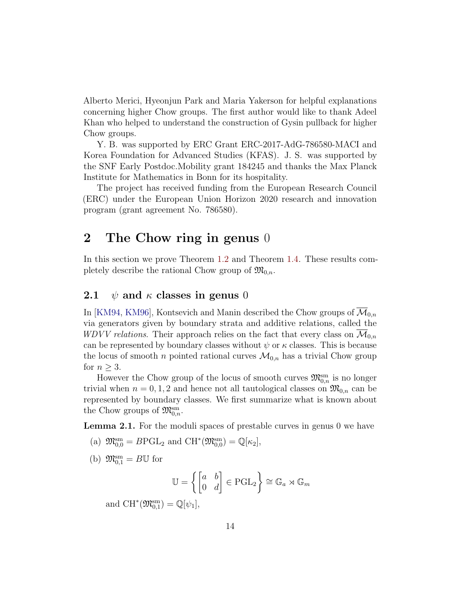Alberto Merici, Hyeonjun Park and Maria Yakerson for helpful explanations concerning higher Chow groups. The first author would like to thank Adeel Khan who helped to understand the construction of Gysin pullback for higher Chow groups.

Y. B. was supported by ERC Grant ERC-2017-AdG-786580-MACI and Korea Foundation for Advanced Studies (KFAS). J. S. was supported by the SNF Early Postdoc.Mobility grant 184245 and thanks the Max Planck Institute for Mathematics in Bonn for its hospitality.

The project has received funding from the European Research Council (ERC) under the European Union Horizon 2020 research and innovation program (grant agreement No. 786580).

### <span id="page-13-0"></span>2 The Chow ring in genus 0

In this section we prove Theorem [1.2](#page-4-2) and Theorem [1.4.](#page-6-0) These results completely describe the rational Chow group of  $\mathfrak{M}_{0,n}$ .

### <span id="page-13-1"></span>2.1  $\psi$  and  $\kappa$  classes in genus 0

In [\[KM94,](#page-66-1) [KM96\]](#page-66-2), Kontsevich and Manin described the Chow groups of  $\overline{\mathcal{M}}_{0,n}$ via generators given by boundary strata and additive relations, called the WDVV relations. Their approach relies on the fact that every class on  $\mathcal{M}_{0,n}$ can be represented by boundary classes without  $\psi$  or  $\kappa$  classes. This is because the locus of smooth *n* pointed rational curves  $\mathcal{M}_{0,n}$  has a trivial Chow group for  $n \geq 3$ .

However the Chow group of the locus of smooth curves  $\mathfrak{M}_{0,n}^{\text{sm}}$  is no longer trivial when  $n = 0, 1, 2$  and hence not all tautological classes on  $\mathfrak{M}_{0,n}$  can be represented by boundary classes. We first summarize what is known about the Chow groups of  $\mathfrak{M}_{0,n}^{sm}$ .

<span id="page-13-2"></span>**Lemma 2.1.** For the moduli spaces of prestable curves in genus 0 we have

- (a)  $\mathfrak{M}_{0,0}^{\text{sm}} = B\text{PGL}_2$  and  $\text{CH}^*(\mathfrak{M}_{0,0}^{\text{sm}}) = \mathbb{Q}[\kappa_2],$
- (b)  $\mathfrak{M}_{0,1}^{\text{sm}} = B\mathbb{U}$  for

$$
\mathbb{U} = \left\{ \begin{bmatrix} a & b \\ 0 & d \end{bmatrix} \in \text{PGL}_2 \right\} \cong \mathbb{G}_a \rtimes \mathbb{G}_m
$$

and  $CH^*(\mathfrak{M}_{0,1}^{sm}) = \mathbb{Q}[\psi_1],$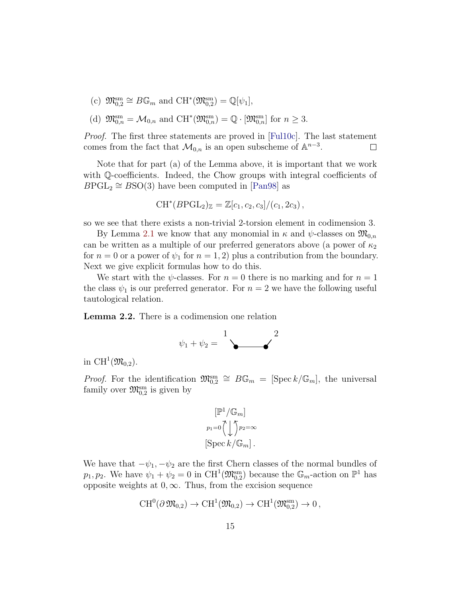(c)  $\mathfrak{M}_{0,2}^{\text{sm}} \cong B\mathbb{G}_m$  and  $\text{CH}^*(\mathfrak{M}_{0,2}^{\text{sm}}) = \mathbb{Q}[\psi_1],$ 

(d) 
$$
\mathfrak{M}_{0,n}^{\text{sm}} = \mathcal{M}_{0,n}
$$
 and  $\text{CH}^*(\mathfrak{M}_{0,n}^{\text{sm}}) = \mathbb{Q} \cdot [\mathfrak{M}_{0,n}^{\text{sm}}]$  for  $n \geq 3$ .

*Proof.* The first three statements are proved in [\[Ful10c\]](#page-65-2). The last statement comes from the fact that  $\mathcal{M}_{0,n}$  is an open subscheme of  $\mathbb{A}^{n-3}$ .  $\Box$ 

Note that for part (a) of the Lemma above, it is important that we work with Q-coefficients. Indeed, the Chow groups with integral coefficients of  $B\text{PGL}_2 \cong B\text{SO}(3)$  have been computed in [\[Pan98\]](#page-67-5) as

$$
CH^*(B\textrm{PGL}_2)_{\mathbb{Z}} = \mathbb{Z}[c_1, c_2, c_3]/(c_1, 2c_3),
$$

so we see that there exists a non-trivial 2-torsion element in codimension 3.

By Lemma [2.1](#page-13-2) we know that any monomial in  $\kappa$  and  $\psi$ -classes on  $\mathfrak{M}_{0,n}$ can be written as a multiple of our preferred generators above (a power of  $\kappa_2$ ) for  $n = 0$  or a power of  $\psi_1$  for  $n = 1, 2$ ) plus a contribution from the boundary. Next we give explicit formulas how to do this.

We start with the  $\psi$ -classes. For  $n = 0$  there is no marking and for  $n = 1$ the class  $\psi_1$  is our preferred generator. For  $n = 2$  we have the following useful tautological relation.

<span id="page-14-0"></span>Lemma 2.2. There is a codimension one relation



in CH<sup>1</sup> $(\mathfrak{M}_{0,2})$ .

*Proof.* For the identification  $\mathfrak{M}_{0,2}^{\text{sm}} \cong B\mathbb{G}_m = [\text{Spec } k/\mathbb{G}_m]$ , the universal family over  $\mathfrak{M}_{0,2}^{\text{sm}}$  is given by

$$
\begin{aligned} &\left[\mathbb{P}^1/\mathbb{G}_m\right] \\ &p_1\text{=}0\bigg(\bigcup p_2\text{=}\infty \\ &\left[\text{Spec}\,k/\mathbb{G}_m\right]. \end{aligned}
$$

We have that  $-\psi_1, -\psi_2$  are the first Chern classes of the normal bundles of  $p_1, p_2$ . We have  $\psi_1 + \psi_2 = 0$  in CH<sup>1</sup>( $\mathfrak{M}_{0,2}^{sm}$ ) because the  $\mathbb{G}_m$ -action on  $\mathbb{P}^1$  has opposite weights at  $0, \infty$ . Thus, from the excision sequence

$$
\operatorname{CH}^0(\partial\operatorname{\mathfrak{M}}_{0,2})\to \operatorname{CH}^1(\operatorname{\mathfrak{M}}_{0,2})\to \operatorname{CH}^1(\operatorname{\mathfrak{M}}_{0,2}^{\operatorname{sm}})\to 0\,,
$$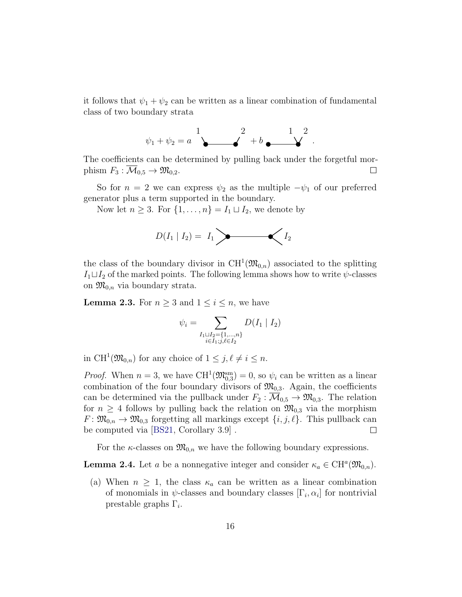it follows that  $\psi_1 + \psi_2$  can be written as a linear combination of fundamental class of two boundary strata



The coefficients can be determined by pulling back under the forgetful morphism  $F_3$ :  $\overline{\mathcal{M}}_{0,5} \to \mathfrak{M}_{0,2}$ .  $\Box$ 

So for  $n = 2$  we can express  $\psi_2$  as the multiple  $-\psi_1$  of our preferred generator plus a term supported in the boundary.

Now let  $n \geq 3$ . For  $\{1, \ldots, n\} = I_1 \sqcup I_2$ , we denote by



the class of the boundary divisor in  $\mathrm{CH}^1(\mathfrak{M}_{0,n})$  associated to the splitting  $I_1 \sqcup I_2$  of the marked points. The following lemma shows how to write  $\psi$ -classes on  $\mathfrak{M}_{0,n}$  via boundary strata.

<span id="page-15-0"></span>**Lemma 2.3.** For  $n \geq 3$  and  $1 \leq i \leq n$ , we have

$$
\psi_i = \sum_{\substack{I_1 \sqcup I_2 = \{1, \dots, n\} \\ i \in I_1; j, \ell \in I_2}} D(I_1 | I_2)
$$

in  $\text{CH}^1(\mathfrak{M}_{0,n})$  for any choice of  $1 \leq j, \ell \neq i \leq n$ .

*Proof.* When  $n = 3$ , we have CH<sup>1</sup>( $\mathfrak{M}_{0,3}^{\text{sm}}$ ) = 0, so  $\psi_i$  can be written as a linear combination of the four boundary divisors of  $\mathfrak{M}_{0,3}$ . Again, the coefficients can be determined via the pullback under  $F_2 : \overline{\mathcal{M}}_{0,5} \to \mathfrak{M}_{0,3}$ . The relation for  $n \geq 4$  follows by pulling back the relation on  $\mathfrak{M}_{0,3}$  via the morphism  $F: \mathfrak{M}_{0,n} \to \mathfrak{M}_{0,3}$  forgetting all markings except  $\{i, j, \ell\}$ . This pullback can be computed via [\[BS21,](#page-64-0) Corollary 3.9] .  $\Box$ 

For the  $\kappa$ -classes on  $\mathfrak{M}_{0,n}$  we have the following boundary expressions.

<span id="page-15-1"></span>**Lemma 2.4.** Let a be a nonnegative integer and consider  $\kappa_a \in \mathrm{CH}^a(\mathfrak{M}_{0,n})$ .

(a) When  $n \geq 1$ , the class  $\kappa_a$  can be written as a linear combination of monomials in  $\psi$ -classes and boundary classes  $[\Gamma_i, \alpha_i]$  for nontrivial prestable graphs  $\Gamma_i$ .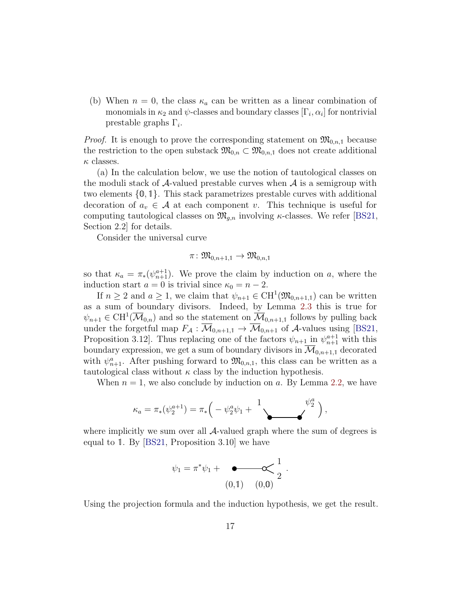(b) When  $n = 0$ , the class  $\kappa_a$  can be written as a linear combination of monomials in  $\kappa_2$  and  $\psi$ -classes and boundary classes  $[\Gamma_i, \alpha_i]$  for nontrivial prestable graphs  $\Gamma_i$ .

*Proof.* It is enough to prove the corresponding statement on  $\mathfrak{M}_{0,n,1}$  because the restriction to the open substack  $\mathfrak{M}_{0,n} \subset \mathfrak{M}_{0,n,1}$  does not create additional  $\kappa$  classes.

(a) In the calculation below, we use the notion of tautological classes on the moduli stack of  $\mathcal{A}$ -valued prestable curves when  $\mathcal{A}$  is a semigroup with two elements {0, 1}. This stack parametrizes prestable curves with additional decoration of  $a_v \in \mathcal{A}$  at each component v. This technique is useful for computing tautological classes on  $\mathfrak{M}_{q,n}$  involving  $\kappa$ -classes. We refer [\[BS21,](#page-64-0) Section 2.2] for details.

Consider the universal curve

$$
\pi\colon \mathfrak{M}_{0,n+1,1}\to \mathfrak{M}_{0,n,1}
$$

so that  $\kappa_a = \pi_*(\psi_{n+1}^{a+1})$ . We prove the claim by induction on a, where the induction start  $a = 0$  is trivial since  $\kappa_0 = n - 2$ .

If  $n \geq 2$  and  $a \geq 1$ , we claim that  $\psi_{n+1} \in \text{CH}^1(\mathfrak{M}_{0,n+1,1})$  can be written as a sum of boundary divisors. Indeed, by Lemma [2.3](#page-15-0) this is true for  $\psi_{n+1} \in \mathrm{CH}^1(\overline{\mathcal{M}}_{0,n})$  and so the statement on  $\overline{\mathcal{M}}_{0,n+1,1}$  follows by pulling back under the forgetful map  $F_A : \overline{\mathcal{M}}_{0,n+1,1} \to \overline{\mathcal{M}}_{0,n+1}$  of A-values using [\[BS21,](#page-64-0) Proposition 3.12. Thus replacing one of the factors  $\psi_{n+1}$  in  $\psi_{n+1}^{a+1}$  with this boundary expression, we get a sum of boundary divisors in  $\mathcal{M}_{0,n+1,1}$  decorated with  $\psi_{n+1}^a$ . After pushing forward to  $\mathfrak{M}_{0,n,1}$ , this class can be written as a tautological class without  $\kappa$  class by the induction hypothesis.

When  $n = 1$ , we also conclude by induction on a. By Lemma [2.2,](#page-14-0) we have

$$
\kappa_a = \pi_*(\psi_2^{a+1}) = \pi_* \left( -\psi_2^a \psi_1 + \frac{1}{\sqrt{2}} \right),
$$

where implicitly we sum over all  $\mathcal{A}\text{-valued graph}$  where the sum of degrees is equal to 1. By [\[BS21,](#page-64-0) Proposition 3.10] we have

$$
\psi_1 = \pi^* \psi_1 + \underbrace{\bullet \bullet \bullet}_{(0,1)} \underbrace{\bullet \bullet}_{(0,0)} \frac{1}{2}
$$

.

Using the projection formula and the induction hypothesis, we get the result.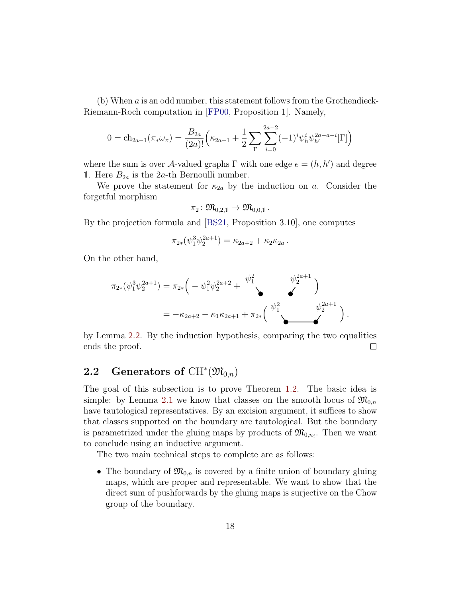(b) When  $\alpha$  is an odd number, this statement follows from the Grothendieck-Riemann-Roch computation in [\[FP00,](#page-65-5) Proposition 1]. Namely,

$$
0 = \mathrm{ch}_{2a-1}(\pi_* \omega_\pi) = \frac{B_{2a}}{(2a)!} \left( \kappa_{2a-1} + \frac{1}{2} \sum_{\Gamma} \sum_{i=0}^{2a-2} (-1)^i \psi_h^i \psi_{h'}^{2a-a-i}[\Gamma] \right)
$$

where the sum is over A-valued graphs  $\Gamma$  with one edge  $e = (h, h')$  and degree 1. Here  $B_{2a}$  is the 2a-th Bernoulli number.

We prove the statement for  $\kappa_{2a}$  by the induction on a. Consider the forgetful morphism

$$
\pi_2\colon \mathfrak{M}_{0,2,1}\to \mathfrak{M}_{0,0,1}\ .
$$

By the projection formula and [\[BS21,](#page-64-0) Proposition 3.10], one computes

$$
\pi_{2*}(\psi_1^3 \psi_2^{2a+1}) = \kappa_{2a+2} + \kappa_2 \kappa_{2a}.
$$

On the other hand,

$$
\pi_{2*}(\psi_1^3 \psi_2^{2a+1}) = \pi_{2*} \left( -\psi_1^2 \psi_2^{2a+2} + \bigvee^{\psi_1^2} \psi_2^{2a+1} \right)
$$
  
=  $-\kappa_{2a+2} - \kappa_1 \kappa_{2a+1} + \pi_{2*} \left( \bigvee^{\psi_1^2} \bigvee^{\psi_2^{2a+1}} \right).$ 

by Lemma [2.2.](#page-14-0) By the induction hypothesis, comparing the two equalities ends the proof.  $\Box$ 

# <span id="page-17-0"></span>2.2 Generators of  $\mathrm{CH}^*(\mathfrak{M}_{0,n})$

The goal of this subsection is to prove Theorem [1.2.](#page-4-2) The basic idea is simple: by Lemma [2.1](#page-13-2) we know that classes on the smooth locus of  $\mathfrak{M}_{0,n}$ have tautological representatives. By an excision argument, it suffices to show that classes supported on the boundary are tautological. But the boundary is parametrized under the gluing maps by products of  $\mathfrak{M}_{0,n_i}$ . Then we want to conclude using an inductive argument.

The two main technical steps to complete are as follows:

• The boundary of  $\mathfrak{M}_{0,n}$  is covered by a finite union of boundary gluing maps, which are proper and representable. We want to show that the direct sum of pushforwards by the gluing maps is surjective on the Chow group of the boundary.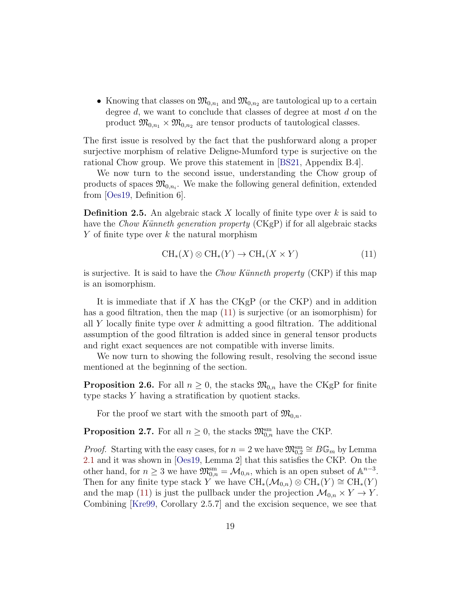• Knowing that classes on  $\mathfrak{M}_{0,n_1}$  and  $\mathfrak{M}_{0,n_2}$  are tautological up to a certain degree  $d$ , we want to conclude that classes of degree at most  $d$  on the product  $\mathfrak{M}_{0,n_1} \times \mathfrak{M}_{0,n_2}$  are tensor products of tautological classes.

The first issue is resolved by the fact that the pushforward along a proper surjective morphism of relative Deligne-Mumford type is surjective on the rational Chow group. We prove this statement in [\[BS21,](#page-64-0) Appendix B.4].

We now turn to the second issue, understanding the Chow group of products of spaces  $\mathfrak{M}_{0,n_i}$ . We make the following general definition, extended from [\[Oes19,](#page-67-1) Definition 6].

**Definition 2.5.** An algebraic stack X locally of finite type over  $k$  is said to have the *Chow Künneth generation property*  $(CKgP)$  if for all algebraic stacks Y of finite type over  $k$  the natural morphism

<span id="page-18-1"></span>
$$
CH_*(X) \otimes CH_*(Y) \to CH_*(X \times Y) \tag{11}
$$

is surjective. It is said to have the *Chow Künneth property* (CKP) if this map is an isomorphism.

It is immediate that if  $X$  has the  $CKgP$  (or the CKP) and in addition has a good filtration, then the map  $(11)$  is surjective (or an isomorphism) for all Y locally finite type over k admitting a good filtration. The additional assumption of the good filtration is added since in general tensor products and right exact sequences are not compatible with inverse limits.

We now turn to showing the following result, resolving the second issue mentioned at the beginning of the section.

<span id="page-18-0"></span>**Proposition 2.6.** For all  $n \geq 0$ , the stacks  $\mathfrak{M}_{0,n}$  have the CKgP for finite type stacks Y having a stratification by quotient stacks.

For the proof we start with the smooth part of  $\mathfrak{M}_{0,n}$ .

<span id="page-18-2"></span>**Proposition 2.7.** For all  $n \geq 0$ , the stacks  $\mathfrak{M}_{0,n}^{\text{sm}}$  have the CKP.

*Proof.* Starting with the easy cases, for  $n = 2$  we have  $\mathfrak{M}_{0,2}^{\text{sm}} \cong B\mathbb{G}_m$  by Lemma [2.1](#page-13-2) and it was shown in [\[Oes19,](#page-67-1) Lemma 2] that this satisfies the CKP. On the other hand, for  $n \geq 3$  we have  $\mathfrak{M}_{0,n}^{\text{sm}} = \mathcal{M}_{0,n}$ , which is an open subset of  $\mathbb{A}^{n-3}$ . Then for any finite type stack Y we have  $\text{CH}_{*}(\mathcal{M}_{0,n})\otimes \text{CH}_{*}(Y)\cong \text{CH}_{*}(Y)$ and the map [\(11\)](#page-18-1) is just the pullback under the projection  $\mathcal{M}_{0,n} \times Y \to Y$ . Combining [\[Kre99,](#page-66-3) Corollary 2.5.7] and the excision sequence, we see that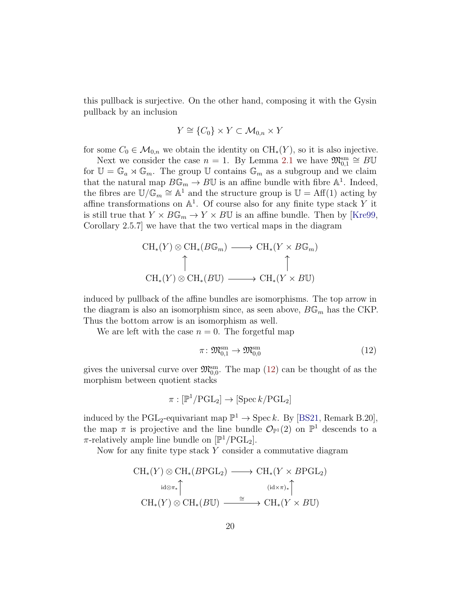this pullback is surjective. On the other hand, composing it with the Gysin pullback by an inclusion

$$
Y \cong \{C_0\} \times Y \subset \mathcal{M}_{0,n} \times Y
$$

for some  $C_0 \in \mathcal{M}_{0,n}$  we obtain the identity on  $\text{CH}_*(Y)$ , so it is also injective.

Next we consider the case  $n = 1$ . By Lemma [2.1](#page-13-2) we have  $\mathfrak{M}_{0,1}^{\text{sm}} \cong B\mathbb{U}$ for  $\mathbb{U} = \mathbb{G}_a \rtimes \mathbb{G}_m$ . The group  $\mathbb{U}$  contains  $\mathbb{G}_m$  as a subgroup and we claim that the natural map  $B\mathbb{G}_m \to B\mathbb{U}$  is an affine bundle with fibre  $\mathbb{A}^1$ . Indeed, the fibres are  $\mathbb{U}/\mathbb{G}_m \cong \mathbb{A}^1$  and the structure group is  $\mathbb{U} = \text{Aff}(1)$  acting by affine transformations on  $\mathbb{A}^1$ . Of course also for any finite type stack Y it is still true that  $Y \times B\mathbb{G}_m \to Y \times B\mathbb{U}$  is an affine bundle. Then by [\[Kre99,](#page-66-3) Corollary 2.5.7] we have that the two vertical maps in the diagram

$$
\mathrm{CH}_{*}(Y) \otimes \mathrm{CH}_{*}(B\mathbb{G}_{m}) \longrightarrow \mathrm{CH}_{*}(Y \times B\mathbb{G}_{m})
$$
  
\n
$$
\uparrow \qquad \qquad \uparrow
$$
  
\n
$$
\mathrm{CH}_{*}(Y) \otimes \mathrm{CH}_{*}(B\mathbb{U}) \longrightarrow \mathrm{CH}_{*}(Y \times B\mathbb{U})
$$

induced by pullback of the affine bundles are isomorphisms. The top arrow in the diagram is also an isomorphism since, as seen above,  $B\mathbb{G}_m$  has the CKP. Thus the bottom arrow is an isomorphism as well.

We are left with the case  $n = 0$ . The forgetful map

<span id="page-19-0"></span>
$$
\pi \colon \mathfrak{M}_{0,1}^{\mathrm{sm}} \to \mathfrak{M}_{0,0}^{\mathrm{sm}} \tag{12}
$$

gives the universal curve over  $\mathfrak{M}_{0,0}^{\text{sm}}$ . The map [\(12\)](#page-19-0) can be thought of as the morphism between quotient stacks

$$
\pi : [\mathbb{P}^1/\mathrm{PGL}_2] \to [\mathrm{Spec}\, k/\mathrm{PGL}_2]
$$

induced by the PGL<sub>2</sub>-equivariant map  $\mathbb{P}^1 \to \text{Spec } k$ . By [\[BS21,](#page-64-0) Remark B.20], the map  $\pi$  is projective and the line bundle  $\mathcal{O}_{\mathbb{P}^1}(2)$  on  $\mathbb{P}^1$  descends to a  $\pi$ -relatively ample line bundle on  $[\mathbb{P}^1/\text{PGL}_2]$ .

Now for any finite type stack Y consider a commutative diagram

$$
\mathrm{CH}_{*}(Y) \otimes \mathrm{CH}_{*}(B \mathrm{PGL}_{2}) \longrightarrow \mathrm{CH}_{*}(Y \times B \mathrm{PGL}_{2})
$$
\n
$$
\mathrm{id} \otimes \pi_{*} \qquad \qquad (\mathrm{id} \times \pi)_{*} \qquad \qquad (\mathrm{id} \times \pi)_{*}
$$
\n
$$
\mathrm{CH}_{*}(Y) \otimes \mathrm{CH}_{*}(B \mathbb{U}) \xrightarrow{\cong} \mathrm{CH}_{*}(Y \times B \mathbb{U})
$$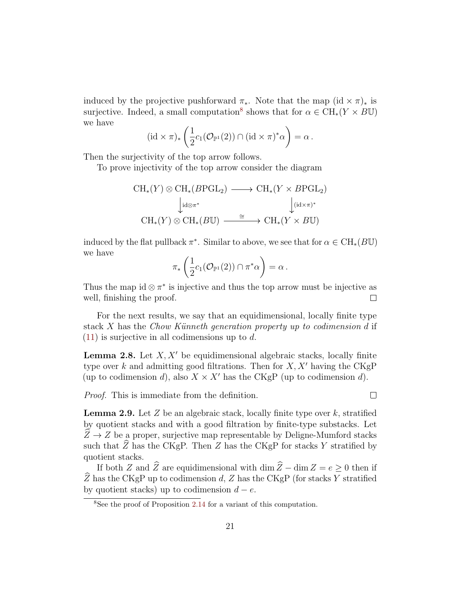induced by the projective pushforward  $\pi_*$ . Note that the map (id  $\times \pi$ )<sub>\*</sub> is surjective. Indeed, a small computation<sup>[8](#page-20-0)</sup> shows that for  $\alpha \in \mathrm{CH}_*(Y \times \overline{B} \mathbb{U})$ we have

$$
(\mathrm{id} \times \pi)_* \left( \frac{1}{2} c_1(\mathcal{O}_{\mathbb{P}^1}(2)) \cap (\mathrm{id} \times \pi)^* \alpha \right) = \alpha.
$$

Then the surjectivity of the top arrow follows.

To prove injectivity of the top arrow consider the diagram

$$
\mathrm{CH}_{*}(Y) \otimes \mathrm{CH}_{*}(B \mathrm{PGL}_{2}) \longrightarrow \mathrm{CH}_{*}(Y \times B \mathrm{PGL}_{2})
$$
  
\n
$$
\downarrow_{\mathrm{id} \otimes \pi^{*}} \qquad \qquad \downarrow_{(\mathrm{id} \times \pi)^{*}}
$$
  
\n
$$
\mathrm{CH}_{*}(Y) \otimes \mathrm{CH}_{*}(B \mathbb{U}) \xrightarrow{\cong} \mathrm{CH}_{*}(Y \times B \mathbb{U})
$$

induced by the flat pullback  $\pi^*$ . Similar to above, we see that for  $\alpha \in \mathrm{CH}_*(B\mathbb{U})$ we have

$$
\pi_*\left(\frac{1}{2}c_1(\mathcal{O}_{\mathbb{P}^1}(2))\cap \pi^*\alpha\right)=\alpha.
$$

Thus the map id  $\otimes \pi^*$  is injective and thus the top arrow must be injective as well, finishing the proof.  $\Box$ 

For the next results, we say that an equidimensional, locally finite type stack  $X$  has the Chow Künneth generation property up to codimension  $d$  if  $(11)$  is surjective in all codimensions up to d.

<span id="page-20-1"></span>**Lemma 2.8.** Let  $X, X'$  be equidimensional algebraic stacks, locally finite type over k and admitting good filtrations. Then for  $X, X'$  having the CKgP (up to codimension d), also  $X \times X'$  has the CKgP (up to codimension d).

Proof. This is immediate from the definition.

 $\Box$ 

<span id="page-20-2"></span>**Lemma 2.9.** Let Z be an algebraic stack, locally finite type over k, stratified by quotient stacks and with a good filtration by finite-type substacks. Let  $\hat{Z} \rightarrow Z$  be a proper, surjective map representable by Deligne-Mumford stacks such that  $\widehat{Z}$  has the CKgP. Then  $Z$  has the CKgP for stacks Y stratified by quotient stacks.

If both Z and  $\widehat{Z}$  are equidimensional with dim  $\widehat{Z}$  − dim  $Z = e \geq 0$  then if  $Z$  has the CKgP up to codimension d,  $Z$  has the CKgP (for stacks Y stratified by quotient stacks) up to codimension  $d - e$ .

<span id="page-20-0"></span><sup>8</sup>See the proof of Proposition [2.14](#page-26-0) for a variant of this computation.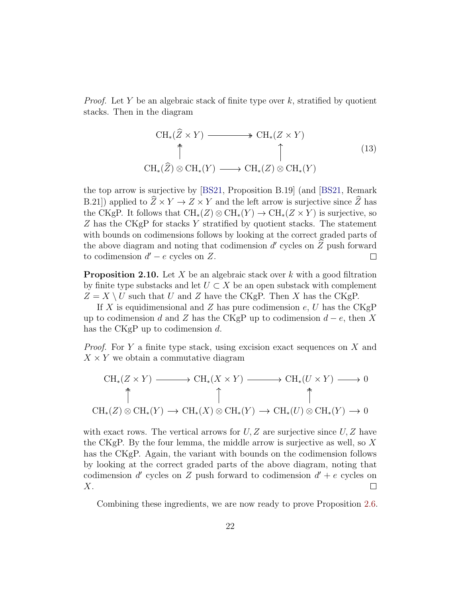*Proof.* Let Y be an algebraic stack of finite type over k, stratified by quotient stacks. Then in the diagram

$$
\begin{array}{ccc}\n\text{CH}_{*}(\widehat{Z} \times Y) & \longrightarrow & \text{CH}_{*}(Z \times Y) \\
\uparrow & & \uparrow & \\
\text{CH}_{*}(\widehat{Z}) \otimes \text{CH}_{*}(Y) & \longrightarrow & \text{CH}_{*}(Z) \otimes \text{CH}_{*}(Y)\n\end{array} \tag{13}
$$

the top arrow is surjective by [\[BS21,](#page-64-0) Proposition B.19] (and [\[BS21,](#page-64-0) Remark B.21]) applied to  $\widehat{Z} \times Y \to Z \times Y$  and the left arrow is surjective since  $\widehat{Z}$  has the CKgP. It follows that  $\text{CH}_*(Z) \otimes \text{CH}_*(Y) \to \text{CH}_*(Z \times Y)$  is surjective, so Z has the CKgP for stacks Y stratified by quotient stacks. The statement with bounds on codimensions follows by looking at the correct graded parts of the above diagram and noting that codimension d' cycles on  $\hat{Z}$  push forward to codimension  $d' - e$  cycles on Z.

<span id="page-21-0"></span>**Proposition 2.10.** Let X be an algebraic stack over k with a good filtration by finite type substacks and let  $U \subset X$  be an open substack with complement  $Z = X \setminus U$  such that U and Z have the CKgP. Then X has the CKgP.

If X is equidimensional and Z has pure codimension  $e, U$  has the CKgP up to codimension d and Z has the CKgP up to codimension  $d - e$ , then X has the CKgP up to codimension d.

*Proof.* For Y a finite type stack, using excision exact sequences on X and  $X \times Y$  we obtain a commutative diagram

$$
\mathrm{CH}_{*}(Z \times Y) \longrightarrow \mathrm{CH}_{*}(X \times Y) \longrightarrow \mathrm{CH}_{*}(U \times Y) \longrightarrow 0
$$
  
\n
$$
\uparrow \qquad \qquad \uparrow \qquad \qquad \uparrow
$$
  
\n
$$
\mathrm{CH}_{*}(Z) \otimes \mathrm{CH}_{*}(Y) \longrightarrow \mathrm{CH}_{*}(X) \otimes \mathrm{CH}_{*}(Y) \longrightarrow \mathrm{CH}_{*}(U) \otimes \mathrm{CH}_{*}(Y) \longrightarrow 0
$$

with exact rows. The vertical arrows for  $U, Z$  are surjective since  $U, Z$  have the CKgP. By the four lemma, the middle arrow is surjective as well, so  $X$ has the CKgP. Again, the variant with bounds on the codimension follows by looking at the correct graded parts of the above diagram, noting that codimension d' cycles on Z push forward to codimension  $d' + e$  cycles on  $X$ .  $\Box$ 

Combining these ingredients, we are now ready to prove Proposition [2.6.](#page-18-0)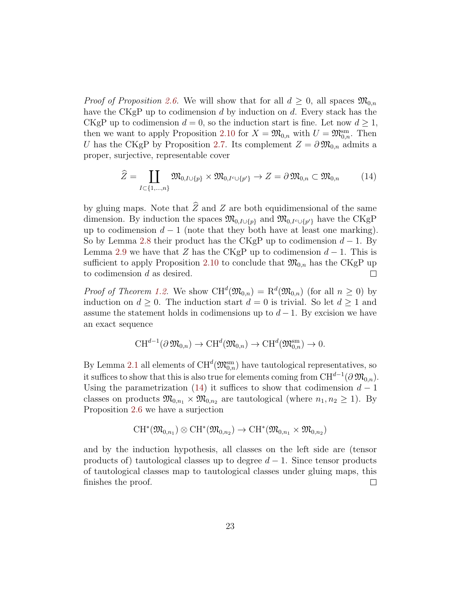*Proof of Proposition [2.6.](#page-18-0)* We will show that for all  $d \geq 0$ , all spaces  $\mathfrak{M}_{0,n}$ have the CKgP up to codimension d by induction on d. Every stack has the CKgP up to codimension  $d = 0$ , so the induction start is fine. Let now  $d \ge 1$ , then we want to apply Proposition [2.10](#page-21-0) for  $X = \mathfrak{M}_{0,n}$  with  $U = \mathfrak{M}_{0,n}^{\text{sm}}$ . Then U has the CKgP by Proposition [2.7.](#page-18-2) Its complement  $Z = \partial \mathfrak{M}_{0,n}$  admits a proper, surjective, representable cover

<span id="page-22-0"></span>
$$
\widehat{Z} = \coprod_{I \subset \{1,\dots,n\}} \mathfrak{M}_{0,I \cup \{p\}} \times \mathfrak{M}_{0,I \cap \{p'\}} \to Z = \partial \mathfrak{M}_{0,n} \subset \mathfrak{M}_{0,n} \tag{14}
$$

by gluing maps. Note that  $\hat{Z}$  and Z are both equidimensional of the same dimension. By induction the spaces  $\mathfrak{M}_{0,I\cup\{p\}}$  and  $\mathfrak{M}_{0,I\cup\{p'\}}$  have the CKgP up to codimension  $d-1$  (note that they both have at least one marking). So by Lemma [2.8](#page-20-1) their product has the CKgP up to codimension  $d-1$ . By Lemma [2.9](#page-20-2) we have that Z has the CKgP up to codimension  $d-1$ . This is sufficient to apply Proposition [2.10](#page-21-0) to conclude that  $\mathfrak{M}_{0,n}$  has the CKgP up to codimension d as desired.  $\Box$ 

*Proof of Theorem [1.2.](#page-4-2)* We show  $CH^d(\mathfrak{M}_{0,n}) = \mathbb{R}^d(\mathfrak{M}_{0,n})$  (for all  $n \geq 0$ ) by induction on  $d \geq 0$ . The induction start  $d = 0$  is trivial. So let  $d \geq 1$  and assume the statement holds in codimensions up to  $d-1$ . By excision we have an exact sequence

$$
\text{CH}^{d-1}(\partial\mathfrak{M}_{0,n})\to \text{CH}^d(\mathfrak{M}_{0,n})\to \text{CH}^d(\mathfrak{M}_{0,n}^{\text{sm}})\to 0.
$$

By Lemma [2.1](#page-13-2) all elements of  $CH^d(\mathfrak{M}_{0,n}^{\text{sm}})$  have tautological representatives, so it suffices to show that this is also true for elements coming from  $CH^{d-1}(\partial \mathfrak{M}_{0,n})$ . Using the parametrization [\(14\)](#page-22-0) it suffices to show that codimension  $d-1$ classes on products  $\mathfrak{M}_{0,n_1} \times \mathfrak{M}_{0,n_2}$  are tautological (where  $n_1, n_2 \geq 1$ ). By Proposition [2.6](#page-18-0) we have a surjection

$$
\operatorname{CH}^*(\mathfrak{M}_{0,n_1}) \otimes \operatorname{CH}^*(\mathfrak{M}_{0,n_2}) \to \operatorname{CH}^*(\mathfrak{M}_{0,n_1} \times \mathfrak{M}_{0,n_2})
$$

and by the induction hypothesis, all classes on the left side are (tensor products of) tautological classes up to degree  $d-1$ . Since tensor products of tautological classes map to tautological classes under gluing maps, this finishes the proof.  $\Box$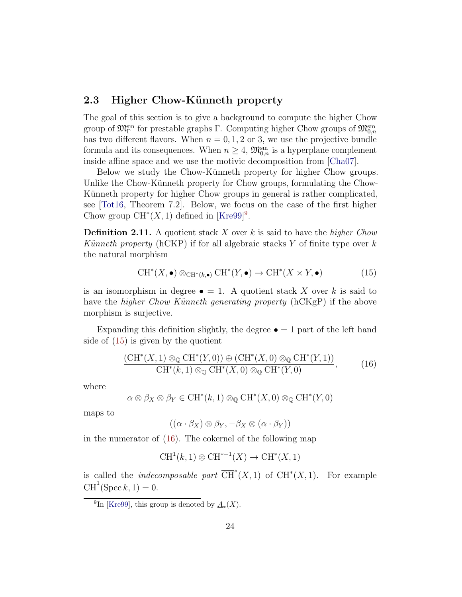### <span id="page-23-0"></span>2.3 Higher Chow-Künneth property

The goal of this section is to give a background to compute the higher Chow group of  $\mathfrak{M}_{\Gamma}^{\text{sm}}$  for prestable graphs  $\Gamma$ . Computing higher Chow groups of  $\mathfrak{M}_{0,n}^{\text{sm}}$ has two different flavors. When  $n = 0, 1, 2$  or 3, we use the projective bundle formula and its consequences. When  $n \geq 4$ ,  $\mathfrak{M}_{0,n}^{\text{sm}}$  is a hyperplane complement inside affine space and we use the motivic decomposition from [\[Cha07\]](#page-64-2).

Below we study the Chow-Künneth property for higher Chow groups. Unlike the Chow-Künneth property for Chow groups, formulating the Chow-Künneth property for higher Chow groups in general is rather complicated, see [\[Tot16,](#page-67-6) Theorem 7.2]. Below, we focus on the case of the first higher Chow group  $CH^*(X, 1)$  defined in [\[Kre99\]](#page-66-3)<sup>[9](#page-23-1)</sup>.

**Definition 2.11.** A quotient stack X over k is said to have the higher Chow Künneth property (hCKP) if for all algebraic stacks Y of finite type over  $k$ the natural morphism

<span id="page-23-2"></span>
$$
CH^*(X, \bullet) \otimes_{CH^*(k, \bullet)} CH^*(Y, \bullet) \to CH^*(X \times Y, \bullet)
$$
 (15)

is an isomorphism in degree  $\bullet = 1$ . A quotient stack X over k is said to have the *higher Chow Künneth generating property* ( $hCKgP$ ) if the above morphism is surjective.

Expanding this definition slightly, the degree  $\bullet = 1$  part of the left hand side of [\(15\)](#page-23-2) is given by the quotient

<span id="page-23-3"></span>
$$
\frac{\left(\mathrm{CH}^*(X,1)\otimes_{\mathbb{Q}}\mathrm{CH}^*(Y,0)\right)\oplus\left(\mathrm{CH}^*(X,0)\otimes_{\mathbb{Q}}\mathrm{CH}^*(Y,1)\right)}{\mathrm{CH}^*(k,1)\otimes_{\mathbb{Q}}\mathrm{CH}^*(X,0)\otimes_{\mathbb{Q}}\mathrm{CH}^*(Y,0)},\tag{16}
$$

where

$$
\alpha \otimes \beta_X \otimes \beta_Y \in \mathrm{CH}^*(k,1) \otimes_{\mathbb{Q}} \mathrm{CH}^*(X,0) \otimes_{\mathbb{Q}} \mathrm{CH}^*(Y,0)
$$

maps to

$$
((\alpha \cdot \beta_X) \otimes \beta_Y, -\beta_X \otimes (\alpha \cdot \beta_Y))
$$

in the numerator of [\(16\)](#page-23-3). The cokernel of the following map

$$
CH1(k, 1) \otimes CH*-1(X) \to CH*(X, 1)
$$

is called the *indecomposable part*  $\overline{\text{CH}}^{*}(X,1)$  of  $\text{CH}^{*}(X,1)$ . For example  $\overline{\text{CH}}^1(\text{Spec } k, 1) = 0.$ 

<span id="page-23-1"></span><sup>9</sup>In [\[Kre99\]](#page-66-3), this group is denoted by  $\underline{A}_*(X)$ .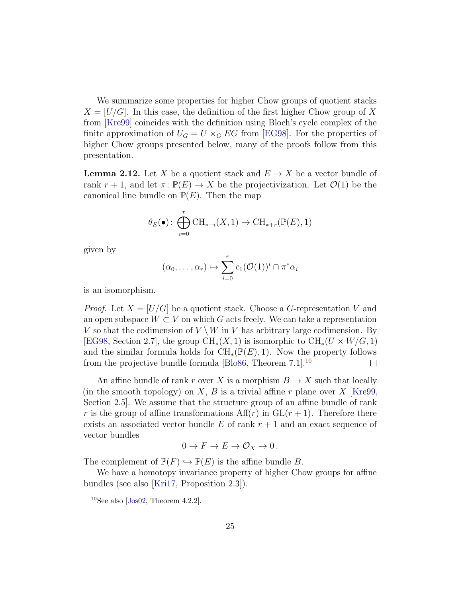We summarize some properties for higher Chow groups of quotient stacks  $X = [U/G]$ . In this case, the definition of the first higher Chow group of X from [\[Kre99\]](#page-66-3) coincides with the definition using Bloch's cycle complex of the finite approximation of  $U_G = U \times_G EG$  from [\[EG98\]](#page-65-6). For the properties of higher Chow groups presented below, many of the proofs follow from this presentation.

<span id="page-24-1"></span>**Lemma 2.12.** Let X be a quotient stack and  $E \to X$  be a vector bundle of rank  $r + 1$ , and let  $\pi: \mathbb{P}(E) \to X$  be the projectivization. Let  $\mathcal{O}(1)$  be the canonical line bundle on  $\mathbb{P}(E)$ . Then the map

$$
\theta_E(\bullet) \colon \bigoplus_{i=0}^r \operatorname{CH}_{*+i}(X,1) \to \operatorname{CH}_{*+r}(\mathbb{P}(E),1)
$$

given by

$$
(\alpha_0,\ldots,\alpha_r)\mapsto \sum_{i=0}^r c_1(\mathcal{O}(1))^i\cap \pi^*\alpha_i
$$

is an isomorphism.

*Proof.* Let  $X = [U/G]$  be a quotient stack. Choose a G-representation V and an open subspace  $W \subset V$  on which G acts freely. We can take a representation V so that the codimension of  $V \setminus W$  in V has arbitrary large codimension. By [\[EG98,](#page-65-6) Section 2.7], the group  $\text{CH}_*(X,1)$  is isomorphic to  $\text{CH}_*(U \times W/G, 1)$ and the similar formula holds for  $\text{CH}_{*}(\mathbb{P}(E), 1)$ . Now the property follows from the projective bundle formula [\[Blo86,](#page-64-3) Theorem 7.1].[10](#page-24-0)  $\Box$ 

An affine bundle of rank r over X is a morphism  $B \to X$  such that locally (in the smooth topology) on  $X, B$  is a trivial affine r plane over X [\[Kre99,](#page-66-3) Section 2.5]. We assume that the structure group of an affine bundle of rank r is the group of affine transformations  $Aff(r)$  in  $GL(r + 1)$ . Therefore there exists an associated vector bundle E of rank  $r + 1$  and an exact sequence of vector bundles

$$
0 \to F \to E \to \mathcal{O}_X \to 0.
$$

The complement of  $\mathbb{P}(F) \hookrightarrow \mathbb{P}(E)$  is the affine bundle B.

We have a homotopy invariance property of higher Chow groups for affine bundles (see also [\[Kri17,](#page-66-7) Proposition 2.3]).

<span id="page-24-0"></span> $10$ See also [\[Jos02,](#page-65-7) Theorem 4.2.2].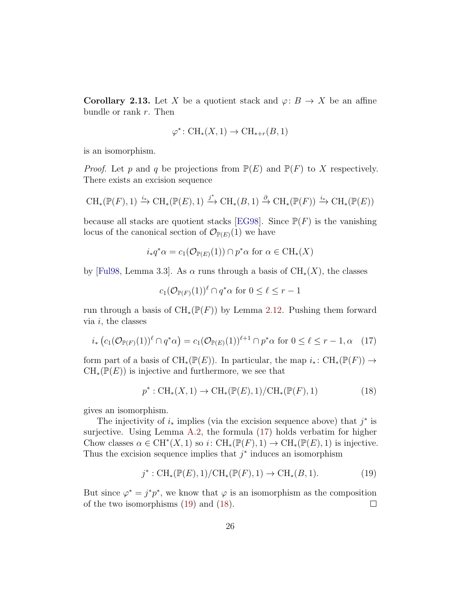<span id="page-25-3"></span>**Corollary 2.13.** Let X be a quotient stack and  $\varphi: B \to X$  be an affine bundle or rank  $r$ . Then

$$
\varphi^* \colon CH_*(X, 1) \to CH_{*+r}(B, 1)
$$

is an isomorphism.

*Proof.* Let p and q be projections from  $\mathbb{P}(E)$  and  $\mathbb{P}(F)$  to X respectively. There exists an excision sequence

$$
\operatorname{CH}_*(\mathbb{P}(F),1) \xrightarrow{i_*} \operatorname{CH}_*(\mathbb{P}(E),1) \xrightarrow{j^*} \operatorname{CH}_*(B,1) \xrightarrow{\partial} \operatorname{CH}_*(\mathbb{P}(F)) \xrightarrow{i_*} \operatorname{CH}_*(\mathbb{P}(E))
$$

because all stacks are quotient stacks [\[EG98\]](#page-65-6). Since  $P(F)$  is the vanishing locus of the canonical section of  $\mathcal{O}_{\mathbb{P}(E)}(1)$  we have

$$
i_*q^*\alpha = c_1(\mathcal{O}_{\mathbb{P}(E)}(1)) \cap p^*\alpha
$$
 for  $\alpha \in \mathrm{CH}_*(X)$ 

by [\[Ful98,](#page-65-8) Lemma 3.3]. As  $\alpha$  runs through a basis of  $\text{CH}_{*}(X)$ , the classes

$$
c_1(\mathcal{O}_{\mathbb{P}(F)}(1))^{\ell} \cap q^* \alpha \text{ for } 0 \leq \ell \leq r-1
$$

run through a basis of  $\text{CH}_{*}(\mathbb{P}(F))$  by Lemma [2.12.](#page-24-1) Pushing them forward via  $i$ , the classes

<span id="page-25-0"></span>
$$
i_* \left( c_1(\mathcal{O}_{\mathbb{P}(F)}(1))^{\ell} \cap q^* \alpha \right) = c_1(\mathcal{O}_{\mathbb{P}(E)}(1))^{\ell+1} \cap p^* \alpha \text{ for } 0 \le \ell \le r-1, \alpha \quad (17)
$$

form part of a basis of  $\text{CH}_*(\mathbb{P}(E))$ . In particular, the map  $i_*\colon \text{CH}_*(\mathbb{P}(F)) \to$  $CH_*(\mathbb{P}(E))$  is injective and furthermore, we see that

<span id="page-25-2"></span>
$$
p^* : \text{CH}_*(X, 1) \to \text{CH}_*(\mathbb{P}(E), 1) / \text{CH}_*(\mathbb{P}(F), 1)
$$
 (18)

gives an isomorphism.

The injectivity of  $i_*$  implies (via the excision sequence above) that  $j^*$  is surjective. Using Lemma [A.2,](#page-63-0) the formula [\(17\)](#page-25-0) holds verbatim for higher Chow classes  $\alpha \in \mathrm{CH}^*(X,1)$  so  $i: \mathrm{CH}_*(\mathbb{P}(F),1) \to \mathrm{CH}_*(\mathbb{P}(E),1)$  is injective. Thus the excision sequence implies that  $j^*$  induces an isomorphism

<span id="page-25-1"></span>
$$
j^* : CH_*(\mathbb{P}(E), 1)/CH_*(\mathbb{P}(F), 1) \to CH_*(B, 1).
$$
 (19)

But since  $\varphi^* = j^*p^*$ , we know that  $\varphi$  is an isomorphism as the composition of the two isomorphisms [\(19\)](#page-25-1) and [\(18\)](#page-25-2).  $\Box$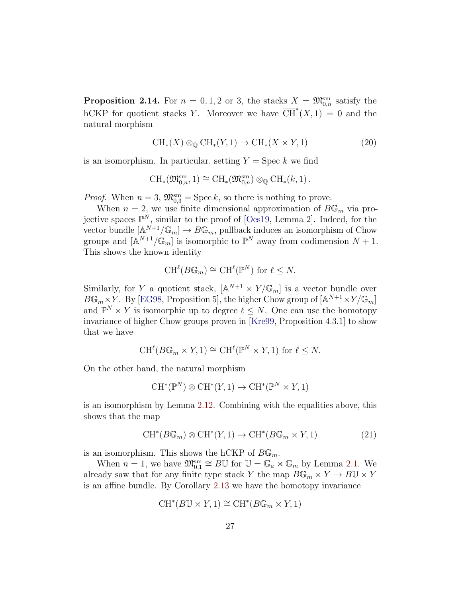<span id="page-26-0"></span>**Proposition 2.14.** For  $n = 0, 1, 2$  or 3, the stacks  $X = \mathfrak{M}_{0,n}^{\text{sm}}$  satisfy the hCKP for quotient stacks Y. Moreover we have  $\overline{\text{CH}}^{*}(X,1) = 0$  and the natural morphism

$$
CH_*(X) \otimes_{\mathbb{Q}} CH_*(Y,1) \to CH_*(X \times Y,1)
$$
 (20)

is an isomorphism. In particular, setting  $Y = \text{Spec } k$  we find

$$
\operatorname{CH}_*(\mathfrak{M}_{0,n}^{\operatorname{sm}},1)\cong \operatorname{CH}_*(\mathfrak{M}_{0,n}^{\operatorname{sm}})\otimes_{\mathbb{Q}}\operatorname{CH}_*(k,1).
$$

*Proof.* When  $n = 3$ ,  $\mathfrak{M}_{0,3}^{\text{sm}} = \text{Spec } k$ , so there is nothing to prove.

When  $n = 2$ , we use finite dimensional approximation of  $B\mathbb{G}_m$  via projective spaces  $\mathbb{P}^N$ , similar to the proof of [\[Oes19,](#page-67-1) Lemma 2]. Indeed, for the vector bundle  $[A^{N+1}/\mathbb{G}_m] \to B\mathbb{G}_m$ , pullback induces an isomorphism of Chow groups and  $[\mathbb{A}^{N+1}/\mathbb{G}_m]$  is isomorphic to  $\mathbb{P}^N$  away from codimension  $N+1$ . This shows the known identity

$$
\operatorname{CH}^{\ell}(B{\mathbb G}_m) \cong \operatorname{CH}^{\ell}({\mathbb P}^N) \text{ for } \ell \leq N.
$$

Similarly, for Y a quotient stack,  $[\mathbb{A}^{N+1} \times Y/\mathbb{G}_m]$  is a vector bundle over  $B\mathbb{G}_m\times Y$ . By [\[EG98,](#page-65-6) Proposition 5], the higher Chow group of  $[\mathbb{A}^{N+1}\times Y/\mathbb{G}_m]$ and  $\mathbb{P}^N \times Y$  is isomorphic up to degree  $\ell \leq N$ . One can use the homotopy invariance of higher Chow groups proven in [\[Kre99,](#page-66-3) Proposition 4.3.1] to show that we have

$$
\mathrm{CH}^{\ell}(B\mathbb{G}_m\times Y,1)\cong \mathrm{CH}^{\ell}(\mathbb{P}^N\times Y,1) \text{ for } \ell\leq N.
$$

On the other hand, the natural morphism

$$
CH^*(\mathbb{P}^N) \otimes CH^*(Y,1) \to CH^*(\mathbb{P}^N \times Y,1)
$$

is an isomorphism by Lemma [2.12.](#page-24-1) Combining with the equalities above, this shows that the map

$$
CH^*(B\mathbb{G}_m) \otimes CH^*(Y,1) \to CH^*(B\mathbb{G}_m \times Y,1)
$$
 (21)

is an isomorphism. This shows the hCKP of  $B\mathbb{G}_m$ .

When  $n = 1$ , we have  $\mathfrak{M}_{0,1}^{\text{sm}} \cong B\mathbb{U}$  for  $\mathbb{U} = \mathbb{G}_a \rtimes \mathbb{G}_m$  by Lemma [2.1.](#page-13-2) We already saw that for any finite type stack Y the map  $B\mathbb{G}_m \times Y \to B\mathbb{U} \times Y$ is an affine bundle. By Corollary [2.13](#page-25-3) we have the homotopy invariance

$$
CH^*(B\mathbb{U}\times Y,1)\cong CH^*(B\mathbb{G}_m\times Y,1)
$$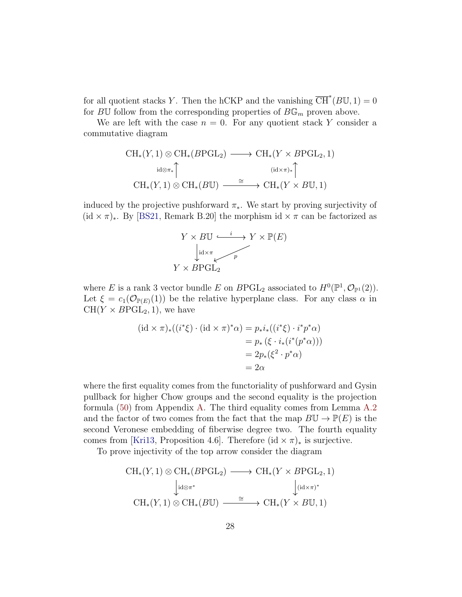for all quotient stacks Y. Then the hCKP and the vanishing  $\overline{\text{CH}}^{*}(B\mathbb{U}, 1) = 0$ for BU follow from the corresponding properties of  $B\mathbb{G}_m$  proven above.

We are left with the case  $n = 0$ . For any quotient stack Y consider a commutative diagram

$$
\mathrm{CH}_{*}(Y,1) \otimes \mathrm{CH}_{*}(B\textrm{PGL}_{2}) \longrightarrow \mathrm{CH}_{*}(Y \times B\textrm{PGL}_{2},1)
$$
\n
$$
\mathrm{id} \otimes \pi_{*} \uparrow \qquad \qquad (\mathrm{id} \times \pi)_{*} \uparrow
$$
\n
$$
\mathrm{CH}_{*}(Y,1) \otimes \mathrm{CH}_{*}(B\mathbb{U}) \xrightarrow{\cong} \mathrm{CH}_{*}(Y \times B\mathbb{U},1)
$$

induced by the projective pushforward  $\pi_*$ . We start by proving surjectivity of  $(id \times \pi)_*$ . By [\[BS21,](#page-64-0) Remark B.20] the morphism id  $\times \pi$  can be factorized as



where E is a rank 3 vector bundle E on  $B \text{PGL}_2$  associated to  $H^0(\mathbb{P}^1, \mathcal{O}_{\mathbb{P}^1}(2)).$ Let  $\xi = c_1(\mathcal{O}_{\mathbb{P}(E)}(1))$  be the relative hyperplane class. For any class  $\alpha$  in  $CH(Y \times B P GL<sub>2</sub>, 1)$ , we have

$$
(\mathrm{id} \times \pi)_*((i^*\xi) \cdot (\mathrm{id} \times \pi)^*\alpha) = p_*i_*((i^*\xi) \cdot i^*p^*\alpha)
$$
  
=  $p_* (\xi \cdot i_*(i^*(p^*\alpha)))$   
=  $2p_*(\xi^2 \cdot p^*\alpha)$   
=  $2\alpha$ 

where the first equality comes from the functoriality of pushforward and Gysin pullback for higher Chow groups and the second equality is the projection formula [\(50\)](#page-63-1) from Appendix [A.](#page-62-0) The third equality comes from Lemma [A.2](#page-63-0) and the factor of two comes from the fact that the map  $B\mathbb{U} \to \mathbb{P}(E)$  is the second Veronese embedding of fiberwise degree two. The fourth equality comes from [\[Kri13,](#page-66-8) Proposition 4.6]. Therefore (id  $\times \pi$ )<sub>\*</sub> is surjective.

To prove injectivity of the top arrow consider the diagram

$$
\mathrm{CH}_{*}(Y,1) \otimes \mathrm{CH}_{*}(B\textrm{PGL}_{2}) \longrightarrow \mathrm{CH}_{*}(Y \times B\textrm{PGL}_{2},1)
$$
\n
$$
\downarrow id \otimes \pi^{*} \qquad \qquad \downarrow (id \times \pi)^{*}
$$
\n
$$
\mathrm{CH}_{*}(Y,1) \otimes \mathrm{CH}_{*}(B\mathbb{U}) \xrightarrow{\cong} \mathrm{CH}_{*}(Y \times B\mathbb{U},1)
$$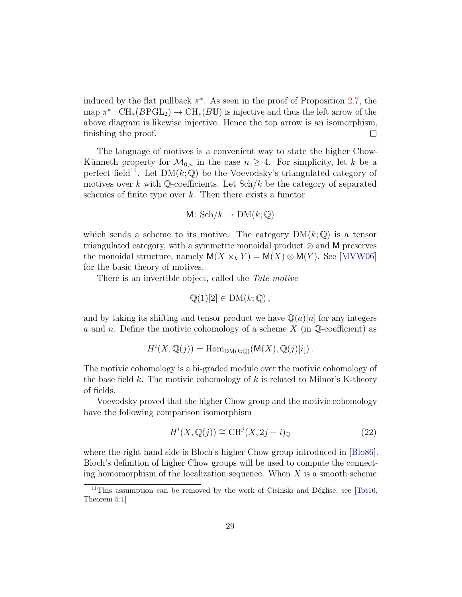induced by the flat pullback  $\pi^*$ . As seen in the proof of Proposition [2.7,](#page-18-2) the map  $\pi^* : CH_*(B\textrm{PGL}_2) \to CH_*(B\mathbb{U})$  is injective and thus the left arrow of the above diagram is likewise injective. Hence the top arrow is an isomorphism, finishing the proof.  $\Box$ 

The language of motives is a convenient way to state the higher Chow-Künneth property for  $\mathcal{M}_{0,n}$  in the case  $n \geq 4$ . For simplicity, let k be a perfect field<sup>[11](#page-28-0)</sup>. Let  $DM(k; \mathbb{Q})$  be the Voevodsky's triangulated category of motives over k with  $\mathbb{Q}$ -coefficients. Let  $\text{Sch}/k$  be the category of separated schemes of finite type over  $k$ . Then there exists a functor

$$
M\colon \mathrm{Sch}/k \to \mathrm{DM}(k;\mathbb{Q})
$$

which sends a scheme to its motive. The category  $DM(k; \mathbb{Q})$  is a tensor triangulated category, with a symmetric monoidal product ⊗ and M preserves the monoidal structure, namely  $M(X \times_k Y) = M(X) \otimes M(Y)$ . See [\[MVW06\]](#page-67-7) for the basic theory of motives.

There is an invertible object, called the *Tate motive* 

$$
\mathbb{Q}(1)[2] \in \mathrm{DM}(k; \mathbb{Q}),
$$

and by taking its shifting and tensor product we have  $\mathbb{Q}(a)|n|$  for any integers a and n. Define the motivic cohomology of a scheme  $X$  (in  $\mathbb{Q}$ -coefficient) as

$$
H^i(X, \mathbb{Q}(j)) = \text{Hom}_{\text{DM}(k; \mathbb{Q})}(\mathsf{M}(X), \mathbb{Q}(j)[i]) .
$$

The motivic cohomology is a bi-graded module over the motivic cohomology of the base field k. The motivic cohomology of k is related to Milnor's K-theory of fields.

Voevodsky proved that the higher Chow group and the motivic cohomology have the following comparison isomorphism

<span id="page-28-1"></span>
$$
H^{i}(X, \mathbb{Q}(j)) \cong \mathrm{CH}^{j}(X, 2j - i)_{\mathbb{Q}} \tag{22}
$$

where the right hand side is Bloch's higher Chow group introduced in [\[Blo86\]](#page-64-3). Bloch's definition of higher Chow groups will be used to compute the connecting homomorphism of the localization sequence. When  $X$  is a smooth scheme

<span id="page-28-0"></span><sup>&</sup>lt;sup>11</sup>This assumption can be removed by the work of Cisinski and Déglise, see [\[Tot16,](#page-67-6) Theorem 5.1]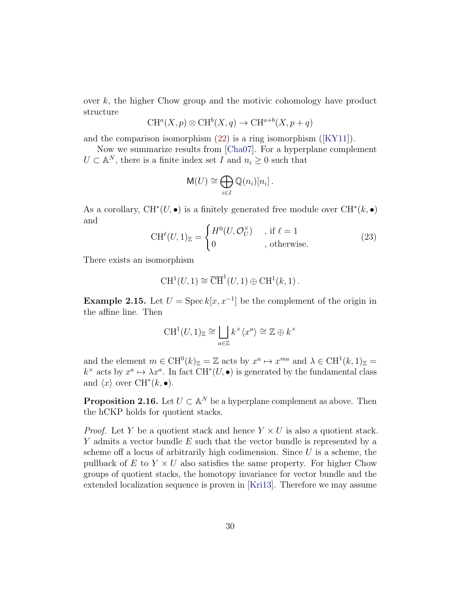over k, the higher Chow group and the motivic cohomology have product structure

$$
CH^{a}(X, p) \otimes CH^{b}(X, q) \to CH^{a+b}(X, p+q)
$$

and the comparison isomorphism [\(22\)](#page-28-1) is a ring isomorphism ([\[KY11\]](#page-66-9)).

Now we summarize results from [\[Cha07\]](#page-64-2). For a hyperplane complement  $U \subset \mathbb{A}^N$ , there is a finite index set  $I$  and  $n_i \geq 0$  such that

$$
\mathsf{M}(U) \cong \bigoplus_{i \in I} \mathbb{Q}(n_i)[n_i].
$$

As a corollary,  $CH^*(U, \bullet)$  is a finitely generated free module over  $CH^*(k, \bullet)$ and

<span id="page-29-1"></span>
$$
\text{CH}^{\ell}(U,1)_{\mathbb{Z}} = \begin{cases} H^{0}(U,\mathcal{O}_{U}^{\times}) & , \text{ if } \ell = 1\\ 0 & , \text{ otherwise.} \end{cases}
$$
 (23)

There exists an isomorphism

$$
CH1(U, 1) \cong \overline{CH}^{1}(U, 1) \oplus CH1(k, 1).
$$

**Example 2.15.** Let  $U = \text{Spec } k[x, x^{-1}]$  be the complement of the origin in the affine line. Then

$$
\operatorname{CH}^1(U,1)_{\mathbb{Z}} \cong \bigsqcup_{a \in \mathbb{Z}} k^\times \langle x^a \rangle \cong \mathbb{Z} \oplus k^\times
$$

and the element  $m \in \mathrm{CH}^0(k)_{\mathbb{Z}} = \mathbb{Z}$  acts by  $x^a \mapsto x^{ma}$  and  $\lambda \in \mathrm{CH}^1(k, 1)_{\mathbb{Z}} =$  $k^{\times}$  acts by  $x^a \mapsto \lambda x^a$ . In fact  $\mathrm{CH}^*(U, \bullet)$  is generated by the fundamental class and  $\langle x \rangle$  over CH<sup>\*</sup> $(k, \bullet)$ .

<span id="page-29-0"></span>**Proposition 2.16.** Let  $U \subset \mathbb{A}^N$  be a hyperplane complement as above. Then the hCKP holds for quotient stacks.

*Proof.* Let Y be a quotient stack and hence  $Y \times U$  is also a quotient stack. Y admits a vector bundle E such that the vector bundle is represented by a scheme of a locus of arbitrarily high codimension. Since  $U$  is a scheme, the pullback of  $E$  to  $Y \times U$  also satisfies the same property. For higher Chow groups of quotient stacks, the homotopy invariance for vector bundle and the extended localization sequence is proven in [\[Kri13\]](#page-66-8). Therefore we may assume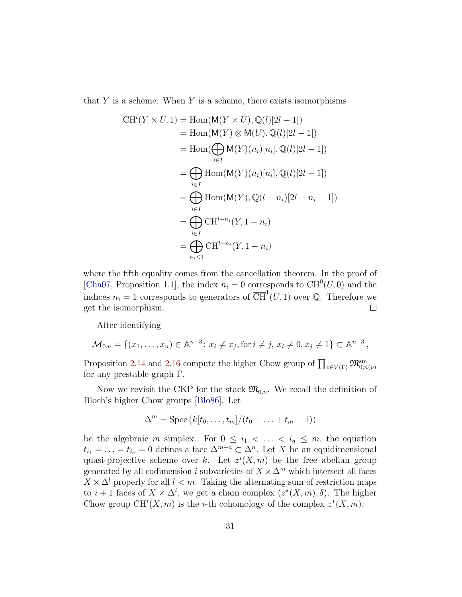that  $Y$  is a scheme. When  $Y$  is a scheme, there exists isomorphisms

$$
CH^{l}(Y \times U, 1) = Hom(M(Y \times U), \mathbb{Q}(l)[2l - 1])
$$
  
\n
$$
= Hom(M(Y) \otimes M(U), \mathbb{Q}(l)[2l - 1])
$$
  
\n
$$
= Hom(\bigoplus_{i \in I} M(Y)(n_{i})[n_{i}], \mathbb{Q}(l)[2l - 1])
$$
  
\n
$$
= \bigoplus_{i \in I} Hom(M(Y)(n_{i})[n_{i}], \mathbb{Q}(l)[2l - 1])
$$
  
\n
$$
= \bigoplus_{i \in I} Hom(M(Y), \mathbb{Q}(l - n_{i})[2l - n_{i} - 1])
$$
  
\n
$$
= \bigoplus_{i \in I} CH^{l - n_{i}}(Y, 1 - n_{i})
$$
  
\n
$$
= \bigoplus_{n_{i} \leq 1} CH^{l - n_{i}}(Y, 1 - n_{i})
$$

where the fifth equality comes from the cancellation theorem. In the proof of [\[Cha07,](#page-64-2) Proposition 1.1], the index  $n_i = 0$  corresponds to CH<sup>0</sup>(U, 0) and the indices  $n_i = 1$  corresponds to generators of  $\overline{CH}^1(U, 1)$  over Q. Therefore we get the isomorphism.  $\Box$ 

After identifying

$$
\mathcal{M}_{0,n} = \{ (x_1, \dots, x_n) \in \mathbb{A}^{n-3} : x_i \neq x_j, \text{ for } i \neq j, x_i \neq 0, x_j \neq 1 \} \subset \mathbb{A}^{n-3},
$$

Proposition [2.14](#page-26-0) and [2.16](#page-29-0) compute the higher Chow group of  $\prod_{v \in V(\Gamma)} \mathfrak{M}_{0,n(v)}^{\text{sm}}$ for any prestable graph Γ.

Now we revisit the CKP for the stack  $\mathfrak{M}_{0,n}$ . We recall the definition of Bloch's higher Chow groups [\[Blo86\]](#page-64-3). Let

$$
\Delta^m = \operatorname{Spec} (k[t_0, \ldots, t_m]/(t_0 + \ldots + t_m - 1))
$$

be the algebraic m simplex. For  $0 \leq i_1 < \ldots < i_a \leq m$ , the equation  $t_{i_1} = \ldots = t_{i_a} = 0$  defines a face  $\Delta^{m-a} \subset \Delta^n$ . Let X be an equidimensional quasi-projective scheme over k. Let  $z^{i}(X, m)$  be the free abelian group generated by all codimension i subvarieties of  $X \times \Delta^m$  which intersect all faces  $X \times \Delta^l$  properly for all  $l < m$ . Taking the alternating sum of restriction maps to  $i+1$  faces of  $X \times \Delta^i$ , we get a chain complex  $(z^*(X,m), \delta)$ . The higher Chow group  $CH^{i}(X, m)$  is the *i*-th cohomology of the complex  $z^{*}(X, m)$ .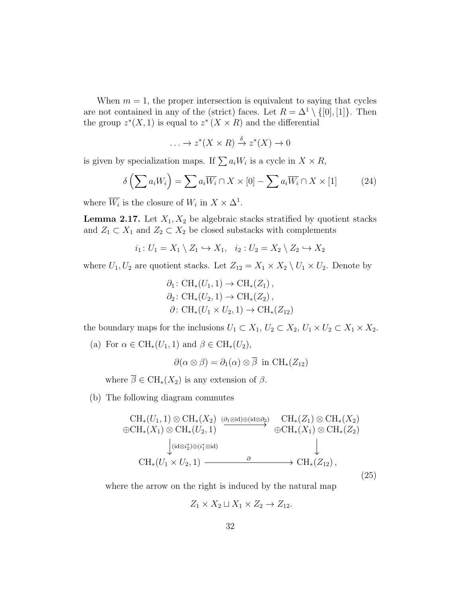When  $m = 1$ , the proper intersection is equivalent to saying that cycles are not contained in any of the (strict) faces. Let  $R = \Delta^1 \setminus \{[0], [1]\}$ . Then the group  $z^*(X,1)$  is equal to  $z^*(X \times R)$  and the differential

$$
\ldots \to z^*(X \times R) \xrightarrow{\delta} z^*(X) \to 0
$$

is given by specialization maps. If  $\sum a_i W_i$  is a cycle in  $X \times R$ ,

$$
\delta\left(\sum a_i W_i\right) = \sum a_i \overline{W_i} \cap X \times [0] - \sum a_i \overline{W_i} \cap X \times [1] \tag{24}
$$

where  $\overline{W_i}$  is the closure of  $W_i$  in  $X \times \Delta^1$ .

<span id="page-31-1"></span>**Lemma 2.17.** Let  $X_1, X_2$  be algebraic stacks stratified by quotient stacks and  $Z_1 \subset X_1$  and  $Z_2 \subset X_2$  be closed substacks with complements

$$
i_1: U_1 = X_1 \setminus Z_1 \hookrightarrow X_1, \quad i_2: U_2 = X_2 \setminus Z_2 \hookrightarrow X_2
$$

where  $U_1, U_2$  are quotient stacks. Let  $Z_{12} = X_1 \times X_2 \setminus U_1 \times U_2$ . Denote by

$$
\partial_1: \operatorname{CH}_*(U_1, 1) \to \operatorname{CH}_*(Z_1),
$$
  
\n
$$
\partial_2: \operatorname{CH}_*(U_2, 1) \to \operatorname{CH}_*(Z_2),
$$
  
\n
$$
\partial: \operatorname{CH}_*(U_1 \times U_2, 1) \to \operatorname{CH}_*(Z_{12})
$$

the boundary maps for the inclusions  $U_1 \subset X_1$ ,  $U_2 \subset X_2$ ,  $U_1 \times U_2 \subset X_1 \times X_2$ .

(a) For  $\alpha \in \mathrm{CH}_*(U_1, 1)$  and  $\beta \in \mathrm{CH}_*(U_2)$ ,

$$
\partial(\alpha \otimes \beta) = \partial_1(\alpha) \otimes \overline{\beta} \text{ in } \mathrm{CH}_*(Z_{12})
$$

where  $\overline{\beta} \in CH_*(X_2)$  is any extension of  $\beta$ .

(b) The following diagram commutes

<span id="page-31-0"></span>
$$
\begin{array}{ccc}\n\text{CH}_{*}(U_{1},1) \otimes \text{CH}_{*}(X_{2}) & \underset{\bigoplus}{\text{CH}_{*}}(Z_{1}) \otimes \text{CH}_{*}(X_{2}) \\
\oplus \text{CH}_{*}(X_{1}) \otimes \text{CH}_{*}(U_{2},1) & \xrightarrow{\bigoplus} \text{CH}_{*}(X_{1}) \otimes \text{CH}_{*}(X_{2}) \\
& \downarrow \text{(id}\otimes i_{2}^{*})\oplus (i_{1}^{*}\otimes id) & \downarrow \\
\text{CH}_{*}(U_{1} \times U_{2},1) & \xrightarrow{\partial} & \text{CH}_{*}(Z_{12}),\n\end{array}
$$
\n
$$
(25)
$$

where the arrow on the right is induced by the natural map

$$
Z_1 \times X_2 \sqcup X_1 \times Z_2 \to Z_{12}.
$$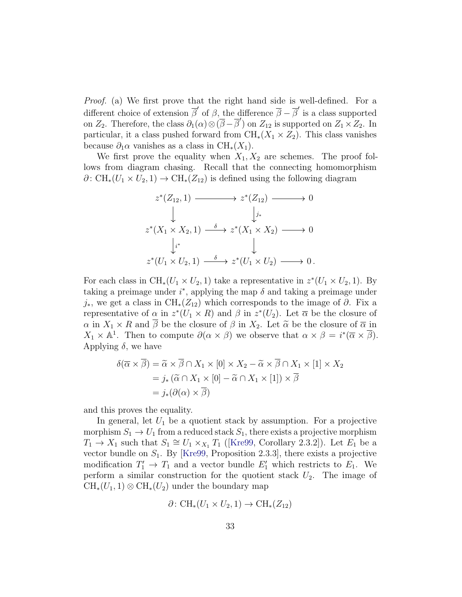Proof. (a) We first prove that the right hand side is well-defined. For a different choice of extension  $\overline{\beta}'$  of  $\beta$ , the difference  $\overline{\beta} - \overline{\beta}'$  is a class supported on  $Z_2$ . Therefore, the class  $\partial_1(\alpha) \otimes (\overline{\beta} - \overline{\beta}')$  on  $Z_{12}$  is supported on  $Z_1 \times Z_2$ . In particular, it a class pushed forward from  $\text{CH}_{*}(X_1 \times Z_2)$ . This class vanishes because  $\partial_1 \alpha$  vanishes as a class in CH<sub>\*</sub>(X<sub>1</sub>).

We first prove the equality when  $X_1, X_2$  are schemes. The proof follows from diagram chasing. Recall that the connecting homomorphism  $\partial: \mathrm{CH}_*(U_1 \times U_2, 1) \to \mathrm{CH}_*(Z_{12})$  is defined using the following diagram

$$
z^*(Z_{12}, 1) \longrightarrow z^*(Z_{12}) \longrightarrow 0
$$
  
\n
$$
\downarrow \qquad \qquad \downarrow i^*
$$
  
\n
$$
z^*(X_1 \times X_2, 1) \xrightarrow{\delta} z^*(X_1 \times X_2) \longrightarrow 0
$$
  
\n
$$
\downarrow i^*
$$
  
\n
$$
z^*(U_1 \times U_2, 1) \xrightarrow{\delta} z^*(U_1 \times U_2) \longrightarrow 0.
$$

For each class in CH<sub>\*</sub>( $U_1 \times U_2$ , 1) take a representative in  $z^*(U_1 \times U_2, 1)$ . By taking a preimage under  $i^*$ , applying the map  $\delta$  and taking a preimage under  $j_{*}$ , we get a class in CH<sub>\*</sub>( $Z_{12}$ ) which corresponds to the image of  $\partial$ . Fix a representative of  $\alpha$  in  $z^*(U_1 \times R)$  and  $\beta$  in  $z^*(U_2)$ . Let  $\overline{\alpha}$  be the closure of  $\alpha$  in  $X_1 \times R$  and  $\overline{\beta}$  be the closure of  $\beta$  in  $X_2$ . Let  $\widetilde{\alpha}$  be the closure of  $\overline{\alpha}$  in  $X_1 \times \mathbb{A}^1$ . Then to compute  $\partial(\alpha \times \beta)$  we observe that  $\alpha \times \beta = i^*(\overline{\alpha} \times \overline{\beta})$ . Applying  $\delta$ , we have

$$
\delta(\overline{\alpha} \times \overline{\beta}) = \widetilde{\alpha} \times \overline{\beta} \cap X_1 \times [0] \times X_2 - \widetilde{\alpha} \times \overline{\beta} \cap X_1 \times [1] \times X_2
$$
  
=  $j_*(\widetilde{\alpha} \cap X_1 \times [0] - \widetilde{\alpha} \cap X_1 \times [1]) \times \overline{\beta}$   
=  $j_*(\partial(\alpha) \times \overline{\beta})$ 

and this proves the equality.

In general, let  $U_1$  be a quotient stack by assumption. For a projective morphism  $S_1 \rightarrow U_1$  from a reduced stack  $S_1$ , there exists a projective morphism  $T_1 \rightarrow X_1$  such that  $S_1 \cong U_1 \times_{X_1} T_1$  ([\[Kre99,](#page-66-3) Corollary 2.3.2]). Let  $E_1$  be a vector bundle on  $S_1$ . By [\[Kre99,](#page-66-3) Proposition 2.3.3], there exists a projective modification  $T_1' \to T_1$  and a vector bundle  $E_1'$  which restricts to  $E_1$ . We perform a similar construction for the quotient stack  $U_2$ . The image of  $\text{CH}_*(U_1, 1) \otimes \text{CH}_*(U_2)$  under the boundary map

$$
\partial\colon \text{CH}_*(U_1\times U_2, 1)\to \text{CH}_*(Z_{12})
$$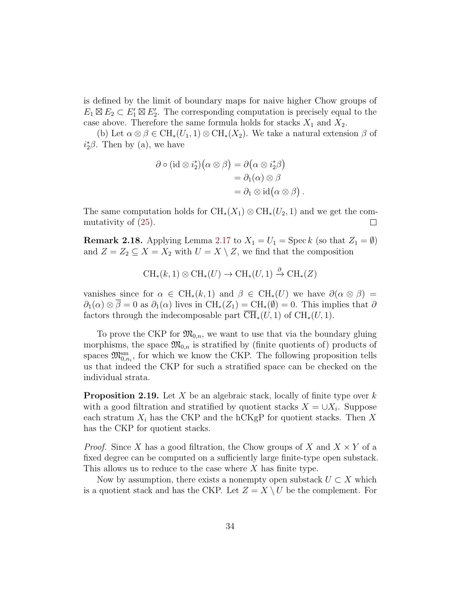is defined by the limit of boundary maps for naive higher Chow groups of  $E_1 \boxtimes E_2 \subset E_1' \boxtimes E_2'$ . The corresponding computation is precisely equal to the case above. Therefore the same formula holds for stacks  $X_1$  and  $X_2$ .

(b) Let  $\alpha \otimes \beta \in \text{CH}_*(U_1, 1) \otimes \text{CH}_*(X_2)$ . We take a natural extension  $\beta$  of  $i_2^*\beta$ . Then by (a), we have

$$
\partial \circ (\mathrm{id} \otimes i_2^*) (\alpha \otimes \beta) = \partial (\alpha \otimes i_2^* \beta)
$$
  
=  $\partial_1(\alpha) \otimes \beta$   
=  $\partial_1 \otimes \mathrm{id} (\alpha \otimes \beta)$ 

The same computation holds for  $\text{CH}_{*}(X_1) \otimes \text{CH}_{*}(U_2, 1)$  and we get the commutativity of [\(25\)](#page-31-0).  $\Box$ 

.

<span id="page-33-1"></span>**Remark 2.18.** Applying Lemma [2.17](#page-31-1) to  $X_1 = U_1 = \text{Spec } k$  (so that  $Z_1 = \emptyset$ ) and  $Z = Z_2 \subseteq X = X_2$  with  $U = X \setminus Z$ , we find that the composition

$$
\operatorname{CH}_*(k,1)\otimes \operatorname{CH}_*(U)\to \operatorname{CH}_*(U,1)\xrightarrow{\partial} \operatorname{CH}_*(Z)
$$

vanishes since for  $\alpha \in CH_*(k,1)$  and  $\beta \in CH_*(U)$  we have  $\partial(\alpha \otimes \beta) =$  $\partial_1(\alpha) \otimes \beta = 0$  as  $\partial_1(\alpha)$  lives in  $\text{CH}_*(Z_1) = \text{CH}_*(\emptyset) = 0$ . This implies that  $\partial$ factors through the indecomposable part  $\overline{\text{CH}}_{*}(U, 1)$  of  $\text{CH}_{*}(U, 1)$ .

To prove the CKP for  $\mathfrak{M}_{0,n}$ , we want to use that via the boundary gluing morphisms, the space  $\mathfrak{M}_{0,n}$  is stratified by (finite quotients of) products of spaces  $\mathfrak{M}_{0,n_i}^{\text{sm}}$ , for which we know the CKP. The following proposition tells us that indeed the CKP for such a stratified space can be checked on the individual strata.

<span id="page-33-0"></span>**Proposition 2.19.** Let X be an algebraic stack, locally of finite type over k with a good filtration and stratified by quotient stacks  $X = \bigcup X_i$ . Suppose each stratum  $X_i$  has the CKP and the hCKgP for quotient stacks. Then X has the CKP for quotient stacks.

*Proof.* Since X has a good filtration, the Chow groups of X and  $X \times Y$  of a fixed degree can be computed on a sufficiently large finite-type open substack. This allows us to reduce to the case where X has finite type.

Now by assumption, there exists a nonempty open substack  $U \subset X$  which is a quotient stack and has the CKP. Let  $Z = X \setminus U$  be the complement. For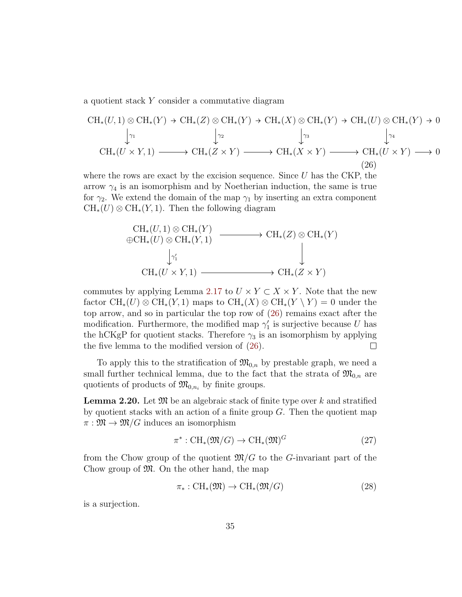a quotient stack Y consider a commutative diagram

<span id="page-34-0"></span>
$$
CH_*(U,1) \otimes CH_*(Y) \to CH_*(Z) \otimes CH_*(Y) \to CH_*(X) \otimes CH_*(Y) \to CH_*(U) \otimes CH_*(Y) \to 0
$$
  
\n
$$
\downarrow_{\gamma_1} \qquad \qquad \downarrow_{\gamma_2} \qquad \qquad \downarrow_{\gamma_3} \qquad \qquad \downarrow_{\gamma_4}
$$
  
\n
$$
CH_*(U \times Y,1) \longrightarrow CH_*(Z \times Y) \longrightarrow CH_*(X \times Y) \longrightarrow CH_*(U \times Y) \longrightarrow 0
$$
  
\n
$$
(26)
$$

where the rows are exact by the excision sequence. Since  $U$  has the CKP, the arrow  $\gamma_4$  is an isomorphism and by Noetherian induction, the same is true for  $\gamma_2$ . We extend the domain of the map  $\gamma_1$  by inserting an extra component  $\text{CH}_*(U) \otimes \text{CH}_*(Y,1)$ . Then the following diagram

$$
\begin{array}{ccc}\n\text{CH}_{*}(U,1) \otimes \text{CH}_{*}(Y) & & \text{CH}_{*}(Z) \otimes \text{CH}_{*}(Y) \\
\oplus \text{CH}_{*}(U) \otimes \text{CH}_{*}(Y,1) & & \downarrow \\
\downarrow^{\gamma_{1}'} & & \downarrow \\
\text{CH}_{*}(U \times Y,1) & & \text{CH}_{*}(Z \times Y)\n\end{array}
$$

commutes by applying Lemma [2.17](#page-31-1) to  $U \times Y \subset X \times Y$ . Note that the new factor  $\text{CH}_*(U) \otimes \text{CH}_*(Y,1)$  maps to  $\text{CH}_*(X) \otimes \text{CH}_*(Y \setminus Y) = 0$  under the top arrow, and so in particular the top row of [\(26\)](#page-34-0) remains exact after the modification. Furthermore, the modified map  $\gamma'_1$  is surjective because U has the hCKgP for quotient stacks. Therefore  $\gamma_3$  is an isomorphism by applying  $\Box$ the five lemma to the modified version of [\(26\)](#page-34-0).

To apply this to the stratification of  $\mathfrak{M}_{0,n}$  by prestable graph, we need a small further technical lemma, due to the fact that the strata of  $\mathfrak{M}_{0,n}$  are quotients of products of  $\mathfrak{M}_{0,n_i}$  by finite groups.

<span id="page-34-1"></span>**Lemma 2.20.** Let  $\mathfrak{M}$  be an algebraic stack of finite type over k and stratified by quotient stacks with an action of a finite group  $G$ . Then the quotient map  $\pi : \mathfrak{M} \to \mathfrak{M}/G$  induces an isomorphism

$$
\pi^* : \mathrm{CH}_*(\mathfrak{M}/G) \to \mathrm{CH}_*(\mathfrak{M})^G \tag{27}
$$

from the Chow group of the quotient  $\mathfrak{M}/G$  to the G-invariant part of the Chow group of  $\mathfrak{M}$ . On the other hand, the map

$$
\pi_* : \mathrm{CH}_*(\mathfrak{M}) \to \mathrm{CH}_*(\mathfrak{M}/G) \tag{28}
$$

is a surjection.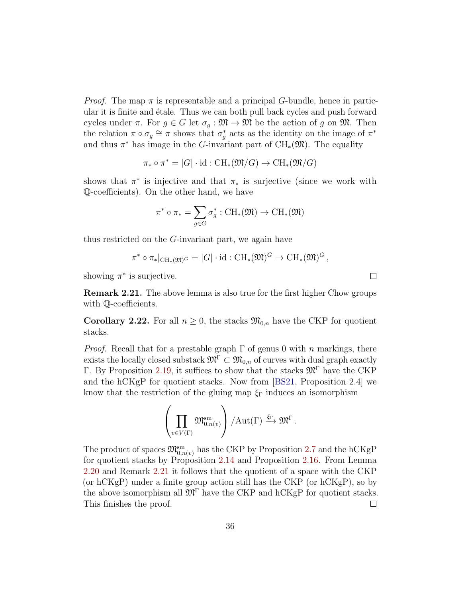*Proof.* The map  $\pi$  is representable and a principal G-bundle, hence in particular it is finite and étale. Thus we can both pull back cycles and push forward cycles under  $\pi$ . For  $g \in G$  let  $\sigma_g : \mathfrak{M} \to \mathfrak{M}$  be the action of g on  $\mathfrak{M}$ . Then the relation  $\pi \circ \sigma_g \cong \pi$  shows that  $\sigma_g^*$  acts as the identity on the image of  $\pi^*$ and thus  $\pi^*$  has image in the G-invariant part of CH<sub>\*</sub>( $\mathfrak{M}$ ). The equality

$$
\pi_* \circ \pi^* = |G| \cdot \mathrm{id} : \mathrm{CH}_*(\mathfrak{M}/G) \to \mathrm{CH}_*(\mathfrak{M}/G)
$$

shows that  $\pi^*$  is injective and that  $\pi_*$  is surjective (since we work with Q-coefficients). On the other hand, we have

$$
\pi^* \circ \pi_* = \sum_{g \in G} \sigma_g^* : \operatorname{CH}_*(\mathfrak{M}) \to \operatorname{CH}_*(\mathfrak{M})
$$

thus restricted on the G-invariant part, we again have

$$
\pi^* \circ \pi_*|_{\operatorname{CH}_*(\mathfrak{M})^G} = |G| \cdot \operatorname{id} : \operatorname{CH}_*(\mathfrak{M})^G \to \operatorname{CH}_*(\mathfrak{M})^G,
$$

showing  $\pi^*$  is surjective.

<span id="page-35-1"></span>Remark 2.21. The above lemma is also true for the first higher Chow groups with Q-coefficients.

<span id="page-35-0"></span>**Corollary 2.22.** For all  $n \geq 0$ , the stacks  $\mathfrak{M}_{0,n}$  have the CKP for quotient stacks.

*Proof.* Recall that for a prestable graph  $\Gamma$  of genus 0 with n markings, there exists the locally closed substack  $\mathfrak{M}^{\Gamma} \subset \mathfrak{M}_{0,n}$  of curves with dual graph exactly Γ. By Proposition [2.19,](#page-33-0) it suffices to show that the stacks  $\mathfrak{M}^{\Gamma}$  have the CKP and the hCKgP for quotient stacks. Now from [\[BS21,](#page-64-0) Proposition 2.4] we know that the restriction of the gluing map  $\xi_{\Gamma}$  induces an isomorphism

$$
\left(\prod_{v\in V(\Gamma)}\mathfrak{M}_{0,n(v)}^{\mathrm{sm}}\right)/\mathrm{Aut}(\Gamma)\xrightarrow{\xi_{\Gamma}}\mathfrak{M}^{\Gamma}.
$$

The product of spaces  $\mathfrak{M}_{0,n(v)}^{sm}$  has the CKP by Proposition [2.7](#page-18-2) and the hCKgP for quotient stacks by Proposition [2.14](#page-26-0) and Proposition [2.16.](#page-29-0) From Lemma [2.20](#page-34-1) and Remark [2.21](#page-35-1) it follows that the quotient of a space with the CKP (or hCKgP) under a finite group action still has the CKP (or hCKgP), so by the above isomorphism all  $\mathfrak{M}^{\Gamma}$  have the CKP and hCKgP for quotient stacks. This finishes the proof.  $\Box$ 

 $\Box$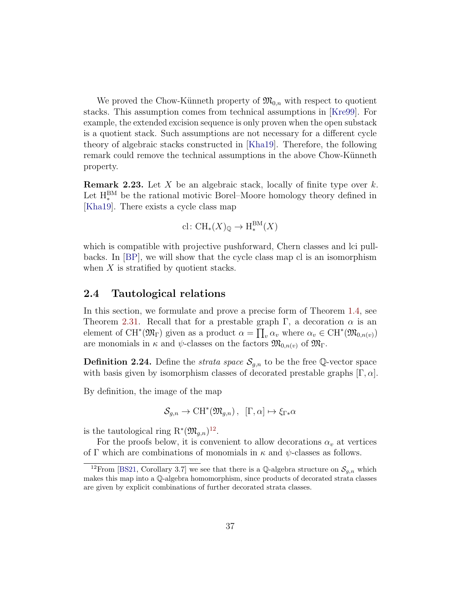We proved the Chow-Künneth property of  $\mathfrak{M}_{0,n}$  with respect to quotient stacks. This assumption comes from technical assumptions in [\[Kre99\]](#page-66-3). For example, the extended excision sequence is only proven when the open substack is a quotient stack. Such assumptions are not necessary for a different cycle theory of algebraic stacks constructed in [\[Kha19\]](#page-66-6). Therefore, the following remark could remove the technical assumptions in the above Chow-Künneth property.

**Remark 2.23.** Let X be an algebraic stack, locally of finite type over  $k$ . Let  $H_*^{BM}$  be the rational motivic Borel–Moore homology theory defined in [\[Kha19\]](#page-66-6). There exists a cycle class map

$$
\mathrm{cl}\colon \mathrm{CH}_*(X)_{\mathbb{Q}}\to \mathrm{H}^{\mathrm{BM}}_*(X)
$$

which is compatible with projective pushforward, Chern classes and lci pullbacks. In [\[BP\]](#page-64-4), we will show that the cycle class map cl is an isomorphism when  $X$  is stratified by quotient stacks.

#### <span id="page-36-0"></span>2.4 Tautological relations

In this section, we formulate and prove a precise form of Theorem [1.4,](#page-6-0) see Theorem [2.31.](#page-39-0) Recall that for a prestable graph Γ, a decoration  $\alpha$  is an element of CH<sup>\*</sup>( $\mathfrak{M}_{\Gamma}$ ) given as a product  $\alpha = \prod_{v} \alpha_v$  where  $\alpha_v \in \mathrm{CH}^*(\mathfrak{M}_{0,n(v)})$ are monomials in  $\kappa$  and  $\psi$ -classes on the factors  $\mathfrak{M}_{0,n(v)}$  of  $\mathfrak{M}_{\Gamma}$ .

<span id="page-36-2"></span>**Definition 2.24.** Define the *strata space*  $S_{g,n}$  to be the free Q-vector space with basis given by isomorphism classes of decorated prestable graphs  $[\Gamma, \alpha]$ .

By definition, the image of the map

$$
\mathcal{S}_{g,n} \to \mathrm{CH}^*(\mathfrak{M}_{g,n}), \ \ [\Gamma, \alpha] \mapsto \xi_{\Gamma^*} \alpha
$$

is the tautological ring  $\mathrm{R}^*(\mathfrak{M}_{g,n})^{12}$  $\mathrm{R}^*(\mathfrak{M}_{g,n})^{12}$  $\mathrm{R}^*(\mathfrak{M}_{g,n})^{12}$ .

For the proofs below, it is convenient to allow decorations  $\alpha_v$  at vertices of Γ which are combinations of monomials in  $\kappa$  and  $\psi$ -classes as follows.

<span id="page-36-1"></span><sup>&</sup>lt;sup>12</sup>From [\[BS21,](#page-64-0) Corollary 3.7] we see that there is a Q-algebra structure on  $S_{q,n}$  which makes this map into a Q-algebra homomorphism, since products of decorated strata classes are given by explicit combinations of further decorated strata classes.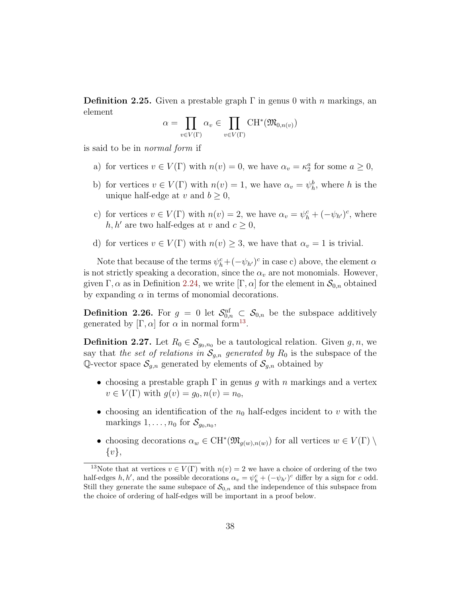**Definition 2.25.** Given a prestable graph  $\Gamma$  in genus 0 with *n* markings, an element

$$
\alpha = \prod_{v \in V(\Gamma)} \alpha_v \in \prod_{v \in V(\Gamma)} \mathrm{CH}^*(\mathfrak{M}_{0,n(v)})
$$

is said to be in normal form if

- a) for vertices  $v \in V(\Gamma)$  with  $n(v) = 0$ , we have  $\alpha_v = \kappa_2^a$  for some  $a \ge 0$ ,
- b) for vertices  $v \in V(\Gamma)$  with  $n(v) = 1$ , we have  $\alpha_v = \psi_h^b$ , where h is the unique half-edge at v and  $b \geq 0$ ,
- c) for vertices  $v \in V(\Gamma)$  with  $n(v) = 2$ , we have  $\alpha_v = \psi_h^c + (-\psi_{h'})^c$ , where  $h, h'$  are two half-edges at v and  $c \geq 0$ ,
- d) for vertices  $v \in V(\Gamma)$  with  $n(v) \geq 3$ , we have that  $\alpha_v = 1$  is trivial.

Note that because of the terms  $\psi_h^c + (-\psi_{h'})^c$  in case c) above, the element  $\alpha$ is not strictly speaking a decoration, since the  $\alpha_v$  are not monomials. However, given  $\Gamma, \alpha$  as in Definition [2.24,](#page-36-2) we write  $[\Gamma, \alpha]$  for the element in  $\mathcal{S}_{0,n}$  obtained by expanding  $\alpha$  in terms of monomial decorations.

**Definition 2.26.** For  $g = 0$  let  $\mathcal{S}_{0,n}^{\text{nf}} \subset \mathcal{S}_{0,n}$  be the subspace additively generated by  $[\Gamma, \alpha]$  for  $\alpha$  in normal form<sup>[13](#page-37-1)</sup>.

<span id="page-37-0"></span>**Definition 2.27.** Let  $R_0 \in \mathcal{S}_{g_0,n_0}$  be a tautological relation. Given  $g, n$ , we say that the set of relations in  $S_{g,n}$  generated by  $R_0$  is the subspace of the Q-vector space  $\mathcal{S}_{g,n}$  generated by elements of  $\mathcal{S}_{g,n}$  obtained by

- choosing a prestable graph  $\Gamma$  in genus g with n markings and a vertex  $v \in V(\Gamma)$  with  $g(v) = g_0, n(v) = n_0$ ,
- choosing an identification of the  $n_0$  half-edges incident to v with the markings  $1, \ldots, n_0$  for  $\mathcal{S}_{g_0,n_0}$ ,
- choosing decorations  $\alpha_w \in \mathrm{CH}^*(\mathfrak{M}_{g(w),n(w)})$  for all vertices  $w \in V(\Gamma) \setminus \mathcal{L}$  $\{v\},\$

<span id="page-37-1"></span><sup>&</sup>lt;sup>13</sup>Note that at vertices  $v \in V(\Gamma)$  with  $n(v) = 2$  we have a choice of ordering of the two half-edges h, h', and the possible decorations  $\alpha_v = \psi_h^c + (-\psi_{h'})^c$  differ by a sign for c odd. Still they generate the same subspace of  $\mathcal{S}_{0,n}$  and the independence of this subspace from the choice of ordering of half-edges will be important in a proof below.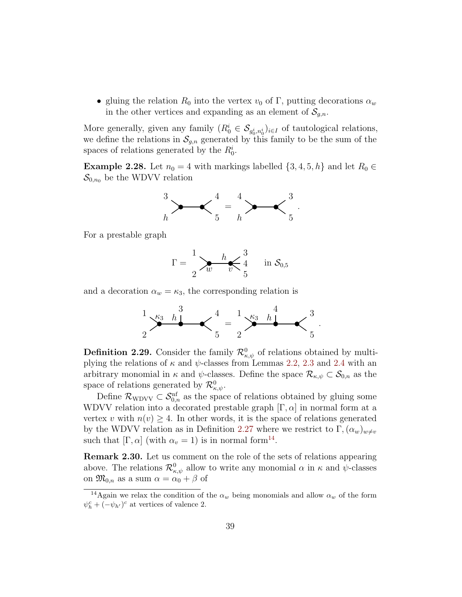• gluing the relation  $R_0$  into the vertex  $v_0$  of  $\Gamma$ , putting decorations  $\alpha_w$ in the other vertices and expanding as an element of  $\mathcal{S}_{q,n}$ .

More generally, given any family  $(R_0^i \in \mathcal{S}_{g_0^i, n_0^i})_{i \in I}$  of tautological relations, we define the relations in  $\mathcal{S}_{q,n}$  generated by this family to be the sum of the spaces of relations generated by the  $R_0^i$ .

<span id="page-38-0"></span>**Example 2.28.** Let  $n_0 = 4$  with markings labelled  $\{3, 4, 5, h\}$  and let  $R_0 \in$  $\mathcal{S}_{0,n_0}$  be the WDVV relation



For a prestable graph



and a decoration  $\alpha_w = \kappa_3$ , the corresponding relation is



**Definition 2.29.** Consider the family  $\mathcal{R}^0_{\kappa,\psi}$  of relations obtained by multiplying the relations of  $\kappa$  and  $\psi$ -classes from Lemmas [2.2,](#page-14-0) [2.3](#page-15-0) and [2.4](#page-15-1) with an arbitrary monomial in  $\kappa$  and  $\psi$ -classes. Define the space  $\mathcal{R}_{\kappa,\psi} \subset \mathcal{S}_{0,n}$  as the space of relations generated by  $\mathcal{R}_{\kappa,\psi}^0$ .

Define  $\mathcal{R}_{\text{WDVV}} \subset \mathcal{S}_{0,n}^{\text{nf}}$  as the space of relations obtained by gluing some WDVV relation into a decorated prestable graph  $[\Gamma, \alpha]$  in normal form at a vertex v with  $n(v) \geq 4$ . In other words, it is the space of relations generated by the WDVV relation as in Definition [2.27](#page-37-0) where we restrict to  $\Gamma$ ,  $(\alpha_w)_{w\neq v}$ such that  $[\Gamma, \alpha]$  (with  $\alpha_v = 1$ ) is in normal form<sup>[14](#page-38-1)</sup>.

<span id="page-38-2"></span>Remark 2.30. Let us comment on the role of the sets of relations appearing above. The relations  $\mathcal{R}^0_{\kappa,\psi}$  allow to write any monomial  $\alpha$  in  $\kappa$  and  $\psi$ -classes on  $\mathfrak{M}_{0,n}$  as a sum  $\alpha = \alpha_0 + \beta$  of

<span id="page-38-1"></span><sup>&</sup>lt;sup>14</sup>Again we relax the condition of the  $\alpha_w$  being monomials and allow  $\alpha_w$  of the form  $\psi_h^c + (-\psi_{h'})^c$  at vertices of valence 2.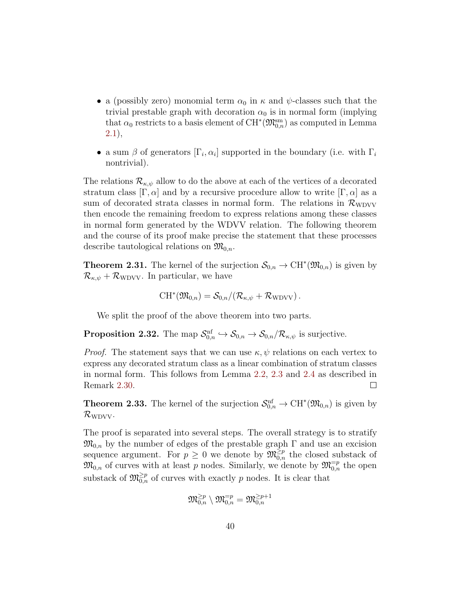- a (possibly zero) monomial term  $\alpha_0$  in  $\kappa$  and  $\psi$ -classes such that the trivial prestable graph with decoration  $\alpha_0$  is in normal form (implying that  $\alpha_0$  restricts to a basis element of  $\mathrm{CH}^*(\mathfrak{M}_{0,n}^{\mathrm{sm}})$  as computed in Lemma [2.1\)](#page-13-2),
- a sum  $\beta$  of generators  $[\Gamma_i, \alpha_i]$  supported in the boundary (i.e. with  $\Gamma_i$ nontrivial).

The relations  $\mathcal{R}_{\kappa,\psi}$  allow to do the above at each of the vertices of a decorated stratum class  $[\Gamma, \alpha]$  and by a recursive procedure allow to write  $[\Gamma, \alpha]$  as a sum of decorated strata classes in normal form. The relations in  $\mathcal{R}_{\text{WDVV}}$ then encode the remaining freedom to express relations among these classes in normal form generated by the WDVV relation. The following theorem and the course of its proof make precise the statement that these processes describe tautological relations on  $\mathfrak{M}_{0,n}$ .

<span id="page-39-0"></span>**Theorem 2.31.** The kernel of the surjection  $\mathcal{S}_{0,n} \to \mathrm{CH}^*(\mathfrak{M}_{0,n})$  is given by  $\mathcal{R}_{\kappa,\psi} + \mathcal{R}_{\text{WDVV}}$ . In particular, we have

$$
CH^*(\mathfrak{M}_{0,n}) = \mathcal{S}_{0,n}/(\mathcal{R}_{\kappa,\psi} + \mathcal{R}_{\text{WDVV}}).
$$

We split the proof of the above theorem into two parts.

<span id="page-39-2"></span>**Proposition 2.32.** The map  $S_{0,n}^{\text{nf}} \to S_{0,n} \to S_{0,n}/\mathcal{R}_{\kappa,\psi}$  is surjective.

*Proof.* The statement says that we can use  $\kappa, \psi$  relations on each vertex to express any decorated stratum class as a linear combination of stratum classes in normal form. This follows from Lemma [2.2,](#page-14-0) [2.3](#page-15-0) and [2.4](#page-15-1) as described in Remark [2.30.](#page-38-2)  $\Box$ 

<span id="page-39-1"></span>**Theorem 2.33.** The kernel of the surjection  $\mathcal{S}_{0,n}^{\text{nf}} \to \text{CH}^*(\mathfrak{M}_{0,n})$  is given by  $\mathcal{R}_{\text{WDVV}}$ .

The proof is separated into several steps. The overall strategy is to stratify  $\mathfrak{M}_{0,n}$  by the number of edges of the prestable graph  $\Gamma$  and use an excision sequence argument. For  $p \geq 0$  we denote by  $\mathfrak{M}_{0,n}^{\geq p}$  the closed substack of  $\mathfrak{M}_{0,n}$  of curves with at least p nodes. Similarly, we denote by  $\mathfrak{M}_{0,n}^{=p}$  the open substack of  $\mathfrak{M}_{0,n}^{\geq p}$  of curves with exactly p nodes. It is clear that

$$
\mathfrak{M}_{0,n}^{\geq p}\setminus \mathfrak{M}_{0,n}^{=p}=\mathfrak{M}_{0,n}^{\geq p+1}
$$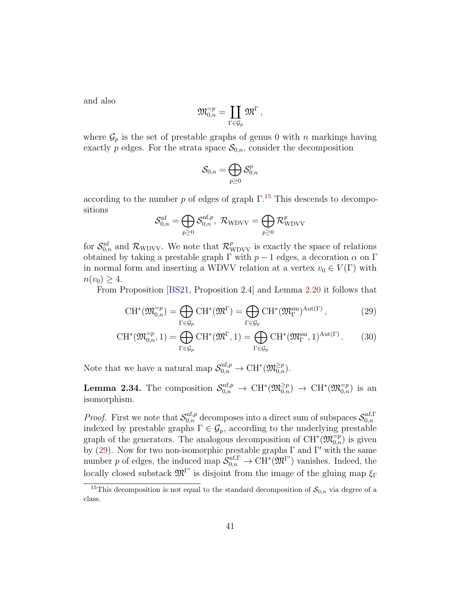and also

$$
\mathfrak{M}^{=p}_{0,n}=\coprod_{\Gamma\in \mathcal{G}_p}\mathfrak{M}^\Gamma\,,
$$

where  $\mathcal{G}_p$  is the set of prestable graphs of genus 0 with n markings having exactly p edges. For the strata space  $S_{0,n}$ , consider the decomposition

<span id="page-40-1"></span>
$$
\mathcal{S}_{0,n}=\bigoplus_{p\geq 0}\mathcal{S}_{0,n}^p
$$

according to the number p of edges of graph  $\Gamma$ <sup>[15](#page-40-0)</sup>. This descends to decompositions

$$
\mathcal{S}^{\rm nf}_{0,n} = \bigoplus_{p\geq 0} \mathcal{S}^{{\rm nf},p}_{0,n},\ \mathcal{R}_{\rm WDVV} = \bigoplus_{p\geq 0} \mathcal{R}^p_{\rm WDVV}
$$

for  $S_{0,n}^{\text{nf}}$  and  $\mathcal{R}_{\text{WDVV}}$ . We note that  $\mathcal{R}_{\text{WDVV}}^p$  is exactly the space of relations obtained by taking a prestable graph  $\Gamma$  with  $p-1$  edges, a decoration  $\alpha$  on  $\Gamma$ in normal form and inserting a WDVV relation at a vertex  $v_0 \in V(\Gamma)$  with  $n(v_0) \geq 4.$ 

From Proposition [\[BS21,](#page-64-0) Proposition 2.4] and Lemma [2.20](#page-34-1) it follows that

$$
CH^*(\mathfrak{M}_{0,n}^{-p}) = \bigoplus_{\Gamma \in \mathcal{G}_p} CH^*(\mathfrak{M}^{\Gamma}) = \bigoplus_{\Gamma \in \mathcal{G}_p} CH^*(\mathfrak{M}_{\Gamma}^{\text{sm}})^{\text{Aut}(\Gamma)},\tag{29}
$$

$$
CH^*(\mathfrak{M}_{0,n}^{-p},1) = \bigoplus_{\Gamma \in \mathcal{G}_p} CH^*(\mathfrak{M}^{\Gamma},1) = \bigoplus_{\Gamma \in \mathcal{G}_p} CH^*(\mathfrak{M}_{\Gamma}^{\text{sm}},1)^{\text{Aut}(\Gamma)}.
$$
 (30)

Note that we have a natural map  $\mathcal{S}_{0,n}^{\text{nf},p} \to \text{CH}^*(\mathfrak{M}_{0,n}^{\geq p})$ .

<span id="page-40-2"></span>**Lemma 2.34.** The composition  $S_{0,n}^{\text{nf},p} \to \text{CH}^*(\mathfrak{M}_{0,n}^{\geq p}) \to \text{CH}^*(\mathfrak{M}_{0,n}^{\equiv p})$  is an isomorphism.

*Proof.* First we note that  $\mathcal{S}_{0,n}^{\text{nf},p}$  decomposes into a direct sum of subspaces  $\mathcal{S}_{0,n}^{\text{nf},\Gamma}$  $_{0,n}$ indexed by prestable graphs  $\Gamma \in \mathcal{G}_p$ , according to the underlying prestable graph of the generators. The analogous decomposition of  $CH^*(\mathfrak{M}_{0,n}^{\equiv p})$  is given by [\(29\)](#page-40-1). Now for two non-isomorphic prestable graphs  $\Gamma$  and  $\Gamma'$  with the same number p of edges, the induced map  $\mathcal{S}_{0,n}^{\text{nf},\Gamma} \to \text{CH}^*(\mathfrak{M}^{\Gamma'})$  vanishes. Indeed, the locally closed substack  $\mathfrak{M}^{\Gamma'}$  is disjoint from the image of the gluing map  $\xi_{\Gamma}$ 

<span id="page-40-0"></span><sup>&</sup>lt;sup>15</sup>This decomposition is not equal to the standard decomposition of  $S_{0,n}$  via degree of a class.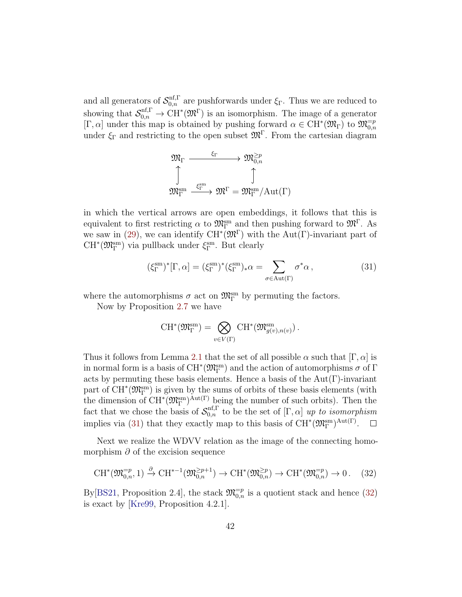and all generators of  $\mathcal{S}_{0,n}^{\text{nf},\Gamma}$  are pushforwards under  $\xi_{\Gamma}$ . Thus we are reduced to showing that  $\mathcal{S}_{0,n}^{\text{nf},\Gamma} \to \text{CH}^*(\mathfrak{M}^{\Gamma})$  is an isomorphism. The image of a generator [Γ, α] under this map is obtained by pushing forward  $\alpha \in \mathrm{CH}^*(\mathfrak{M}_{\Gamma})$  to  $\mathfrak{M}_{0,n}^{-p}$ under  $\xi_{\Gamma}$  and restricting to the open subset  $\mathfrak{M}^{\Gamma}$ . From the cartesian diagram

$$
\begin{array}{ccc}\mathfrak M_{\Gamma}&\xrightarrow{\xi_{\Gamma}}&\mathfrak M_{0,n}^{\geq p}\\ \updownarrow&&\updownarrow\\ \mathfrak M_{\Gamma}^{\operatorname{sm}}&\xrightarrow{\xi_{\Gamma}^{\operatorname{sm}}} &\mathfrak M^{\Gamma}=\mathfrak M_{\Gamma}^{\operatorname{sm}}/\mathrm{Aut}(\Gamma)\end{array}
$$

in which the vertical arrows are open embeddings, it follows that this is equivalent to first restricting  $\alpha$  to  $\mathfrak{M}_{\Gamma}^{\text{sm}}$  and then pushing forward to  $\mathfrak{M}^{\Gamma}$ . As we saw in [\(29\)](#page-40-1), we can identify  $\mathrm{CH}^*(\mathfrak{M}^{\Gamma})$  with the Aut( $\Gamma$ )-invariant part of  $\mathrm{CH}^*(\mathfrak{M}^{\mathrm{sm}}_\Gamma)$  via pullback under  $\xi^{\mathrm{sm}}_\Gamma.$  But clearly

<span id="page-41-0"></span>
$$
(\xi_{\Gamma}^{\rm sm})^*[\Gamma, \alpha] = (\xi_{\Gamma}^{\rm sm})^*(\xi_{\Gamma}^{\rm sm})_*\alpha = \sum_{\sigma \in \text{Aut}(\Gamma)} \sigma^* \alpha , \qquad (31)
$$

where the automorphisms  $\sigma$  act on  $\mathfrak{M}^{\text{sm}}_{\Gamma}$  by permuting the factors.

Now by Proposition [2.7](#page-18-2) we have

$$
\operatorname{CH}^*(\mathfrak{M}^{\operatorname{sm}}_\Gamma)=\bigotimes_{v\in V(\Gamma)}\operatorname{CH}^*(\mathfrak{M}^{\operatorname{sm}}_{g(v),n(v)})\,.
$$

Thus it follows from Lemma [2.1](#page-13-2) that the set of all possible  $\alpha$  such that  $[\Gamma, \alpha]$  is in normal form is a basis of  $\mathrm{CH}^*(\mathfrak{M}^{\mathrm{sm}}_\Gamma)$  and the action of automorphisms  $\sigma$  of  $\Gamma$ acts by permuting these basis elements. Hence a basis of the  $Aut(\Gamma)$ -invariant part of  $CH^*(\mathfrak{M}_{\Gamma}^{\text{sm}})$  is given by the sums of orbits of these basis elements (with  $\Phi$  from Eq. (30  $\Gamma$ ) is given by the sums of orbits of these basis elements (with the dimension of CH<sup>\*</sup>( $\mathfrak{M}_{\Gamma}^{\text{sm}}$ )<sup>Aut(Γ)</sup> being the number of such orbits). Then the fact that we chose the basis of  $\mathcal{S}_{0,n}^{\text{nf},\Gamma}$  to be the set of  $[\Gamma, \alpha]$  up to isomorphism implies via [\(31\)](#page-41-0) that they exactly map to this basis of  $CH^*(\mathfrak{M}_{\Gamma}^{\text{sm}})^{\text{Aut}(\Gamma)}$ .  $\Box$ 

Next we realize the WDVV relation as the image of the connecting homomorphism  $\partial$  of the excision sequence

<span id="page-41-1"></span>
$$
\mathrm{CH}^*(\mathfrak{M}_{0,n}^{-p},1) \xrightarrow{\partial} \mathrm{CH}^{*-1}(\mathfrak{M}_{0,n}^{\geq p+1}) \to \mathrm{CH}^*(\mathfrak{M}_{0,n}^{\geq p}) \to \mathrm{CH}^*(\mathfrak{M}_{0,n}^{-p}) \to 0. \tag{32}
$$

By [\[BS21,](#page-64-0) Proposition 2.4], the stack  $\mathfrak{M}_{0,n}^{-p}$  is a quotient stack and hence [\(32\)](#page-41-1) is exact by [\[Kre99,](#page-66-3) Proposition 4.2.1].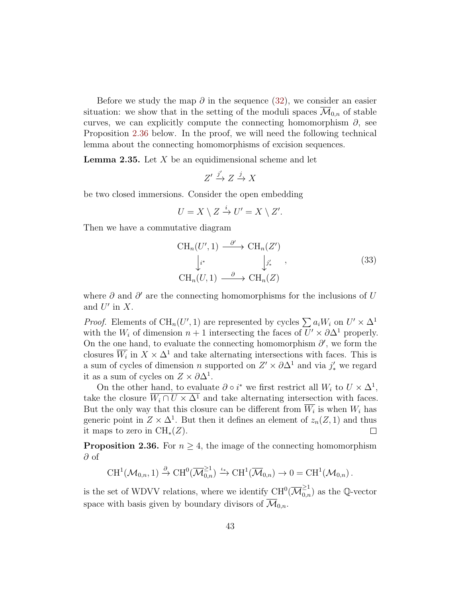Before we study the map  $\partial$  in the sequence [\(32\)](#page-41-1), we consider an easier situation: we show that in the setting of the moduli spaces  $\overline{\mathcal{M}}_{0,n}$  of stable curves, we can explicitly compute the connecting homomorphism  $\partial$ , see Proposition [2.36](#page-42-0) below. In the proof, we will need the following technical lemma about the connecting homomorphisms of excision sequences.

<span id="page-42-1"></span>**Lemma 2.35.** Let  $X$  be an equidimensional scheme and let

$$
Z' \xrightarrow{j'} Z \xrightarrow{j} X
$$

be two closed immersions. Consider the open embedding

$$
U = X \setminus Z \stackrel{i}{\to} U' = X \setminus Z'.
$$

Then we have a commutative diagram

$$
\begin{aligned}\n\text{CH}_n(U', 1) & \xrightarrow{\partial'} \text{CH}_n(Z') \\
\downarrow_i^* & \qquad \qquad \downarrow j'_*, \\
\text{CH}_n(U, 1) & \xrightarrow{\partial} \text{CH}_n(Z)\n\end{aligned} \tag{33}
$$

where  $\partial$  and  $\partial'$  are the connecting homomorphisms for the inclusions of U and  $U'$  in X.

*Proof.* Elements of CH<sub>n</sub>(U', 1) are represented by cycles  $\sum a_i W_i$  on  $U' \times \Delta^1$ with the  $W_i$  of dimension  $n + 1$  intersecting the faces of  $U' \times \partial \Delta^1$  properly. On the one hand, to evaluate the connecting homomorphism  $\partial'$ , we form the closures  $\overline{W_i}$  in  $X \times \Delta^1$  and take alternating intersections with faces. This is a sum of cycles of dimension n supported on  $Z' \times \partial \Delta^1$  and via  $j'_{*}$  we regard it as a sum of cycles on  $Z \times \partial \Delta^1$ .

On the other hand, to evaluate  $\partial \circ i^*$  we first restrict all  $W_i$  to  $U \times \Delta^1$ , take the closure  $\overline{W_i \cap U \times \Delta^1}$  and take alternating intersection with faces. But the only way that this closure can be different from  $W_i$  is when  $W_i$  has generic point in  $Z \times \Delta^1$ . But then it defines an element of  $z_n(Z, 1)$  and thus it maps to zero in  $\text{CH}_{*}(Z)$ .  $\Box$ 

<span id="page-42-0"></span>**Proposition 2.36.** For  $n \geq 4$ , the image of the connecting homomorphism ∂ of

$$
\mathrm{CH}^1(\mathcal{M}_{0,n},1) \xrightarrow{\partial} \mathrm{CH}^0(\overline{\mathcal{M}}_{0,n}^{\geq 1}) \xrightarrow{\iota_*} \mathrm{CH}^1(\overline{\mathcal{M}}_{0,n}) \to 0 = \mathrm{CH}^1(\mathcal{M}_{0,n}).
$$

is the set of WDVV relations, where we identify  $\mathrm{CH}^0(\overline{\mathcal{M}}_{0,n}^{\geq 1})$  as the Q-vector space with basis given by boundary divisors of  $\overline{\mathcal{M}}_{0,n}$ .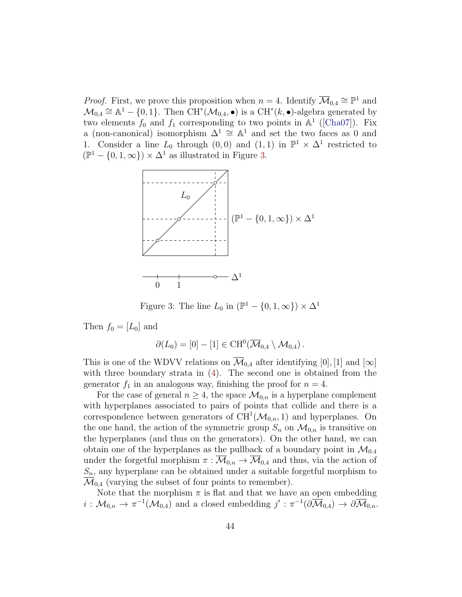*Proof.* First, we prove this proposition when  $n = 4$ . Identify  $\overline{\mathcal{M}}_{0,4} \cong \mathbb{P}^1$  and  $\mathcal{M}_{0,4} \cong \mathbb{A}^1 - \{0,1\}$ . Then  $\overline{\text{CH}^*}(\mathcal{M}_{0,4}, \bullet)$  is a  $\overline{\text{CH}^*}(k, \bullet)$ -algebra generated by two elements  $f_0$  and  $f_1$  corresponding to two points in  $\mathbb{A}^1$  ([\[Cha07\]](#page-64-2)). Fix a (non-canonical) isomorphism  $\Delta^1 \cong \mathbb{A}^1$  and set the two faces as 0 and 1. Consider a line  $L_0$  through  $(0,0)$  and  $(1,1)$  in  $\mathbb{P}^1 \times \Delta^1$  restricted to  $(\mathbb{P}^1 - \{0, 1, \infty\}) \times \Delta^1$  as illustrated in Figure [3.](#page-43-0)



<span id="page-43-0"></span>Figure 3: The line  $L_0$  in  $(\mathbb{P}^1 - \{0, 1, \infty\}) \times \Delta^1$ 

Then  $f_0 = [L_0]$  and

$$
\partial(L_0)=[0]-[1]\in \text{CH}^0(\overline{\mathcal{M}}_{0,4}\setminus \mathcal{M}_{0,4}).
$$

This is one of the WDVV relations on  $\overline{\mathcal{M}}_{0,4}$  after identifying [0], [1] and [∞] with three boundary strata in [\(4\)](#page-3-2). The second one is obtained from the generator  $f_1$  in an analogous way, finishing the proof for  $n = 4$ .

For the case of general  $n \geq 4$ , the space  $\mathcal{M}_{0,n}$  is a hyperplane complement with hyperplanes associated to pairs of points that collide and there is a correspondence between generators of  $CH^1(\mathcal{M}_{0,n}, 1)$  and hyperplanes. On the one hand, the action of the symmetric group  $S_n$  on  $\mathcal{M}_{0,n}$  is transitive on the hyperplanes (and thus on the generators). On the other hand, we can obtain one of the hyperplanes as the pullback of a boundary point in  $\mathcal{M}_{0,4}$ under the forgetful morphism  $\pi : \overline{\mathcal{M}}_{0,n} \to \overline{\mathcal{M}}_{0,4}$  and thus, via the action of  $S_n$ , any hyperplane can be obtained under a suitable forgetful morphism to  $\mathcal{M}_{0,4}$  (varying the subset of four points to remember).

Note that the morphism  $\pi$  is flat and that we have an open embedding  $i: \mathcal{M}_{0,n} \to \pi^{-1}(\mathcal{M}_{0,4})$  and a closed embedding  $j': \pi^{-1}(\partial \overline{\mathcal{M}}_{0,4}) \to \partial \overline{\mathcal{M}}_{0,n}$ .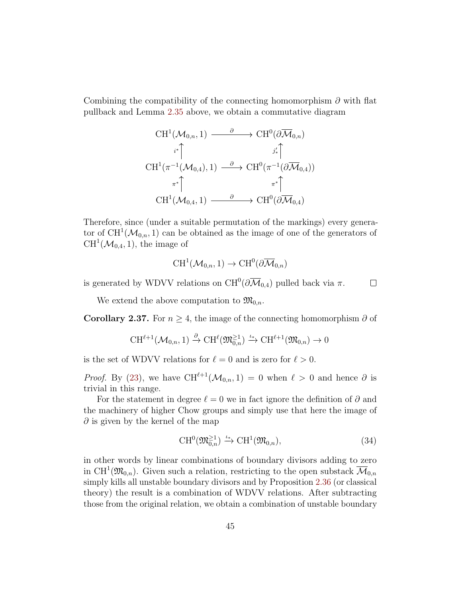Combining the compatibility of the connecting homomorphism  $\partial$  with flat pullback and Lemma [2.35](#page-42-1) above, we obtain a commutative diagram

$$
\operatorname{CH}^1(\mathcal{M}_{0,n},1) \xrightarrow{\partial} \operatorname{CH}^0(\partial \overline{\mathcal{M}}_{0,n})
$$
\n
$$
\iota^* \uparrow \qquad \qquad \iota^* \uparrow
$$
\n
$$
\operatorname{CH}^1(\pi^{-1}(\mathcal{M}_{0,4}),1) \xrightarrow{\partial} \operatorname{CH}^0(\pi^{-1}(\partial \overline{\mathcal{M}}_{0,4}))
$$
\n
$$
\pi^* \uparrow \qquad \qquad \pi^* \uparrow
$$
\n
$$
\operatorname{CH}^1(\mathcal{M}_{0,4},1) \xrightarrow{\partial} \operatorname{CH}^0(\partial \overline{\mathcal{M}}_{0,4})
$$

Therefore, since (under a suitable permutation of the markings) every generator of  $\mathrm{CH}^1(\mathcal{M}_{0,n},1)$  can be obtained as the image of one of the generators of  $CH<sup>1</sup>(\mathcal{M}_{0,4}, 1)$ , the image of

$$
\text{CH}^1(\mathcal{M}_{0,n},1)\to \text{CH}^0(\partial\overline{\mathcal{M}}_{0,n})
$$

is generated by WDVV relations on  $CH^0(\partial \overline{\mathcal{M}}_{0,4})$  pulled back via  $\pi$ .  $\Box$ 

We extend the above computation to  $\mathfrak{M}_{0,n}$ .

<span id="page-44-0"></span>Corollary 2.37. For  $n \geq 4$ , the image of the connecting homomorphism  $\partial$  of

$$
\mathrm{CH}^{\ell+1}(\mathcal{M}_{0,n},1)\xrightarrow{\partial}\mathrm{CH}^{\ell}(\mathfrak{M}_{0,n}^{\geq 1})\xrightarrow{\iota_*}\mathrm{CH}^{\ell+1}(\mathfrak{M}_{0,n})\to 0
$$

is the set of WDVV relations for  $\ell = 0$  and is zero for  $\ell > 0$ .

*Proof.* By [\(23\)](#page-29-1), we have  $\text{CH}^{\ell+1}(\mathcal{M}_{0,n}, 1) = 0$  when  $\ell > 0$  and hence  $\partial$  is trivial in this range.

For the statement in degree  $\ell = 0$  we in fact ignore the definition of  $\partial$  and the machinery of higher Chow groups and simply use that here the image of  $\partial$  is given by the kernel of the map

$$
CH^{0}(\mathfrak{M}_{0,n}^{\geq 1}) \xrightarrow{\iota_{*}} CH^{1}(\mathfrak{M}_{0,n}), \qquad (34)
$$

in other words by linear combinations of boundary divisors adding to zero in CH<sup>1</sup>( $\mathfrak{M}_{0,n}$ ). Given such a relation, restricting to the open substack  $\overline{\mathcal{M}}_{0,n}$ simply kills all unstable boundary divisors and by Proposition [2.36](#page-42-0) (or classical theory) the result is a combination of WDVV relations. After subtracting those from the original relation, we obtain a combination of unstable boundary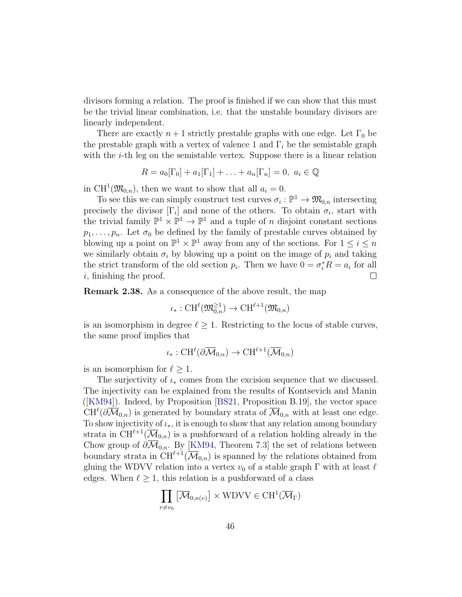divisors forming a relation. The proof is finished if we can show that this must be the trivial linear combination, i.e. that the unstable boundary divisors are linearly independent.

There are exactly  $n+1$  strictly prestable graphs with one edge. Let  $\Gamma_0$  be the prestable graph with a vertex of valence 1 and  $\Gamma_i$  be the semistable graph with the  $i$ -th leg on the semistable vertex. Suppose there is a linear relation

$$
R = a_0[\Gamma_0] + a_1[\Gamma_1] + \ldots + a_n[\Gamma_n] = 0, \ a_i \in \mathbb{Q}
$$

in CH<sup>1</sup>( $\mathfrak{M}_{0,n}$ ), then we want to show that all  $a_i = 0$ .

To see this we can simply construct test curves  $\sigma_i : \mathbb{P}^1 \to \mathfrak{M}_{0,n}$  intersecting precisely the divisor  $[\Gamma_i]$  and none of the others. To obtain  $\sigma_i$ , start with the trivial family  $\mathbb{P}^1 \times \mathbb{P}^1 \to \mathbb{P}^1$  and a tuple of *n* disjoint constant sections  $p_1, \ldots, p_n$ . Let  $\sigma_0$  be defined by the family of prestable curves obtained by blowing up a point on  $\mathbb{P}^1 \times \mathbb{P}^1$  away from any of the sections. For  $1 \leq i \leq n$ we similarly obtain  $\sigma_i$  by blowing up a point on the image of  $p_i$  and taking the strict transform of the old section  $p_i$ . Then we have  $0 = \sigma_i^* R = a_i$  for all i, finishing the proof.  $\Box$ 

<span id="page-45-0"></span>Remark 2.38. As a consequence of the above result, the map

$$
\iota_*: \operatorname{CH}^{\ell}(\mathfrak{M}_{0,n}^{\geq 1}) \to \operatorname{CH}^{\ell+1}(\mathfrak{M}_{0,n})
$$

is an isomorphism in degree  $\ell \geq 1$ . Restricting to the locus of stable curves, the same proof implies that

$$
\iota_*: \operatorname{CH}^{\ell}(\partial \overline{\mathcal{M}}_{0,n}) \to \operatorname{CH}^{\ell+1}(\overline{\mathcal{M}}_{0,n})
$$

is an isomorphism for  $\ell \geq 1$ .

The surjectivity of  $\iota_*$  comes from the excision sequence that we discussed. The injectivity can be explained from the results of Kontsevich and Manin ([\[KM94\]](#page-66-1)). Indeed, by Proposition [\[BS21,](#page-64-0) Proposition B.19], the vector space  $\mathrm{CH}^{\ell}(\partial\overline{\mathcal{M}}_{0,n})$  is generated by boundary strata of  $\overline{\mathcal{M}}_{0,n}$  with at least one edge. To show injectivity of  $\iota_*$ , it is enough to show that any relation among boundary strata in  $\tilde{\mathrm{CH}}^{\ell+1}(\overline{\mathcal{M}}_{0,n})$  is a pushforward of a relation holding already in the Chow group of  $\partial \overline{\mathcal{M}}_{0,n}$ . By [\[KM94,](#page-66-1) Theorem 7.3] the set of relations between boundary strata in  $CH^{\ell+1}(\overline{\mathcal{M}}_{0,n})$  is spanned by the relations obtained from gluing the WDVV relation into a vertex  $v_0$  of a stable graph  $\Gamma$  with at least  $\ell$ edges. When  $\ell > 1$ , this relation is a pushforward of a class

$$
\prod_{v \neq v_0} \left[ \overline{\mathcal{M}}_{0,n(v)} \right] \times \text{WDVV} \in \text{CH}^1(\overline{\mathcal{M}}_{\Gamma})
$$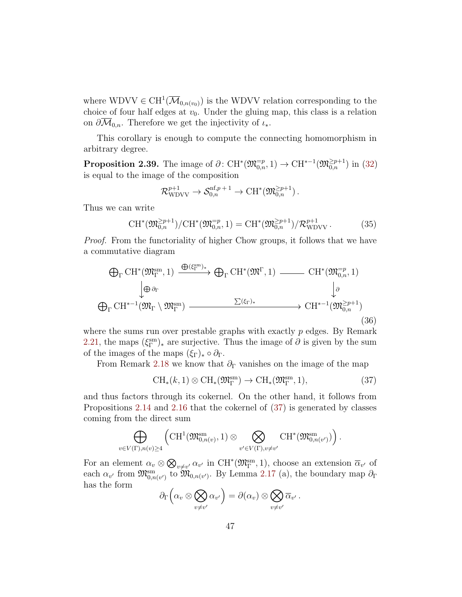where  $WDVV \in CH^1(\overline{\mathcal{M}}_{0,n(v_0)})$  is the WDVV relation corresponding to the choice of four half edges at  $v_0$ . Under the gluing map, this class is a relation on  $\partial \mathcal{M}_{0,n}$ . Therefore we get the injectivity of  $\iota_*$ .

This corollary is enough to compute the connecting homomorphism in arbitrary degree.

<span id="page-46-2"></span>**Proposition 2.39.** The image of  $\partial: CH^*(\mathfrak{M}_{0,n}^{-p}, 1) \to CH^{*-1}(\mathfrak{M}_{0,n}^{\geq p+1})$  in [\(32\)](#page-41-1) is equal to the image of the composition

$$
\mathcal{R}_{\mathrm{WDVV}}^{p+1} \to \mathcal{S}_{0,n}^{\mathrm{nf},p+1} \to \mathrm{CH}^*(\mathfrak{M}_{0,n}^{\geq p+1}).
$$

Thus we can write

<span id="page-46-1"></span>
$$
CH^*(\mathfrak{M}_{0,n}^{\geq p+1})/CH^*(\mathfrak{M}_{0,n}^{-p},1) = CH^*(\mathfrak{M}_{0,n}^{\geq p+1})/\mathcal{R}_{\text{WDVV}}^{p+1}.
$$
 (35)

Proof. From the functoriality of higher Chow groups, it follows that we have a commutative diagram

$$
\bigoplus_{\Gamma} CH^*(\mathfrak{M}_{\Gamma}^{\text{sm}}, 1) \xrightarrow{\bigoplus (\xi_{\Gamma}^{\text{sm}})_{*}} \bigoplus_{\Gamma} CH^*(\mathfrak{M}^{\Gamma}, 1) \xrightarrow{\qquad \qquad} CH^*(\mathfrak{M}_{0,n}^{-p}, 1)
$$
\n
$$
\downarrow \oplus \partial_{\Gamma}
$$
\n
$$
\bigoplus_{\Gamma} CH^{*-1}(\mathfrak{M}_{\Gamma} \setminus \mathfrak{M}_{\Gamma}^{\text{sm}}) \xrightarrow{\qquad \qquad} \Sigma(\xi_{\Gamma})_{*} \xrightarrow{\qquad \qquad} CH^{*-1}(\mathfrak{M}_{0,n}^{\geq p+1})
$$
\n(36)

where the sums run over prestable graphs with exactly  $p$  edges. By Remark [2.21,](#page-35-1) the maps  $(\xi_{\Gamma}^{\text{sm}})_{*}$  are surjective. Thus the image of  $\partial$  is given by the sum of the images of the maps  $(\xi_{\Gamma})_* \circ \partial_{\Gamma}$ .

From Remark [2.18](#page-33-1) we know that  $\partial_{\Gamma}$  vanishes on the image of the map

<span id="page-46-0"></span>
$$
CH_*(k,1) \otimes CH_*(\mathfrak{M}_{\Gamma}^{\rm sm}) \to CH_*(\mathfrak{M}_{\Gamma}^{\rm sm},1), \tag{37}
$$

.

and thus factors through its cokernel. On the other hand, it follows from Propositions [2.14](#page-26-0) and [2.16](#page-29-0) that the cokernel of [\(37\)](#page-46-0) is generated by classes coming from the direct sum

$$
\bigoplus_{v\in V(\Gamma),n(v)\geq 4}\left(\mathrm{CH}^1(\mathfrak{M}_{0,n(v)}^{\mathrm{sm}},1)\otimes\bigotimes_{v'\in V(\Gamma),v\neq v'}\mathrm{CH}^*(\mathfrak{M}_{0,n(v')}^{\mathrm{sm}})\right)
$$

For an element  $\alpha_v \otimes \bigotimes_{v \neq v'} \alpha_{v'}$  in  $\mathrm{CH}^*(\mathfrak{M}_{\Gamma}^{\mathrm{sm}}, 1)$ , choose an extension  $\overline{\alpha}_{v'}$  of each  $\alpha_{v'}$  from  $\mathfrak{M}^{\text{sm}}_{0,n(v')}$  to  $\mathfrak{M}_{0,n(v')}$ . By Lemma [2.17](#page-31-1) (a), the boundary map  $\partial_{\Gamma}$ has the form

$$
\partial_{\Gamma}\left(\alpha_v\otimes\bigotimes_{v\neq v'}\alpha_{v'}\right)=\partial(\alpha_v)\otimes\bigotimes_{v\neq v'}\overline{\alpha}_{v'}.
$$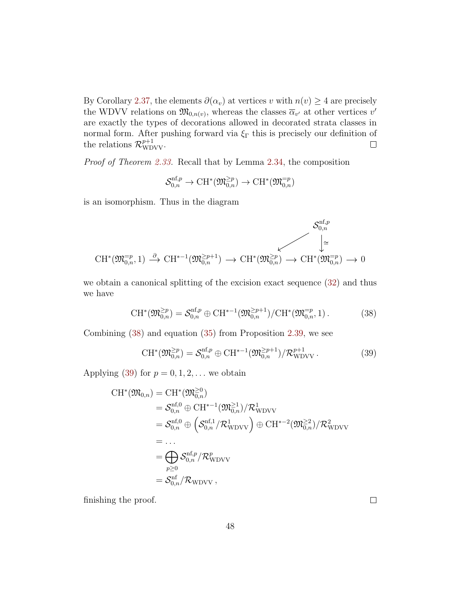By Corollary [2.37,](#page-44-0) the elements  $\partial(\alpha_v)$  at vertices v with  $n(v) \geq 4$  are precisely the WDVV relations on  $\mathfrak{M}_{0,n(v)}$ , whereas the classes  $\overline{\alpha}_{v'}$  at other vertices  $v'$ are exactly the types of decorations allowed in decorated strata classes in normal form. After pushing forward via  $\xi_{\Gamma}$  this is precisely our definition of the relations  $\mathcal{R}_{\text{WDVV}}^{p+1}$ .  $\Box$ 

Proof of Theorem [2.33.](#page-39-1) Recall that by Lemma [2.34,](#page-40-2) the composition

$$
\mathcal{S}^{{\rm nf},p}_{0,n}\to {\rm CH}^*(\mathfrak{M}_{0,n}^{\geq p})\to {\rm CH}^*(\mathfrak{M}_{0,n}^{=p})
$$

is an isomorphism. Thus in the diagram

$$
\mathcal{C}\mathrm{H}^{*}(\mathfrak{M}_{0,n}^{-p},1) \xrightarrow{\partial} \mathrm{CH}^{*-1}(\mathfrak{M}_{0,n}^{\geq p+1}) \longrightarrow \mathrm{CH}^{*}(\mathfrak{M}_{0,n}^{\geq p}) \longrightarrow \mathrm{CH}^{*}(\mathfrak{M}_{0,n}^{\geq p}) \longrightarrow 0
$$

we obtain a canonical splitting of the excision exact sequence [\(32\)](#page-41-1) and thus we have

<span id="page-47-0"></span>
$$
CH^*(\mathfrak{M}_{0,n}^{\geq p}) = \mathcal{S}_{0,n}^{\mathrm{nf},p} \oplus CH^{*-1}(\mathfrak{M}_{0,n}^{\geq p+1}) / CH^*(\mathfrak{M}_{0,n}^{-p}, 1).
$$
 (38)

Combining [\(38\)](#page-47-0) and equation [\(35\)](#page-46-1) from Proposition [2.39,](#page-46-2) we see

<span id="page-47-1"></span>
$$
\mathrm{CH}^*(\mathfrak{M}_{0,n}^{\geq p}) = \mathcal{S}_{0,n}^{\mathrm{nf},p} \oplus \mathrm{CH}^{*-1}(\mathfrak{M}_{0,n}^{\geq p+1}) / \mathcal{R}_{\mathrm{WDVV}}^{p+1} \,. \tag{39}
$$

Applying [\(39\)](#page-47-1) for  $p = 0, 1, 2, \ldots$  we obtain

$$
CH^*(\mathfrak{M}_{0,n}) = CH^*(\mathfrak{M}_{0,n}^{\geq 0})
$$
  
\n
$$
= S_{0,n}^{\mathrm{nf},0} \oplus CH^{*-1}(\mathfrak{M}_{0,n}^{\geq 1})/\mathcal{R}_{\mathrm{WDVV}}^1
$$
  
\n
$$
= S_{0,n}^{\mathrm{nf},0} \oplus \left( S_{0,n}^{\mathrm{nf},1}/\mathcal{R}_{\mathrm{WDVV}}^1 \right) \oplus CH^{*-2}(\mathfrak{M}_{0,n}^{\geq 2})/\mathcal{R}_{\mathrm{WDVV}}^2
$$
  
\n
$$
= ...
$$
  
\n
$$
= \bigoplus_{p \geq 0} S_{0,n}^{\mathrm{nf},p}/\mathcal{R}_{\mathrm{WDVV}}^p
$$
  
\n
$$
= S_{0,n}^{\mathrm{nf}}/\mathcal{R}_{\mathrm{WDVV}} ,
$$

finishing the proof.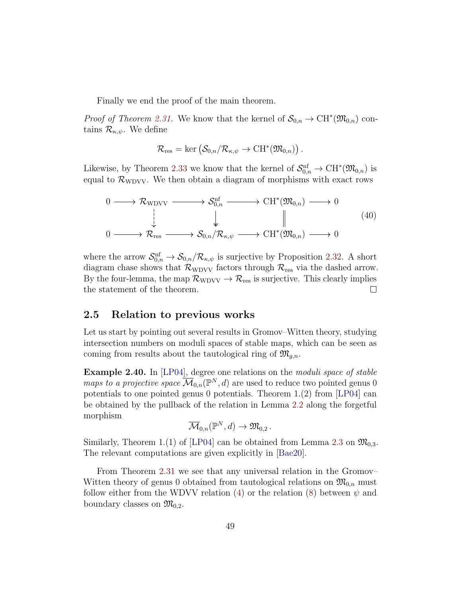Finally we end the proof of the main theorem.

*Proof of Theorem [2.31.](#page-39-0)* We know that the kernel of  $S_{0,n} \to \mathrm{CH}^*(\mathfrak{M}_{0,n})$  contains  $\mathcal{R}_{\kappa,\psi}$ . We define

$$
\mathcal{R}_{\text{res}} = \text{ker} \left( \mathcal{S}_{0,n} / \mathcal{R}_{\kappa,\psi} \to \text{CH}^*(\mathfrak{M}_{0,n}) \right).
$$

Likewise, by Theorem [2.33](#page-39-1) we know that the kernel of  $S_{0,n}^{\text{nf}} \to \text{CH}^*(\mathfrak{M}_{0,n})$  is equal to  $\mathcal{R}_{\text{WDVV}}$ . We then obtain a diagram of morphisms with exact rows

$$
\begin{array}{ccccccc}\n0 & \longrightarrow & \mathcal{R}_{\text{WDVV}} & \longrightarrow & \mathcal{S}_{0,n}^{\text{nf}} & \longrightarrow & \text{CH}^{*}(\mathfrak{M}_{0,n}) & \longrightarrow & 0 \\
\downarrow & & & & & & & \\
0 & \longrightarrow & \mathcal{R}_{\text{res}} & \longrightarrow & \mathcal{S}_{0,n}/\mathcal{R}_{\kappa,\psi} & \longrightarrow & \text{CH}^{*}(\mathfrak{M}_{0,n}) & \longrightarrow & 0\n\end{array}
$$
\n
$$
(40)
$$

where the arrow  $S_{0,n}^{\text{nf}} \to S_{0,n}/\mathcal{R}_{\kappa,\psi}$  is surjective by Proposition [2.32.](#page-39-2) A short diagram chase shows that  $\mathcal{R}_{\text{WDVV}}$  factors through  $\mathcal{R}_{\text{res}}$  via the dashed arrow. By the four-lemma, the map  $\mathcal{R}_{\text{WDVV}} \to \mathcal{R}_{\text{res}}$  is surjective. This clearly implies the statement of the theorem.  $\Box$ 

### <span id="page-48-0"></span>2.5 Relation to previous works

Let us start by pointing out several results in Gromov–Witten theory, studying intersection numbers on moduli spaces of stable maps, which can be seen as coming from results about the tautological ring of  $\mathfrak{M}_{g,n}$ .

<span id="page-48-1"></span>Example 2.40. In [\[LP04\]](#page-66-4), degree one relations on the moduli space of stable maps to a projective space  $\overline{\mathcal{M}}_{0,n}(\mathbb{P}^N,d)$  are used to reduce two pointed genus 0 potentials to one pointed genus 0 potentials. Theorem 1.(2) from [\[LP04\]](#page-66-4) can be obtained by the pullback of the relation in Lemma [2.2](#page-14-0) along the forgetful morphism

$$
\overline{\mathcal{M}}_{0,n}(\mathbb{P}^N,d) \to \mathfrak{M}_{0,2}.
$$

Similarly, Theorem 1.(1) of [\[LP04\]](#page-66-4) can be obtained from Lemma [2.3](#page-15-0) on  $\mathfrak{M}_{0,3}$ . The relevant computations are given explicitly in [\[Bae20\]](#page-64-5).

From Theorem [2.31](#page-39-0) we see that any universal relation in the Gromov– Witten theory of genus 0 obtained from tautological relations on  $\mathfrak{M}_{0,n}$  must follow either from the WDVV relation [\(4\)](#page-3-2) or the relation [\(8\)](#page-5-2) between  $\psi$  and boundary classes on  $\mathfrak{M}_{0,2}$ .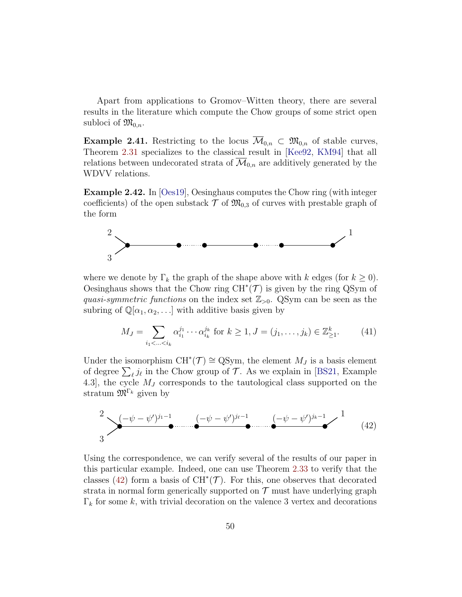Apart from applications to Gromov–Witten theory, there are several results in the literature which compute the Chow groups of some strict open subloci of  $\mathfrak{M}_{0,n}$ .

**Example 2.41.** Restricting to the locus  $\overline{\mathcal{M}}_{0,n} \subset \mathfrak{M}_{0,n}$  of stable curves, Theorem [2.31](#page-39-0) specializes to the classical result in [\[Kee92,](#page-66-0) [KM94\]](#page-66-1) that all relations between undecorated strata of  $\overline{\mathcal{M}}_{0,n}$  are additively generated by the WDVV relations.

<span id="page-49-0"></span>Example 2.42. In [\[Oes19\]](#page-67-1), Oesinghaus computes the Chow ring (with integer coefficients) of the open substack  $\mathcal T$  of  $\mathfrak{M}_{0,3}$  of curves with prestable graph of the form



where we denote by  $\Gamma_k$  the graph of the shape above with k edges (for  $k \geq 0$ ). Oesinghaus shows that the Chow ring  $CH^*(\mathcal{T})$  is given by the ring QSym of quasi-symmetric functions on the index set  $\mathbb{Z}_{>0}$ . QSym can be seen as the subring of  $\mathbb{Q}[\alpha_1, \alpha_2, \ldots]$  with additive basis given by

$$
M_J = \sum_{i_1 < \dots < i_k} \alpha_{i_1}^{j_1} \cdots \alpha_{i_k}^{j_k} \text{ for } k \ge 1, J = (j_1, \dots, j_k) \in \mathbb{Z}_{\ge 1}^k. \tag{41}
$$

Under the isomorphism  $CH^*(\mathcal{T}) \cong QSym$ , the element  $M_J$  is a basis element of degree  $\sum_{\ell} j_{\ell}$  in the Chow group of  $\mathcal{T}$ . As we explain in [\[BS21,](#page-64-0) Example 4.3], the cycle  $M_J$  corresponds to the tautological class supported on the stratum  $\mathfrak{M}^{\Gamma_k}$  given by

<span id="page-49-1"></span>
$$
\sum_{3}^{2} \frac{(-\psi - \psi')^{j_1 - 1}}{2} \dots \underbrace{(-\psi - \psi')^{j_\ell - 1}}_{\bullet} \dots \underbrace{(-\psi - \psi')^{j_k - 1}}_{\bullet} \longrightarrow \frac{1}{(42)}
$$

Using the correspondence, we can verify several of the results of our paper in this particular example. Indeed, one can use Theorem [2.33](#page-39-1) to verify that the classes [\(42\)](#page-49-1) form a basis of  $CH^*(\mathcal{T})$ . For this, one observes that decorated strata in normal form generically supported on  $\mathcal T$  must have underlying graph  $\Gamma_k$  for some k, with trivial decoration on the valence 3 vertex and decorations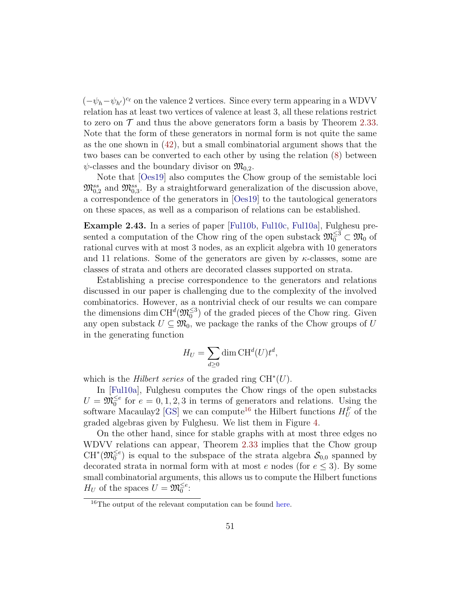$(-\psi_h-\psi_{h'})^{c_\ell}$  on the valence 2 vertices. Since every term appearing in a WDVV relation has at least two vertices of valence at least 3, all these relations restrict to zero on  $\mathcal T$  and thus the above generators form a basis by Theorem [2.33.](#page-39-1) Note that the form of these generators in normal form is not quite the same as the one shown in [\(42\)](#page-49-1), but a small combinatorial argument shows that the two bases can be converted to each other by using the relation [\(8\)](#page-5-2) between  $\psi$ -classes and the boundary divisor on  $\mathfrak{M}_{0,2}$ .

Note that [\[Oes19\]](#page-67-1) also computes the Chow group of the semistable loci  $\mathfrak{M}_{0,2}^{ss}$  and  $\mathfrak{M}_{0,3}^{ss}$ . By a straightforward generalization of the discussion above, a correspondence of the generators in [\[Oes19\]](#page-67-1) to the tautological generators on these spaces, as well as a comparison of relations can be established.

<span id="page-50-0"></span>Example 2.43. In a series of paper [\[Ful10b,](#page-65-1) [Ful10c,](#page-65-2) [Ful10a\]](#page-65-3), Fulghesu presented a computation of the Chow ring of the open substack  $\mathfrak{M}_{0}^{\leq 3} \subset \mathfrak{M}_{0}$  of rational curves with at most 3 nodes, as an explicit algebra with 10 generators and 11 relations. Some of the generators are given by  $\kappa$ -classes, some are classes of strata and others are decorated classes supported on strata.

Establishing a precise correspondence to the generators and relations discussed in our paper is challenging due to the complexity of the involved combinatorics. However, as a nontrivial check of our results we can compare the dimensions dim  $CH^d(\mathfrak{M}_{0}^{\leq 3})$  of the graded pieces of the Chow ring. Given any open substack  $U \subseteq \mathfrak{M}_0$ , we package the ranks of the Chow groups of U in the generating function

$$
H_U = \sum_{d \ge 0} \dim \operatorname{CH}^d(U) t^d,
$$

which is the *Hilbert series* of the graded ring  $CH^*(U)$ .

In [\[Ful10a\]](#page-65-3), Fulghesu computes the Chow rings of the open substacks  $U = \mathfrak{M}_{0}^{\leq e}$  for  $e = 0, 1, 2, 3$  in terms of generators and relations. Using the software Macaulay2 [\[GS\]](#page-65-9) we can compute<sup>[16](#page-50-1)</sup> the Hilbert functions  $H_U^F$  of the graded algebras given by Fulghesu. We list them in Figure [4.](#page-51-0)

On the other hand, since for stable graphs with at most three edges no WDVV relations can appear, Theorem [2.33](#page-39-1) implies that the Chow group  $CH^{*}(\mathfrak{M}_{0}^{\leq e})$  is equal to the subspace of the strata algebra  $\mathcal{S}_{0,0}$  spanned by decorated strata in normal form with at most e nodes (for  $e \leq 3$ ). By some small combinatorial arguments, this allows us to compute the Hilbert functions  $H_U$  of the spaces  $U = \mathfrak{M}_0^{\leq e}$ :

<span id="page-50-1"></span><sup>16</sup>The output of the relevant computation can be found [here.](https://cocalc.com/share/f765c8c72a7372905a4d4d2d0c8606ad2864fecd/FulghesuComputation.txt?viewer=share)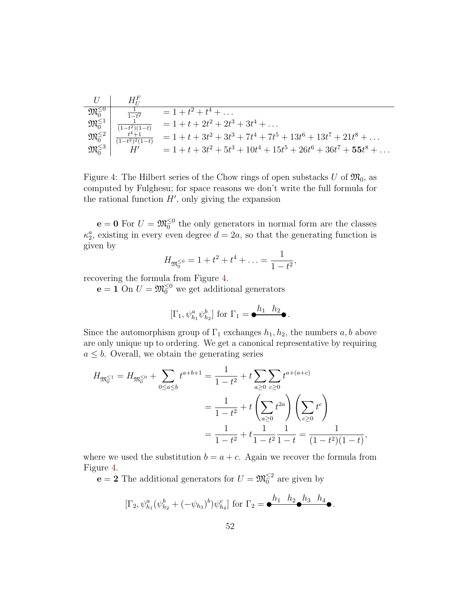|                             | $H^F_{tt}$                                                                                                                                                                     |                                                                         |
|-----------------------------|--------------------------------------------------------------------------------------------------------------------------------------------------------------------------------|-------------------------------------------------------------------------|
| $\mathfrak{M}_{0}^{\leq 0}$ | $\frac{1}{1-t^2}$                                                                                                                                                              | $= 1 + t^2 + t^4 + \ldots$                                              |
|                             | $\begin{array}{c c} {\mathfrak M}_{0}^{\leq 1} & \frac{1}{(1-t^2)(1-t)} \ \mathfrak M_{0}^{\leq 2} & \frac{t^4+1}{(1-t^2)^2(1-t)} \ \mathfrak M_{0}^{\leq 3} & H' \end{array}$ | $= 1 + t + 2t^2 + 2t^3 + 3t^4 + \dots$                                  |
|                             | $\frac{t^4+1}{(1-t^2)^2(1-t)}$                                                                                                                                                 | $= 1 + t + 3t^2 + 3t^3 + 7t^4 + 7t^5 + 13t^6 + 13t^7 + 21t^8 + \dots$   |
|                             |                                                                                                                                                                                | $= 1 + t + 3t^2 + 5t^3 + 10t^4 + 15t^5 + 26t^6 + 36t^7 + 55t^8 + \dots$ |

<span id="page-51-0"></span>Figure 4: The Hilbert series of the Chow rings of open substacks U of  $\mathfrak{M}_0$ , as computed by Fulghesu; for space reasons we don't write the full formula for the rational function  $H'$ , only giving the expansion

 $\mathbf{e} = \mathbf{0}$  For  $U = \mathfrak{M}_0^{\leq 0}$  the only generators in normal form are the classes  $\kappa_2^a$ , existing in every even degree  $d=2a$ , so that the generating function is given by

$$
H_{\mathfrak{M}_0^{\leq 0}} = 1 + t^2 + t^4 + \ldots = \frac{1}{1 - t^2},
$$

recovering the formula from Figure [4.](#page-51-0)

 $\mathbf{e} = 1$  On  $U = \mathfrak{M}_{0}^{\leq 0}$  we get additional generators

$$
[\Gamma_1, \psi_{h_1}^a \psi_{h_2}^b] \text{ for } \Gamma_1 = \bullet^{\underline{h_1} \ \underline{h_2}} \bullet.
$$

Since the automorphism group of  $\Gamma_1$  exchanges  $h_1, h_2$ , the numbers  $a, b$  above are only unique up to ordering. We get a canonical representative by requiring  $a \leq b$ . Overall, we obtain the generating series

$$
H_{\mathfrak{M}_0^{\leq 1}} = H_{\mathfrak{M}_0^{\leq 0}} + \sum_{0 \leq a \leq b} t^{a+b+1} = \frac{1}{1-t^2} + t \sum_{a \geq 0} \sum_{c \geq 0} t^{a+(a+c)}
$$
  
= 
$$
\frac{1}{1-t^2} + t \left( \sum_{a \geq 0} t^{2a} \right) \left( \sum_{c \geq 0} t^c \right)
$$
  
= 
$$
\frac{1}{1-t^2} + t \frac{1}{1-t^2} \frac{1}{1-t} = \frac{1}{(1-t^2)(1-t)},
$$

where we used the substitution  $b = a + c$ . Again we recover the formula from Figure [4.](#page-51-0)

 $e = 2$  The additional generators for  $U = \mathfrak{M}_{0}^{\leq 2}$  are given by

$$
[\Gamma_2, \psi_{h_1}^a (\psi_{h_2}^b + (-\psi_{h_3})^b)\psi_{h_4}^c] \text{ for } \Gamma_2 = \bullet^{h_1} \stackrel{h_2}{\longrightarrow} \bullet^{h_3} \stackrel{h_4}{\longrightarrow} \bullet.
$$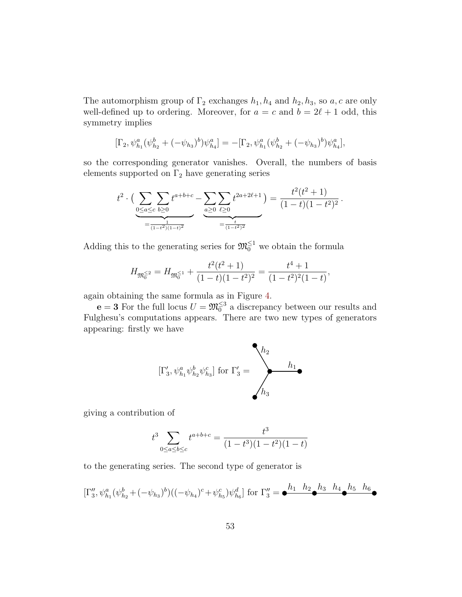The automorphism group of  $\Gamma_2$  exchanges  $h_1, h_4$  and  $h_2, h_3$ , so a, c are only well-defined up to ordering. Moreover, for  $a = c$  and  $b = 2\ell + 1$  odd, this symmetry implies

$$
[\Gamma_2, \psi_{h_1}^a(\psi_{h_2}^b + (-\psi_{h_3})^b)\psi_{h_4}^a] = -[\Gamma_2, \psi_{h_1}^a(\psi_{h_2}^b + (-\psi_{h_3})^b)\psi_{h_4}^a],
$$

so the corresponding generator vanishes. Overall, the numbers of basis elements supported on  $\Gamma_2$  have generating series

$$
t^{2} \cdot \left( \underbrace{\sum_{0 \leq a \leq c} \sum_{b \geq 0} t^{a+b+c}}_{= \underbrace{\sum_{1 \leq b \leq 0} \sum_{e \geq 0} t^{2a+2\ell+1}}_{= \underbrace{\sum_{t \geq 0} \sum_{e \geq 0}}_{(1-t^{2})^{2}}} = \frac{t^{2}(t^{2}+1)}{(1-t)(1-t^{2})^{2}}.
$$

Adding this to the generating series for  $\mathfrak{M}_0^{\leq 1}$  we obtain the formula

$$
H_{\mathfrak{M}_0^{\leq 2}} = H_{\mathfrak{M}_0^{\leq 1}} + \frac{t^2(t^2+1)}{(1-t)(1-t^2)^2} = \frac{t^4+1}{(1-t^2)^2(1-t)},
$$

again obtaining the same formula as in Figure [4.](#page-51-0)

 $\mathbf{e} = 3$  For the full locus  $U = \mathfrak{M}_{0}^{\leq 3}$  a discrepancy between our results and Fulghesu's computations appears. There are two new types of generators appearing: firstly we have

$$
[\Gamma_3',\psi_{h_1}^a\psi_{h_2}^b\psi_{h_3}^c]\text{ for }\Gamma_3'=\hskip-10pt\hskip-10pt\hskip10pt h_3
$$

giving a contribution of

$$
t^{3} \sum_{0 \le a \le b \le c} t^{a+b+c} = \frac{t^{3}}{(1-t^{3})(1-t^{2})(1-t)}
$$

to the generating series. The second type of generator is

$$
[\Gamma_3'', \psi_{h_1}^a(\psi_{h_2}^b + (-\psi_{h_3})^b) ((-\psi_{h_4})^c + \psi_{h_5}^c) \psi_{h_6}^d] \text{ for } \Gamma_3'' = \bullet \stackrel{h_1 \ h_2 \ h_3 \ h_4 \ h_5 \ h_6}{\bullet}
$$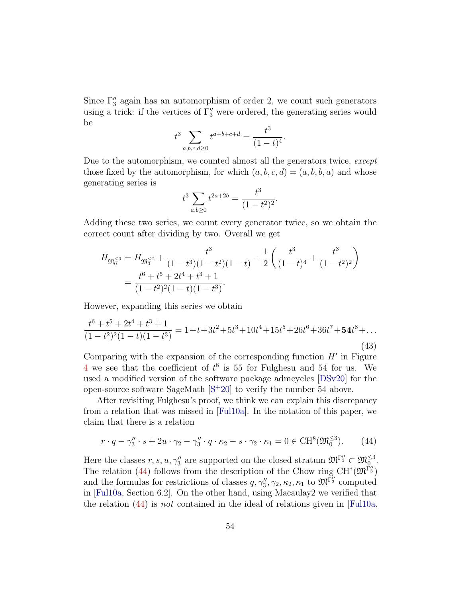Since  $\Gamma_3''$  again has an automorphism of order 2, we count such generators using a trick: if the vertices of  $\Gamma_3''$  were ordered, the generating series would be

$$
t^3 \sum_{a,b,c,d \ge 0} t^{a+b+c+d} = \frac{t^3}{(1-t)^4}.
$$

Due to the automorphism, we counted almost all the generators twice, except those fixed by the automorphism, for which  $(a, b, c, d) = (a, b, b, a)$  and whose generating series is

$$
t^3 \sum_{a,b\geq 0} t^{2a+2b} = \frac{t^3}{(1-t^2)^2}.
$$

Adding these two series, we count every generator twice, so we obtain the correct count after dividing by two. Overall we get

$$
H_{\mathfrak{M}_0^{\leq 3}} = H_{\mathfrak{M}_0^{\leq 2}} + \frac{t^3}{(1-t^3)(1-t^2)(1-t)} + \frac{1}{2} \left( \frac{t^3}{(1-t)^4} + \frac{t^3}{(1-t^2)^2} \right)
$$
  
= 
$$
\frac{t^6 + t^5 + 2t^4 + t^3 + 1}{(1-t^2)^2(1-t)(1-t^3)}.
$$

However, expanding this series we obtain

$$
\frac{t^6 + t^5 + 2t^4 + t^3 + 1}{(1 - t^2)^2 (1 - t)(1 - t^3)} = 1 + t + 3t^2 + 5t^3 + 10t^4 + 15t^5 + 26t^6 + 36t^7 + 54t^8 + \dots
$$
\n(43)

Comparing with the expansion of the corresponding function  $H'$  in Figure [4](#page-51-0) we see that the coefficient of  $t^8$  is 55 for Fulghesu and 54 for us. We used a modified version of the software package admcycles [\[DSv20\]](#page-65-10) for the open-source software SageMath  $[S^+20]$  $[S^+20]$  to verify the number 54 above.

After revisiting Fulghesu's proof, we think we can explain this discrepancy from a relation that was missed in [\[Ful10a\]](#page-65-3). In the notation of this paper, we claim that there is a relation

<span id="page-53-0"></span>
$$
r \cdot q - \gamma_3'' \cdot s + 2u \cdot \gamma_2 - \gamma_3'' \cdot q \cdot \kappa_2 - s \cdot \gamma_2 \cdot \kappa_1 = 0 \in \mathrm{CH}^8(\mathfrak{M}_0^{\leq 3}).\tag{44}
$$

Here the classes  $r, s, u, \gamma_3''$  are supported on the closed stratum  $\mathfrak{M}^{\Gamma_3''} \subset \mathfrak{M}_{0}^{\leq 3}$ . The relation [\(44\)](#page-53-0) follows from the description of the Chow ring  $CH^*(\mathfrak{M}^{\Gamma''_3})$ and the formulas for restrictions of classes  $q, \gamma_3'', \gamma_2, \kappa_2, \kappa_1$  to  $\mathfrak{M}^{\Gamma_3''}$  computed in [\[Ful10a,](#page-65-3) Section 6.2]. On the other hand, using Macaulay2 we verified that the relation  $(44)$  is not contained in the ideal of relations given in [\[Ful10a,](#page-65-3)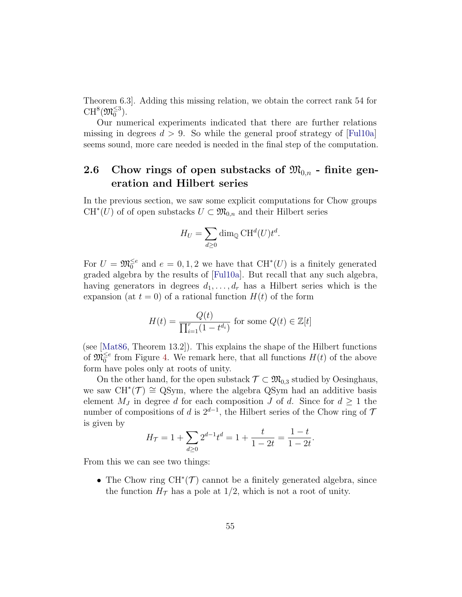Theorem 6.3]. Adding this missing relation, we obtain the correct rank 54 for  $\mathrm{CH}^8(\mathfrak{M}_0^{\leq 3}).$ 

Our numerical experiments indicated that there are further relations missing in degrees  $d > 9$ . So while the general proof strategy of [\[Ful10a\]](#page-65-3) seems sound, more care needed is needed in the final step of the computation.

### <span id="page-54-0"></span>2.6 Chow rings of open substacks of  $\mathfrak{M}_{0,n}$  - finite generation and Hilbert series

In the previous section, we saw some explicit computations for Chow groups  $CH<sup>*</sup>(U)$  of of open substacks  $U \subset \mathfrak{M}_{0,n}$  and their Hilbert series

$$
H_U = \sum_{d \ge 0} \dim_{\mathbb{Q}} \mathrm{CH}^d(U) t^d.
$$

For  $U = \mathfrak{M}_{0}^{\leq e}$  and  $e = 0, 1, 2$  we have that  $\mathrm{CH}^*(U)$  is a finitely generated graded algebra by the results of [\[Ful10a\]](#page-65-3). But recall that any such algebra, having generators in degrees  $d_1, \ldots, d_r$  has a Hilbert series which is the expansion (at  $t = 0$ ) of a rational function  $H(t)$  of the form

$$
H(t) = \frac{Q(t)}{\prod_{i=1}^{r} (1 - t^{d_i})}
$$
 for some  $Q(t) \in \mathbb{Z}[t]$ 

(see [\[Mat86,](#page-67-4) Theorem 13.2]). This explains the shape of the Hilbert functions of  $\mathfrak{M}_{0}^{\leq e}$  from Figure [4.](#page-51-0) We remark here, that all functions  $H(t)$  of the above form have poles only at roots of unity.

On the other hand, for the open substack  $\mathcal{T} \subset \mathfrak{M}_{0,3}$  studied by Oesinghaus, we saw  $CH^*(\mathcal{T}) \cong \text{QSym}$ , where the algebra QSym had an additive basis element  $M_J$  in degree d for each composition J of d. Since for  $d \geq 1$  the number of compositions of d is  $2^{d-1}$ , the Hilbert series of the Chow ring of 7 is given by

$$
H_{\mathcal{T}} = 1 + \sum_{d \ge 0} 2^{d-1} t^d = 1 + \frac{t}{1 - 2t} = \frac{1 - t}{1 - 2t}.
$$

From this we can see two things:

• The Chow ring  $CH^*(\mathcal{T})$  cannot be a finitely generated algebra, since the function  $H_{\mathcal{T}}$  has a pole at 1/2, which is not a root of unity.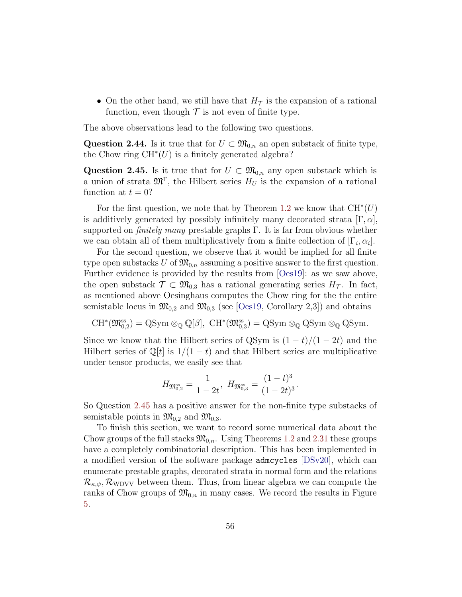• On the other hand, we still have that  $H<sub>T</sub>$  is the expansion of a rational function, even though  $\mathcal T$  is not even of finite type.

The above observations lead to the following two questions.

<span id="page-55-0"></span>Question 2.44. Is it true that for  $U \subset \mathfrak{M}_{0,n}$  an open substack of finite type, the Chow ring  $CH^*(U)$  is a finitely generated algebra?

<span id="page-55-1"></span>Question 2.45. Is it true that for  $U \subset \mathfrak{M}_{0,n}$  any open substack which is a union of strata  $\mathfrak{M}^{\Gamma}$ , the Hilbert series  $H_U$  is the expansion of a rational function at  $t = 0$ ?

For the first question, we note that by Theorem [1.2](#page-4-2) we know that  $CH^*(U)$ is additively generated by possibly infinitely many decorated strata  $[\Gamma, \alpha]$ , supported on *finitely many* prestable graphs  $\Gamma$ . It is far from obvious whether we can obtain all of them multiplicatively from a finite collection of  $[\Gamma_i, \alpha_i]$ .

For the second question, we observe that it would be implied for all finite type open substacks U of  $\mathfrak{M}_{0,n}$  assuming a positive answer to the first question. Further evidence is provided by the results from [\[Oes19\]](#page-67-1): as we saw above, the open substack  $\mathcal{T} \subset \mathfrak{M}_{0,3}$  has a rational generating series  $H_{\mathcal{T}}$ . In fact, as mentioned above Oesinghaus computes the Chow ring for the the entire semistable locus in  $\mathfrak{M}_{0,2}$  and  $\mathfrak{M}_{0,3}$  (see [\[Oes19,](#page-67-1) Corollary 2,3]) and obtains

 $CH^*(\mathfrak{M}_{0,2}^{ss}) = QSym \otimes_{\mathbb{Q}} \mathbb{Q}[\beta], CH^*(\mathfrak{M}_{0,3}^{ss}) = QSym \otimes_{\mathbb{Q}} QSym \otimes_{\mathbb{Q}} QSym.$ 

Since we know that the Hilbert series of QSym is  $(1-t)/(1-2t)$  and the Hilbert series of  $\mathbb{Q}[t]$  is  $1/(1-t)$  and that Hilbert series are multiplicative under tensor products, we easily see that

$$
H_{\mathfrak{M}_{0,2}^{\text{ss}}} = \frac{1}{1-2t}, \ H_{\mathfrak{M}_{0,3}^{\text{ss}}} = \frac{(1-t)^3}{(1-2t)^3}.
$$

So Question [2.45](#page-55-1) has a positive answer for the non-finite type substacks of semistable points in  $\mathfrak{M}_{0,2}$  and  $\mathfrak{M}_{0,3}$ .

To finish this section, we want to record some numerical data about the Chow groups of the full stacks  $\mathfrak{M}_{0,n}$ . Using Theorems [1.2](#page-4-2) and [2.31](#page-39-0) these groups have a completely combinatorial description. This has been implemented in a modified version of the software package admcycles [\[DSv20\]](#page-65-10), which can enumerate prestable graphs, decorated strata in normal form and the relations  $\mathcal{R}_{\kappa,\psi}, \mathcal{R}_{\text{WDVV}}$  between them. Thus, from linear algebra we can compute the ranks of Chow groups of  $\mathfrak{M}_{0,n}$  in many cases. We record the results in Figure [5.](#page-56-2)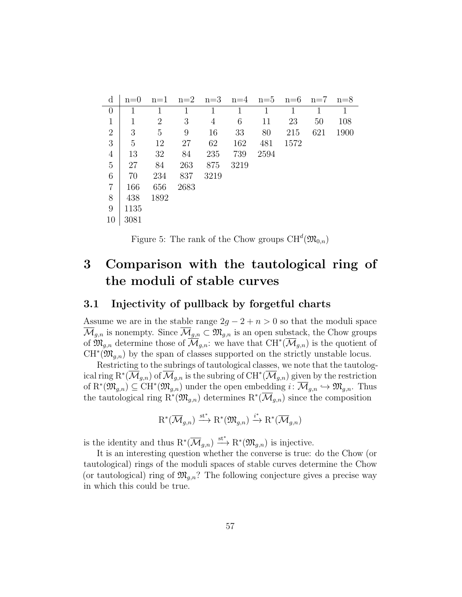| $\rm d$        | $n=0$ | $n=1$          | $n=2$ | $n=3$ | $n=4$ | $n=5$ | $n=6$ | $n=7$ | $n=8$ |
|----------------|-------|----------------|-------|-------|-------|-------|-------|-------|-------|
| $\overline{0}$ |       |                | 1     |       |       | 1     |       |       |       |
| $\mathbf{1}$   | 1     | $\overline{2}$ | 3     | 4     | 6     | 11    | 23    | 50    | 108   |
| $\overline{2}$ | 3     | 5              | 9     | 16    | 33    | 80    | 215   | 621   | 1900  |
| 3              | 5     | 12             | 27    | 62    | 162   | 481   | 1572  |       |       |
| 4              | 13    | 32             | 84    | 235   | 739   | 2594  |       |       |       |
| 5              | 27    | 84             | 263   | 875   | 3219  |       |       |       |       |
| 6              | 70    | 234            | 837   | 3219  |       |       |       |       |       |
| $\overline{7}$ | 166   | 656            | 2683  |       |       |       |       |       |       |
| 8              | 438   | 1892           |       |       |       |       |       |       |       |
| 9              | 1135  |                |       |       |       |       |       |       |       |
| 10             | 3081  |                |       |       |       |       |       |       |       |

<span id="page-56-2"></span>Figure 5: The rank of the Chow groups  $\mathrm{CH}^d(\mathfrak{M}_{0,n})$ 

# <span id="page-56-0"></span>3 Comparison with the tautological ring of the moduli of stable curves

### <span id="page-56-1"></span>3.1 Injectivity of pullback by forgetful charts

Assume we are in the stable range  $2g - 2 + n > 0$  so that the moduli space  $\overline{\mathcal{M}}_{g,n}$  is nonempty. Since  $\overline{\mathcal{M}}_{g,n} \subset \mathfrak{M}_{g,n}$  is an open substack, the Chow groups of  $\mathfrak{M}_{g,n}$  determine those of  $\overline{\mathcal{M}}_{g,n}$ : we have that  $\mathrm{CH}^*(\overline{\mathcal{M}}_{g,n})$  is the quotient of  $CH^{*}(\mathfrak{M}_{g,n})$  by the span of classes supported on the strictly unstable locus.

Restricting to the subrings of tautological classes, we note that the tautological ring  ${\rm R}^*(\overline{\mathcal M}_{g,n})$  of  $\overline{\mathcal M}_{g,n}$  is the subring of  ${\rm CH}^*(\overline{\mathcal M}_{g,n})$  given by the restriction of  $R^*(\mathfrak{M}_{g,n}) \subseteq \mathrm{CH}^*(\mathfrak{M}_{g,n})$  under the open embedding  $i: \overline{\mathcal{M}}_{g,n} \hookrightarrow \mathfrak{M}_{g,n}$ . Thus the tautological ring  $\mathrm{R}^*(\mathfrak{M}_{g,n})$  determines  $\mathrm{R}^*(\overline{\mathcal{M}}_{g,n})$  since the composition

$$
R^*(\overline{\mathcal{M}}_{g,n}) \xrightarrow{\operatorname{st}^*} R^*(\mathfrak{M}_{g,n}) \xrightarrow{i^*} R^*(\overline{\mathcal{M}}_{g,n})
$$

is the identity and thus  $R^*(\overline{\mathcal{M}}_{g,n}) \stackrel{\text{st}^*}{\longrightarrow} R^*(\mathfrak{M}_{g,n})$  is injective.

It is an interesting question whether the converse is true: do the Chow (or tautological) rings of the moduli spaces of stable curves determine the Chow (or tautological) ring of  $\mathfrak{M}_{g,n}$ ? The following conjecture gives a precise way in which this could be true.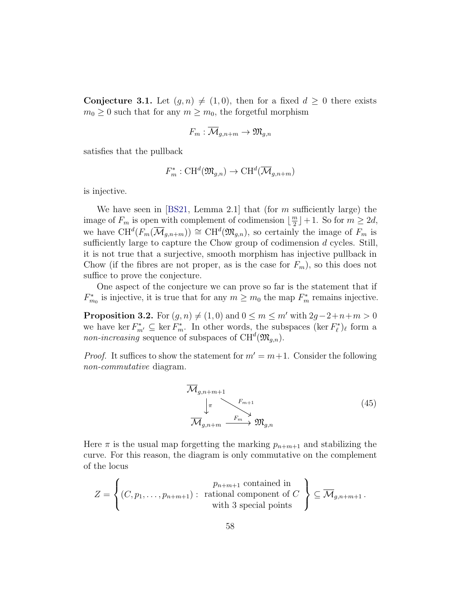<span id="page-57-0"></span>**Conjecture 3.1.** Let  $(g, n) \neq (1, 0)$ , then for a fixed  $d \geq 0$  there exists  $m_0 \geq 0$  such that for any  $m \geq m_0$ , the forgetful morphism

$$
F_m: \overline{\mathcal{M}}_{g,n+m} \to \mathfrak{M}_{g,n}
$$

satisfies that the pullback

$$
F_m^* : \mathrm{CH}^d(\mathfrak{M}_{g,n}) \to \mathrm{CH}^d(\overline{\mathcal{M}}_{g,n+m})
$$

is injective.

We have seen in  $[BS21, Lemma 2.1]$  that (for m sufficiently large) the image of  $F_m$  is open with complement of codimension  $\lfloor \frac{m}{2} \rfloor$  $\lfloor \frac{m}{2} \rfloor + 1$ . So for  $m \geq 2d$ , we have  $CH^d(F_m(\overline{\mathcal{M}}_{g,n+m})) \cong CH^d(\mathfrak{M}_{g,n}),$  so certainly the image of  $F_m$  is sufficiently large to capture the Chow group of codimension d cycles. Still, it is not true that a surjective, smooth morphism has injective pullback in Chow (if the fibres are not proper, as is the case for  $F_m$ ), so this does not suffice to prove the conjecture.

One aspect of the conjecture we can prove so far is the statement that if  $F_{m_0}^*$  is injective, it is true that for any  $m \geq m_0$  the map  $F_m^*$  remains injective.

<span id="page-57-2"></span>**Proposition 3.2.** For  $(g, n) \neq (1, 0)$  and  $0 \leq m \leq m'$  with  $2g-2+n+m > 0$ we have ker  $F_{m'}^* \subseteq \ker F_m^*$ . In other words, the subspaces  $(\ker F_{\ell}^*)_{\ell}$  form a *non-increasing* sequence of subspaces of  $CH<sup>d</sup>(\mathfrak{M}_{g,n})$ .

*Proof.* It suffices to show the statement for  $m' = m+1$ . Consider the following non-commutative diagram.

<span id="page-57-1"></span>

Here  $\pi$  is the usual map forgetting the marking  $p_{n+m+1}$  and stabilizing the curve. For this reason, the diagram is only commutative on the complement of the locus

$$
Z = \left\{ (C, p_1, \dots, p_{n+m+1}) : \begin{array}{c} p_{n+m+1} \text{ contained in} \\ \text{rational component of } C \\ \text{with 3 special points} \end{array} \right\} \subseteq \overline{\mathcal{M}}_{g,n+m+1}.
$$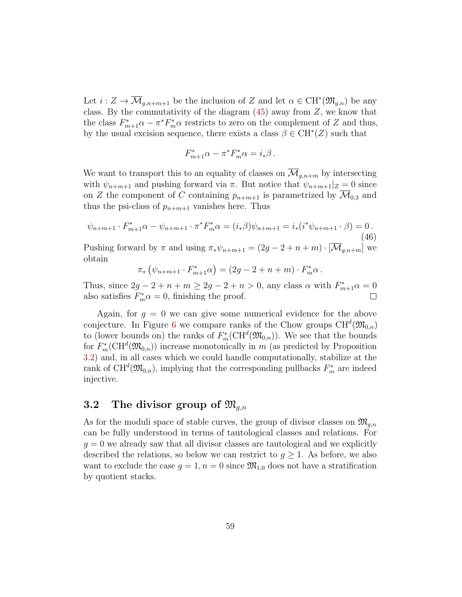Let  $i: Z \to \overline{\mathcal{M}}_{g,n+m+1}$  be the inclusion of Z and let  $\alpha \in \mathrm{CH}^*(\mathfrak{M}_{g,n})$  be any class. By the commutativity of the diagram  $(45)$  away from  $Z$ , we know that the class  $F_{m+1}^*\alpha - \pi^* F_m^*\alpha$  restricts to zero on the complement of Z and thus, by the usual excision sequence, there exists a class  $\beta \in \mathrm{CH}^*(Z)$  such that

$$
F_{m+1}^*\alpha - \pi^* F_m^*\alpha = i_*\beta \,.
$$

We want to transport this to an equality of classes on  $\mathcal{M}_{q,n+m}$  by intersecting with  $\psi_{n+m+1}$  and pushing forward via  $\pi$ . But notice that  $\psi_{n+m+1}|_Z = 0$  since on Z the component of C containing  $p_{n+m+1}$  is parametrized by  $\overline{\mathcal{M}}_{0,3}$  and thus the psi-class of  $p_{n+m+1}$  vanishes here. Thus

$$
\psi_{n+m+1} \cdot F_{m+1}^* \alpha - \psi_{n+m+1} \cdot \pi^* F_m^* \alpha = (i_* \beta) \psi_{n+m+1} = i_* (i^* \psi_{n+m+1} \cdot \beta) = 0.
$$
\n(46)

Pushing forward by  $\pi$  and using  $\pi_* \psi_{n+m+1} = (2g - 2 + n + m) \cdot [\overline{\mathcal{M}}_{q,n+m}]$  we obtain

$$
\pi_* (\psi_{n+m+1} \cdot F_{m+1}^* \alpha) = (2g - 2 + n + m) \cdot F_m^* \alpha.
$$

Thus, since  $2g - 2 + n + m \ge 2g - 2 + n > 0$ , any class  $\alpha$  with  $F_{m+1}^* \alpha = 0$ also satisfies  $F_m^* \alpha = 0$ , finishing the proof.

Again, for  $g = 0$  we can give some numerical evidence for the above conjecture. In Figure [6](#page-59-0) we compare ranks of the Chow groups  $\mathrm{CH}^d(\mathfrak{M}_{0,n})$ to (lower bounds on) the ranks of  $F_m^*(\mathrm{CH}^d(\mathfrak{M}_{0,n}))$ . We see that the bounds for  $F_m^*(\text{CH}^d(\mathfrak{M}_{0,n}))$  increase monotonically in m (as predicted by Proposition [3.2\)](#page-57-2) and, in all cases which we could handle computationally, stabilize at the rank of  $\mathrm{CH}^d(\mathfrak{M}_{0,n})$ , implying that the corresponding pullbacks  $F_m^*$  are indeed injective.

### <span id="page-58-0"></span>3.2 The divisor group of  $\mathfrak{M}_{q,n}$

As for the moduli space of stable curves, the group of divisor classes on  $\mathfrak{M}_{q,n}$ can be fully understood in terms of tautological classes and relations. For  $g = 0$  we already saw that all divisor classes are tautological and we explicitly described the relations, so below we can restrict to  $g \geq 1$ . As before, we also want to exclude the case  $g = 1, n = 0$  since  $\mathfrak{M}_{1,0}$  does not have a stratification by quotient stacks.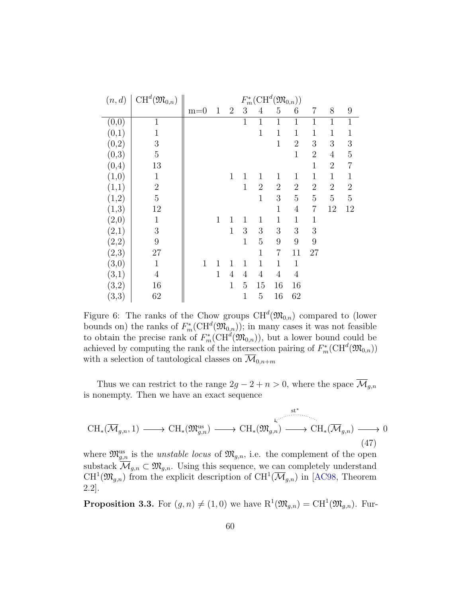| (n,d)               | $\mathrm{CH}^d(\mathfrak{M}_{0,n})$ | $F_m^*(\mathrm{CH}^d(\mathfrak{M}_{0,n}))$ |              |                |                |                |                |                |                |                |                |
|---------------------|-------------------------------------|--------------------------------------------|--------------|----------------|----------------|----------------|----------------|----------------|----------------|----------------|----------------|
|                     |                                     | $m=0$                                      | $\mathbf{1}$ | $\overline{2}$ | 3              | $\overline{4}$ | 5              | 6              | $\overline{7}$ | 8              | 9              |
| (0,0)               | $\mathbf 1$                         |                                            |              |                | $\mathbf{1}$   | $\mathbf{1}$   | $\mathbf{1}$   | $\mathbf{1}$   | 1              | $\mathbf 1$    | $\mathbf{1}$   |
| (0,1)               | $\mathbf 1$                         |                                            |              |                |                | $\mathbf{1}$   | $\mathbf{1}$   | $\mathbf{1}$   | $\mathbf 1$    | 1              | 1              |
| (0,2)               | 3                                   |                                            |              |                |                |                | $\mathbf{1}$   | $\overline{2}$ | 3              | 3              | 3              |
| (0,3)               | $\overline{5}$                      |                                            |              |                |                |                |                | $\mathbf{1}$   | $\overline{2}$ | 4              | $\overline{5}$ |
| (0,4)               | 13                                  |                                            |              |                |                |                |                |                | $\mathbf 1$    | $\overline{2}$ | $\overline{7}$ |
| (1,0)               | $\mathbf{1}$                        |                                            |              | $\mathbf{1}$   | 1              | 1              | 1              | $\mathbf{1}$   | $\mathbf 1$    | 1              | $1\,$          |
| (1,1)               | $\overline{2}$                      |                                            |              |                | $\overline{1}$ | $\overline{2}$ | $\overline{2}$ | $\overline{2}$ | $\overline{2}$ | $\overline{2}$ | $\overline{2}$ |
| (1,2)               | $\overline{5}$                      |                                            |              |                |                | $\mathbf{1}$   | 3              | $\overline{5}$ | $\overline{5}$ | $\overline{5}$ | 5              |
| (1,3)               | 12                                  |                                            |              |                |                |                | $\mathbf{1}$   | $\overline{4}$ | 7              | 12             | 12             |
| $\left( 2,0\right)$ | $\mathbf 1$                         |                                            | $\mathbf{1}$ | 1              | 1              | 1              | $\mathbf{1}$   | $\mathbf{1}$   | 1              |                |                |
| $\left( 2,1\right)$ | $\mathfrak{Z}$                      |                                            |              | $\mathbf{1}$   | 3              | 3              | 3              | 3              | 3              |                |                |
| (2,2)               | 9                                   |                                            |              |                | $\mathbf{1}$   | 5              | 9              | 9              | 9              |                |                |
| (2,3)               | 27                                  |                                            |              |                |                | $\mathbf{1}$   | 7              | 11             | 27             |                |                |
| (3,0)               | $\mathbf{1}$                        | $\mathbf{1}$                               | $\mathbf{1}$ | 1              | 1              | $\mathbf{1}$   | $\mathbf{1}$   | $\mathbf{1}$   |                |                |                |
| (3,1)               | $\overline{4}$                      |                                            | $\mathbf{1}$ | $\overline{4}$ | 4              | $\overline{4}$ | $\overline{4}$ | $\overline{4}$ |                |                |                |
| (3,2)               | 16                                  |                                            |              | $\mathbf{1}$   | 5              | 15             | 16             | 16             |                |                |                |
| (3,3)               | 62                                  |                                            |              |                | $\mathbf 1$    | 5              | 16             | 62             |                |                |                |

<span id="page-59-0"></span>Figure 6: The ranks of the Chow groups  $\mathrm{CH}^d(\mathfrak{M}_{0,n})$  compared to (lower bounds on) the ranks of  $F_m^*(\mathrm{CH}^d(\mathfrak{M}_{0,n}))$ ; in many cases it was not feasible to obtain the precise rank of  $F_m^*(CH^d(\mathfrak{M}_{0,n}))$ , but a lower bound could be achieved by computing the rank of the intersection pairing of  $F_m^*(\text{CH}^d(\mathfrak{M}_{0,n}))$ with a selection of tautological classes on  $\overline{\mathcal{M}}_{0,n+m}$ 

Thus we can restrict to the range  $2g - 2 + n > 0$ , where the space  $\overline{\mathcal{M}}_{g,n}$ is nonempty. Then we have an exact sequence

<span id="page-59-1"></span>
$$
\text{CH}_{*}(\overline{\mathcal{M}}_{g,n},1) \longrightarrow \text{CH}_{*}(\mathfrak{M}_{g,n}^{\text{us}}) \longrightarrow \text{CH}_{*}(\mathfrak{M}_{g,n}) \longrightarrow \text{CH}_{*}(\overline{\mathcal{M}}_{g,n}) \longrightarrow 0
$$
\n(47)

where  $\mathfrak{M}_{g,n}^{\text{us}}$  is the *unstable locus* of  $\mathfrak{M}_{g,n}$ , i.e. the complement of the open substack  $\overline{\mathcal{M}}_{g,n} \subset \mathfrak{M}_{g,n}$ . Using this sequence, we can completely understand  $CH^1(\mathfrak{M}_{g,n})$  from the explicit description of  $CH^1(\overline{\mathcal{M}}_{g,n})$  in [\[AC98,](#page-64-6) Theorem 2.2].

**Proposition 3.3.** For  $(g, n) \neq (1, 0)$  we have  $R^1(\mathfrak{M}_{g,n}) = \text{CH}^1(\mathfrak{M}_{g,n})$ . Fur-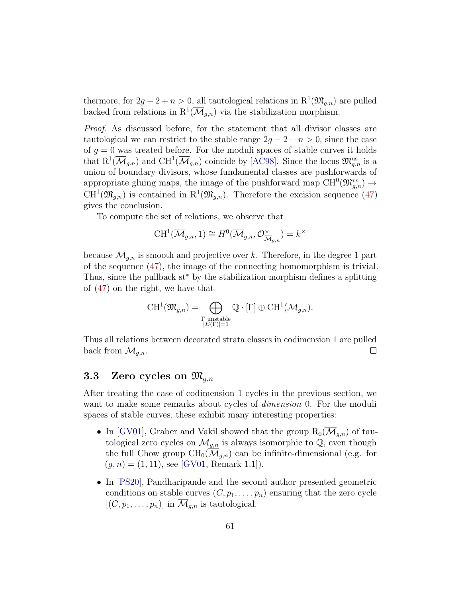thermore, for  $2g - 2 + n > 0$ , all tautological relations in  $R^1(\mathfrak{M}_{g,n})$  are pulled backed from relations in  $\mathbb{R}^1(\overline{\mathcal{M}}_{g,n})$  via the stabilization morphism.

Proof. As discussed before, for the statement that all divisor classes are tautological we can restrict to the stable range  $2g - 2 + n > 0$ , since the case of  $g = 0$  was treated before. For the moduli spaces of stable curves it holds that  $R^1(\overline{\mathcal{M}}_{g,n})$  and  $CH^1(\overline{\mathcal{M}}_{g,n})$  coincide by [\[AC98\]](#page-64-6). Since the locus  $\mathfrak{M}_{g,n}^{\text{us}}$  is a union of boundary divisors, whose fundamental classes are pushforwards of appropriate gluing maps, the image of the pushforward map  $\mathrm{CH}^0(\mathfrak{M}^{\mathrm{us}}_{g,n}) \to$  $CH^1(\mathfrak{M}_{g,n})$  is contained in  $R^1(\mathfrak{M}_{g,n})$ . Therefore the excision sequence [\(47\)](#page-59-1) gives the conclusion.

To compute the set of relations, we observe that

$$
\text{CH}^1(\overline{\mathcal{M}}_{g,n},1)\cong H^0(\overline{\mathcal{M}}_{g,n},\mathcal{O}_{\overline{\mathcal{M}}_{g,n}}^\times)=k^\times
$$

because  $\overline{\mathcal{M}}_{g,n}$  is smooth and projective over k. Therefore, in the degree 1 part of the sequence [\(47\)](#page-59-1), the image of the connecting homomorphism is trivial. Thus, since the pullback st<sup>∗</sup> by the stabilization morphism defines a splitting of [\(47\)](#page-59-1) on the right, we have that

$$
\operatorname{CH}^1(\mathfrak{M}_{g,n})=\bigoplus_{\substack{\Gamma \text{ unstable} \\ |E(\Gamma)|=1}} \mathbb{Q} \cdot [\Gamma] \oplus \operatorname{CH}^1(\overline{\mathcal{M}}_{g,n}).
$$

Thus all relations between decorated strata classes in codimension 1 are pulled back from  $\mathcal{M}_{q,n}$ .  $\Box$ 

# <span id="page-60-0"></span>3.3 Zero cycles on  $\mathfrak{M}_{g,n}$

After treating the case of codimension 1 cycles in the previous section, we want to make some remarks about cycles of *dimension* 0. For the moduli spaces of stable curves, these exhibit many interesting properties:

- In [\[GV01\]](#page-65-11), Graber and Vakil showed that the group  $R_0(\mathcal{M}_{q,n})$  of tautological zero cycles on  $\overline{\mathcal{M}}_{g,n}$  is always isomorphic to  $\mathbb{Q}$ , even though the full Chow group  $CH_0(\overline{\mathcal{M}}_{q,n})$  can be infinite-dimensional (e.g. for  $(q, n) = (1, 11)$ , see [\[GV01,](#page-65-11) Remark 1.1]).
- In [\[PS20\]](#page-67-9), Pandharipande and the second author presented geometric conditions on stable curves  $(C, p_1, \ldots, p_n)$  ensuring that the zero cycle  $[(C, p_1, \ldots, p_n)]$  in  $\mathcal{M}_{g,n}$  is tautological.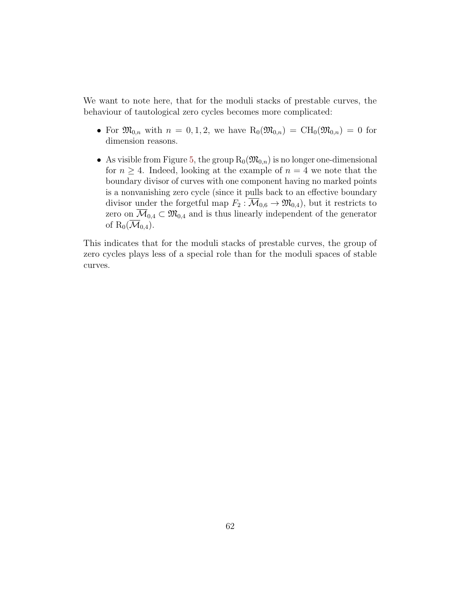We want to note here, that for the moduli stacks of prestable curves, the behaviour of tautological zero cycles becomes more complicated:

- For  $\mathfrak{M}_{0,n}$  with  $n = 0, 1, 2$ , we have  $R_0(\mathfrak{M}_{0,n}) = CH_0(\mathfrak{M}_{0,n}) = 0$  for dimension reasons.
- As visible from Figure [5,](#page-56-2) the group  $R_0(\mathfrak{M}_{0,n})$  is no longer one-dimensional for  $n \geq 4$ . Indeed, looking at the example of  $n = 4$  we note that the boundary divisor of curves with one component having no marked points is a nonvanishing zero cycle (since it pulls back to an effective boundary divisor under the forgetful map  $F_2 : \overline{\mathcal{M}}_{0,6} \to \mathfrak{M}_{0,4}$ , but it restricts to zero on  $\overline{\mathcal{M}}_{0,4} \subset \mathfrak{M}_{0,4}$  and is thus linearly independent of the generator of  $R_0(\overline{\mathcal{M}}_{0,4})$ .

This indicates that for the moduli stacks of prestable curves, the group of zero cycles plays less of a special role than for the moduli spaces of stable curves.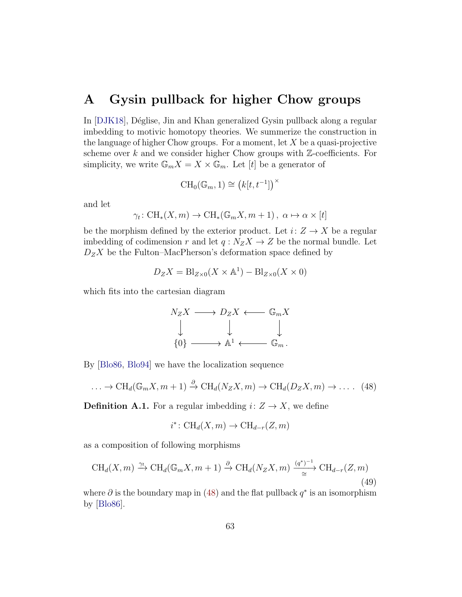### <span id="page-62-0"></span>A Gysin pullback for higher Chow groups

In [\[DJK18\]](#page-64-1), Déglise, Jin and Khan generalized Gysin pullback along a regular imbedding to motivic homotopy theories. We summerize the construction in the language of higher Chow groups. For a moment, let  $X$  be a quasi-projective scheme over  $k$  and we consider higher Chow groups with  $\mathbb{Z}$ -coefficients. For simplicity, we write  $\mathbb{G}_m X = X \times \mathbb{G}_m$ . Let [t] be a generator of

$$
\operatorname{CH}_0(\mathbb{G}_m, 1) \cong \left(k[t, t^{-1}]\right)^\times
$$

and let

$$
\gamma_t \colon CH_*(X, m) \to CH_*(\mathbb{G}_m X, m+1), \ \alpha \mapsto \alpha \times [t]
$$

be the morphism defined by the exterior product. Let  $i: Z \to X$  be a regular imbedding of codimension r and let  $q: N_ZX \to Z$  be the normal bundle. Let  $D_ZX$  be the Fulton–MacPherson's deformation space defined by

$$
D_Z X = Bl_{Z \times 0}(X \times \mathbb{A}^1) - Bl_{Z \times 0}(X \times 0)
$$

which fits into the cartesian diagram

$$
N_Z X \longrightarrow D_Z X \longleftarrow \mathbb{G}_m X
$$
  

$$
\downarrow \qquad \qquad \downarrow \qquad \qquad \downarrow
$$
  

$$
\{0\} \longrightarrow \mathbb{A}^1 \longleftarrow \mathbb{G}_m.
$$

By [\[Blo86,](#page-64-3) [Blo94\]](#page-64-7) we have the localization sequence

<span id="page-62-1"></span>
$$
\ldots \to \text{CH}_d(\mathbb{G}_m X, m+1) \xrightarrow{\partial} \text{CH}_d(N_Z X, m) \to \text{CH}_d(D_Z X, m) \to \ldots \quad (48)
$$

**Definition A.1.** For a regular imbedding  $i: Z \rightarrow X$ , we define

$$
i^* \colon \text{CH}_d(X, m) \to \text{CH}_{d-r}(Z, m)
$$

as a composition of following morphisms

$$
CH_d(X, m) \xrightarrow{\gamma_t} CH_d(\mathbb{G}_m X, m+1) \xrightarrow{\partial} CH_d(N_Z X, m) \xrightarrow{(\mathfrak{q}^*)^{-1}} CH_{d-r}(Z, m)
$$
\n(49)

where  $\partial$  is the boundary map in [\(48\)](#page-62-1) and the flat pullback  $q^*$  is an isomorphism by [\[Blo86\]](#page-64-3).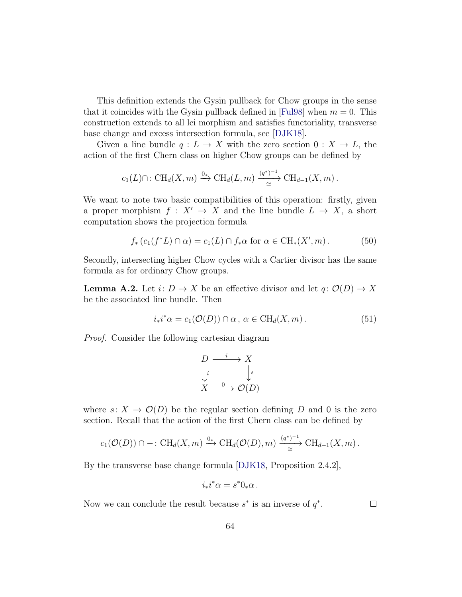This definition extends the Gysin pullback for Chow groups in the sense that it coincides with the Gysin pullback defined in [\[Ful98\]](#page-65-8) when  $m = 0$ . This construction extends to all lci morphism and satisfies functoriality, transverse base change and excess intersection formula, see [\[DJK18\]](#page-64-1).

Given a line bundle  $q: L \to X$  with the zero section  $0: X \to L$ , the action of the first Chern class on higher Chow groups can be defined by

$$
c_1(L) \cap
$$
:  $CH_d(X,m) \xrightarrow{0_*} CH_d(L,m) \xrightarrow{(q^*)^{-1}} CH_{d-1}(X,m)$ .

We want to note two basic compatibilities of this operation: firstly, given a proper morphism  $f: X' \to X$  and the line bundle  $L \to X$ , a short computation shows the projection formula

<span id="page-63-1"></span>
$$
f_* (c_1(f^*L) \cap \alpha) = c_1(L) \cap f_*\alpha \text{ for } \alpha \in \text{CH}_*(X', m). \tag{50}
$$

Secondly, intersecting higher Chow cycles with a Cartier divisor has the same formula as for ordinary Chow groups.

<span id="page-63-0"></span>**Lemma A.2.** Let  $i: D \to X$  be an effective divisor and let  $q: \mathcal{O}(D) \to X$ be the associated line bundle. Then

$$
i_*i^*\alpha = c_1(\mathcal{O}(D)) \cap \alpha, \ \alpha \in \text{CH}_d(X, m). \tag{51}
$$

Proof. Consider the following cartesian diagram

$$
D \xrightarrow{i} X
$$
  
\n
$$
\downarrow i \qquad \qquad \downarrow s
$$
  
\n
$$
X \xrightarrow{0} \mathcal{O}(D)
$$

where  $s: X \to \mathcal{O}(D)$  be the regular section defining D and 0 is the zero section. Recall that the action of the first Chern class can be defined by

$$
c_1(\mathcal{O}(D)) \cap -: \mathrm{CH}_d(X,m) \xrightarrow{0_*} \mathrm{CH}_d(\mathcal{O}(D),m) \xrightarrow{\left(q^*\right)^{-1}} \mathrm{CH}_{d-1}(X,m).
$$

By the transverse base change formula [\[DJK18,](#page-64-1) Proposition 2.4.2],

$$
i_*i^*\alpha = s^*0_*\alpha \, .
$$

Now we can conclude the result because  $s^*$  is an inverse of  $q^*$ .

 $\Box$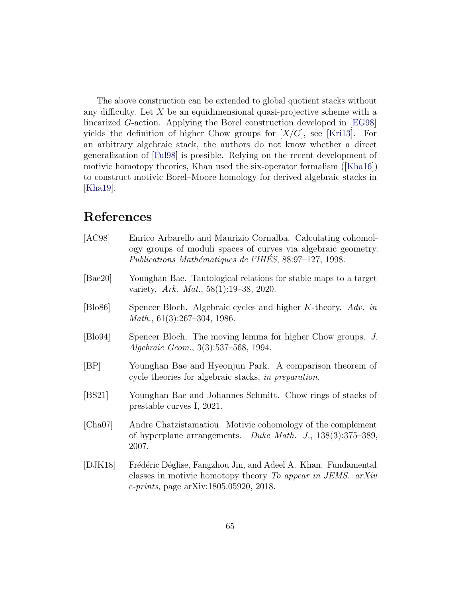The above construction can be extended to global quotient stacks without any difficulty. Let  $X$  be an equidimensional quasi-projective scheme with a linearized G-action. Applying the Borel construction developed in [\[EG98\]](#page-65-6) yields the definition of higher Chow groups for  $[X/G]$ , see [\[Kri13\]](#page-66-8). For an arbitrary algebraic stack, the authors do not know whether a direct generalization of [\[Ful98\]](#page-65-8) is possible. Relying on the recent development of motivic homotopy theories, Khan used the six-operator formalism([\[Kha16\]](#page-66-10)) to construct motivic Borel–Moore homology for derived algebraic stacks in [\[Kha19\]](#page-66-6).

### References

<span id="page-64-7"></span><span id="page-64-6"></span><span id="page-64-5"></span><span id="page-64-4"></span><span id="page-64-3"></span><span id="page-64-2"></span><span id="page-64-1"></span><span id="page-64-0"></span>

| [AC98]           | Enrico Arbarello and Maurizio Cornalba. Calculating cohomol-<br>ogy groups of moduli spaces of curves via algebraic geometry.<br>Publications Mathématiques de l'IHÉS, 88:97-127, 1998. |
|------------------|-----------------------------------------------------------------------------------------------------------------------------------------------------------------------------------------|
| [Bae20]          | Younghan Bae. Tautological relations for stable maps to a target<br>variety. Ark. Mat., 58(1):19-38, 2020.                                                                              |
| $[\text{Blo86}]$ | Spencer Bloch. Algebraic cycles and higher $K$ -theory. Adv. in<br>Math., $61(3):267-304$ , 1986.                                                                                       |
| $[\text{Blo94}]$ | Spencer Bloch. The moving lemma for higher Chow groups. J.<br><i>Algebraic Geom.</i> , 3(3):537–568, 1994.                                                                              |
| [BP]             | Younghan Bae and Hyeonjun Park. A comparison theorem of<br>cycle theories for algebraic stacks, in preparation.                                                                         |
| [BS21]           | Younghan Bae and Johannes Schmitt. Chow rings of stacks of<br>prestable curves I, 2021.                                                                                                 |
| [Cha07]          | Andre Chatzistamatiou. Motivic cohomology of the complement<br>of hyperplane arrangements. Duke Math. J., $138(3):375-389$ ,<br>2007.                                                   |
| [DJK18]          | Frédéric Déglise, Fangzhou Jin, and Adeel A. Khan. Fundamental<br>classes in motivic homotopy theory To appear in JEMS. arXiv<br><i>e-prints</i> , page arXiv:1805.05920, 2018.         |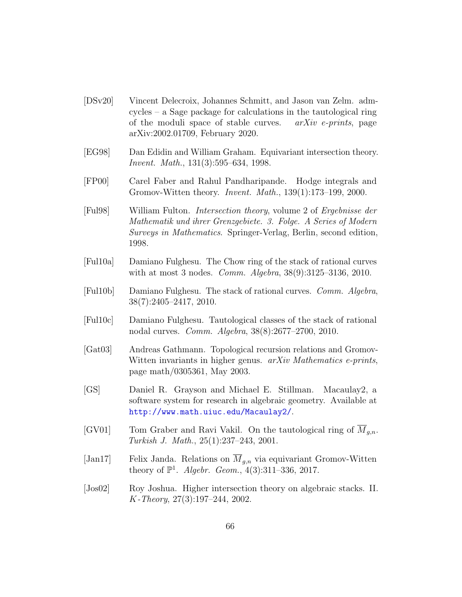- <span id="page-65-10"></span>[DSv20] Vincent Delecroix, Johannes Schmitt, and Jason van Zelm. admcycles – a Sage package for calculations in the tautological ring of the moduli space of stable curves.  $arXiv$  e-prints, page arXiv:2002.01709, February 2020.
- <span id="page-65-6"></span>[EG98] Dan Edidin and William Graham. Equivariant intersection theory. Invent. Math., 131(3):595–634, 1998.
- <span id="page-65-5"></span>[FP00] Carel Faber and Rahul Pandharipande. Hodge integrals and Gromov-Witten theory. Invent. Math., 139(1):173–199, 2000.
- <span id="page-65-8"></span>[Ful98] William Fulton. Intersection theory, volume 2 of Ergebnisse der Mathematik und ihrer Grenzgebiete. 3. Folge. A Series of Modern Surveys in Mathematics. Springer-Verlag, Berlin, second edition, 1998.
- <span id="page-65-3"></span>[Ful10a] Damiano Fulghesu. The Chow ring of the stack of rational curves with at most 3 nodes. *Comm. Algebra*,  $38(9):3125-3136$ , 2010.
- <span id="page-65-1"></span>[Ful10b] Damiano Fulghesu. The stack of rational curves. Comm. Algebra, 38(7):2405–2417, 2010.
- <span id="page-65-2"></span>[Ful10c] Damiano Fulghesu. Tautological classes of the stack of rational nodal curves. Comm. Algebra, 38(8):2677–2700, 2010.
- <span id="page-65-0"></span>[Gat03] Andreas Gathmann. Topological recursion relations and Gromov-Witten invariants in higher genus. *arXiv Mathematics e-prints*, page math/0305361, May 2003.
- <span id="page-65-9"></span>[GS] Daniel R. Grayson and Michael E. Stillman. Macaulay2, a software system for research in algebraic geometry. Available at <http://www.math.uiuc.edu/Macaulay2/>.
- <span id="page-65-11"></span>[GV01] Tom Graber and Ravi Vakil. On the tautological ring of  $M_{g,n}$ . Turkish J. Math., 25(1):237–243, 2001.
- <span id="page-65-4"></span>[Jan17] Felix Janda. Relations on  $\overline{M}_{g,n}$  via equivariant Gromov-Witten theory of  $\mathbb{P}^1$ . Algebr. Geom.,  $4(3):311-336, 2017$ .
- <span id="page-65-7"></span>[Jos02] Roy Joshua. Higher intersection theory on algebraic stacks. II. K-Theory, 27(3):197–244, 2002.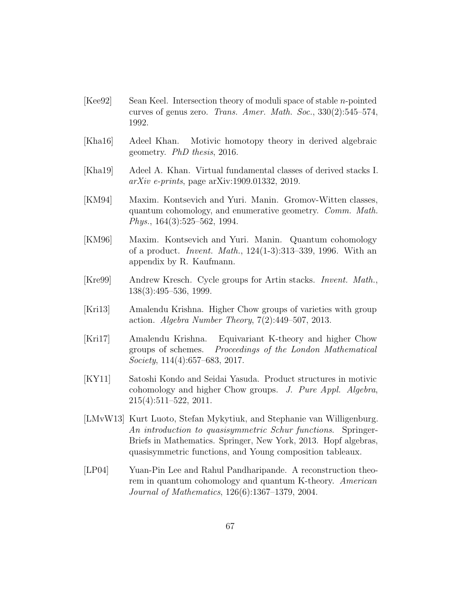- <span id="page-66-0"></span> $[Kee92]$  Sean Keel. Intersection theory of moduli space of stable *n*-pointed curves of genus zero. Trans. Amer. Math. Soc., 330(2):545–574, 1992.
- <span id="page-66-10"></span>[Kha16] Adeel Khan. Motivic homotopy theory in derived algebraic geometry. PhD thesis, 2016.
- <span id="page-66-6"></span>[Kha19] Adeel A. Khan. Virtual fundamental classes of derived stacks I. arXiv e-prints, page arXiv:1909.01332, 2019.
- <span id="page-66-1"></span>[KM94] Maxim. Kontsevich and Yuri. Manin. Gromov-Witten classes, quantum cohomology, and enumerative geometry. Comm. Math. Phys., 164(3):525–562, 1994.
- <span id="page-66-2"></span>[KM96] Maxim. Kontsevich and Yuri. Manin. Quantum cohomology of a product. Invent. Math., 124(1-3):313–339, 1996. With an appendix by R. Kaufmann.
- <span id="page-66-3"></span>[Kre99] Andrew Kresch. Cycle groups for Artin stacks. Invent. Math., 138(3):495–536, 1999.
- <span id="page-66-8"></span>[Kri13] Amalendu Krishna. Higher Chow groups of varieties with group action. Algebra Number Theory,  $7(2):449-507$ , 2013.
- <span id="page-66-7"></span>[Kri17] Amalendu Krishna. Equivariant K-theory and higher Chow groups of schemes. Proceedings of the London Mathematical Society, 114(4):657–683, 2017.
- <span id="page-66-9"></span>[KY11] Satoshi Kondo and Seidai Yasuda. Product structures in motivic cohomology and higher Chow groups. J. Pure Appl. Algebra, 215(4):511–522, 2011.
- <span id="page-66-5"></span>[LMvW13] Kurt Luoto, Stefan Mykytiuk, and Stephanie van Willigenburg. An introduction to quasisymmetric Schur functions. Springer-Briefs in Mathematics. Springer, New York, 2013. Hopf algebras, quasisymmetric functions, and Young composition tableaux.
- <span id="page-66-4"></span>[LP04] Yuan-Pin Lee and Rahul Pandharipande. A reconstruction theorem in quantum cohomology and quantum K-theory. American Journal of Mathematics, 126(6):1367–1379, 2004.